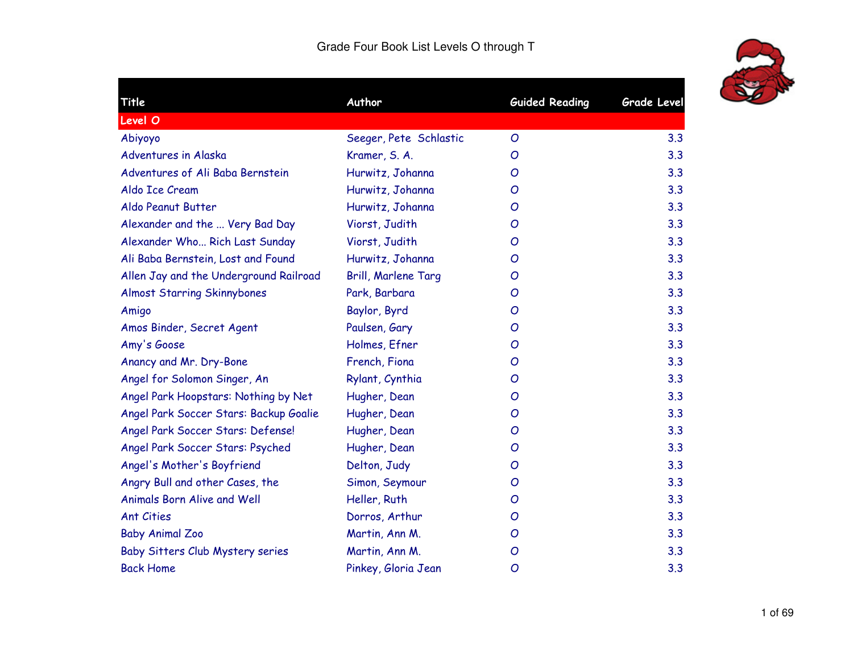

| Title                                  | Author                 | <b>Guided Reading</b> | <b>Grade Level</b> |
|----------------------------------------|------------------------|-----------------------|--------------------|
| Level O                                |                        |                       |                    |
| Abiyoyo                                | Seeger, Pete Schlastic | O                     | 3.3                |
| Adventures in Alaska                   | Kramer, S. A.          | Ο                     | 3.3                |
| Adventures of Ali Baba Bernstein       | Hurwitz, Johanna       | O                     | 3.3                |
| Aldo Ice Cream                         | Hurwitz, Johanna       | O                     | 3.3                |
| Aldo Peanut Butter                     | Hurwitz, Johanna       | O                     | 3.3                |
| Alexander and the  Very Bad Day        | Viorst, Judith         | O                     | 3.3                |
| Alexander Who Rich Last Sunday         | Viorst, Judith         | O                     | 3.3                |
| Ali Baba Bernstein, Lost and Found     | Hurwitz, Johanna       | O                     | 3.3                |
| Allen Jay and the Underground Railroad | Brill, Marlene Targ    | O                     | 3.3                |
| <b>Almost Starring Skinnybones</b>     | Park, Barbara          | O                     | 3.3                |
| Amigo                                  | Baylor, Byrd           | O                     | 3.3                |
| Amos Binder, Secret Agent              | Paulsen, Gary          | O                     | 3.3                |
| Amy's Goose                            | Holmes, Efner          | O                     | 3.3                |
| Anancy and Mr. Dry-Bone                | French, Fiona          | O                     | 3.3                |
| Angel for Solomon Singer, An           | Rylant, Cynthia        | O                     | 3.3                |
| Angel Park Hoopstars: Nothing by Net   | Hugher, Dean           | O                     | 3.3                |
| Angel Park Soccer Stars: Backup Goalie | Hugher, Dean           | O                     | 3.3                |
| Angel Park Soccer Stars: Defense!      | Hugher, Dean           | O                     | 3.3                |
| Angel Park Soccer Stars: Psyched       | Hugher, Dean           | O                     | 3.3                |
| Angel's Mother's Boyfriend             | Delton, Judy           | O                     | 3.3                |
| Angry Bull and other Cases, the        | Simon, Seymour         | O                     | 3.3                |
| <b>Animals Born Alive and Well</b>     | Heller, Ruth           | O                     | 3.3                |
| <b>Ant Cities</b>                      | Dorros, Arthur         | O                     | 3.3                |
| <b>Baby Animal Zoo</b>                 | Martin, Ann M.         | O                     | 3.3                |
| Baby Sitters Club Mystery series       | Martin, Ann M.         | O                     | 3.3                |
| <b>Back Home</b>                       | Pinkey, Gloria Jean    | O                     | 3.3                |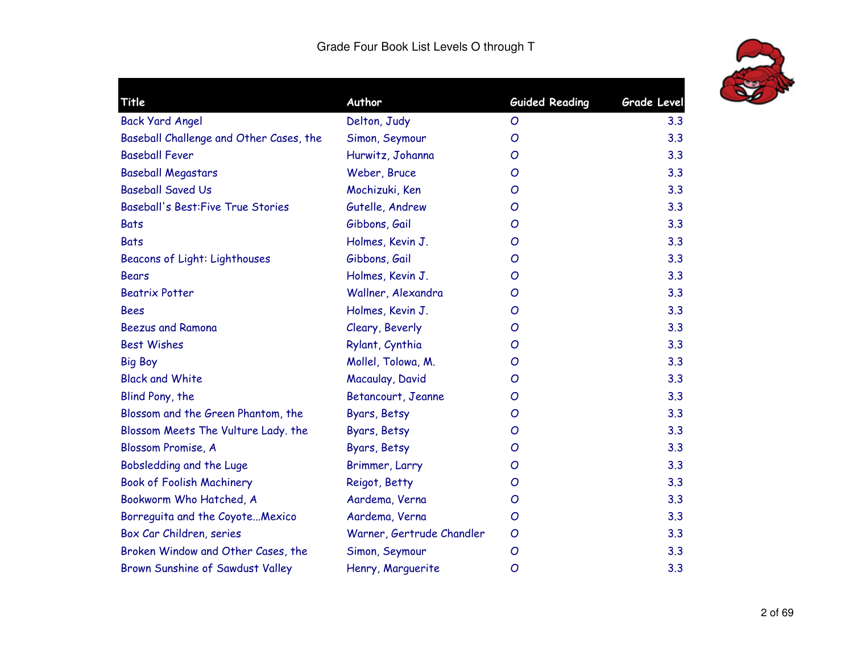

| Title                                     | Author                    | <b>Guided Reading</b> | Grade Level |
|-------------------------------------------|---------------------------|-----------------------|-------------|
| <b>Back Yard Angel</b>                    | Delton, Judy              | O                     | 3.3         |
| Baseball Challenge and Other Cases, the   | Simon, Seymour            | O                     | 3.3         |
| <b>Baseball Fever</b>                     | Hurwitz, Johanna          | O                     | 3.3         |
| <b>Baseball Megastars</b>                 | Weber, Bruce              | O                     | 3.3         |
| <b>Baseball Saved Us</b>                  | Mochizuki, Ken            | O                     | 3.3         |
| <b>Baseball's Best: Five True Stories</b> | Gutelle, Andrew           | O                     | 3.3         |
| <b>Bats</b>                               | Gibbons, Gail             | O                     | 3.3         |
| <b>Bats</b>                               | Holmes, Kevin J.          | O                     | 3.3         |
| <b>Beacons of Light: Lighthouses</b>      | Gibbons, Gail             | O                     | 3.3         |
| <b>Bears</b>                              | Holmes, Kevin J.          | O                     | 3.3         |
| <b>Beatrix Potter</b>                     | Wallner, Alexandra        | O                     | 3.3         |
| <b>Bees</b>                               | Holmes, Kevin J.          | O                     | 3.3         |
| <b>Beezus and Ramona</b>                  | Cleary, Beverly           | O                     | 3.3         |
| <b>Best Wishes</b>                        | Rylant, Cynthia           | O                     | 3.3         |
| <b>Big Boy</b>                            | Mollel, Tolowa, M.        | O                     | 3.3         |
| <b>Black and White</b>                    | Macaulay, David           | O                     | 3.3         |
| Blind Pony, the                           | Betancourt, Jeanne        | O                     | 3.3         |
| Blossom and the Green Phantom, the        | Byars, Betsy              | O                     | 3.3         |
| Blossom Meets The Vulture Lady. the       | Byars, Betsy              | O                     | 3.3         |
| Blossom Promise, A                        | Byars, Betsy              | O                     | 3.3         |
| Bobsledding and the Luge                  | Brimmer, Larry            | O                     | 3.3         |
| <b>Book of Foolish Machinery</b>          | Reigot, Betty             | O                     | 3.3         |
| Bookworm Who Hatched, A                   | Aardema, Verna            | O                     | 3.3         |
| Borreguita and the CoyoteMexico           | Aardema, Verna            | O                     | 3.3         |
| Box Car Children, series                  | Warner, Gertrude Chandler | O                     | 3.3         |
| Broken Window and Other Cases, the        | Simon, Seymour            | O                     | 3.3         |
| Brown Sunshine of Sawdust Valley          | Henry, Marguerite         | O                     | 3.3         |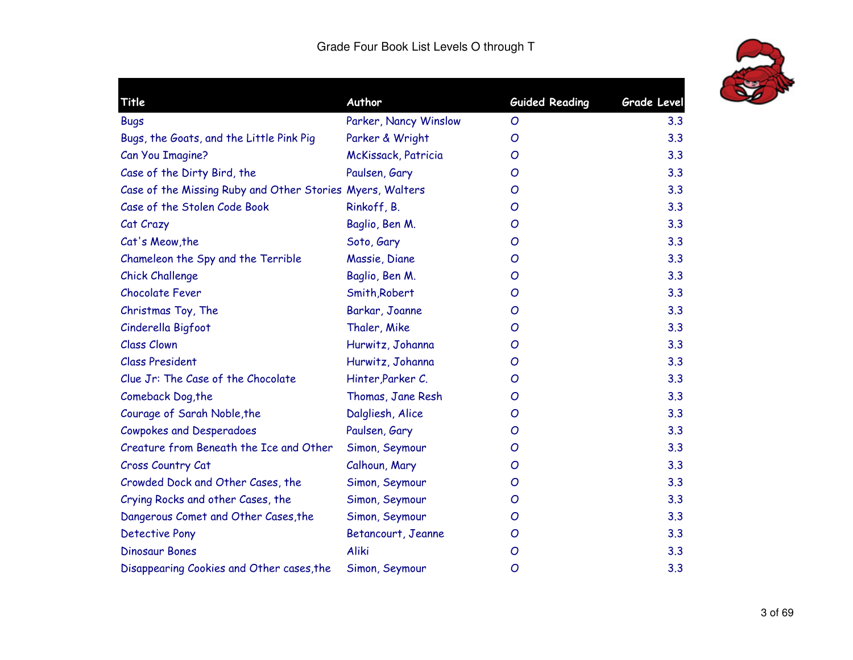

| Title                                                     | Author                | <b>Guided Reading</b> | <b>Grade Level</b> |
|-----------------------------------------------------------|-----------------------|-----------------------|--------------------|
| <b>Bugs</b>                                               | Parker, Nancy Winslow | O                     | 3.3                |
| Bugs, the Goats, and the Little Pink Pig                  | Parker & Wright       | O                     | 3.3                |
| Can You Imagine?                                          | McKissack, Patricia   | O                     | 3.3                |
| Case of the Dirty Bird, the                               | Paulsen, Gary         | O                     | 3.3                |
| Case of the Missing Ruby and Other Stories Myers, Walters |                       | O                     | 3.3                |
| Case of the Stolen Code Book                              | Rinkoff, B.           | O                     | 3.3                |
| Cat Crazy                                                 | Baglio, Ben M.        | $\overline{O}$        | 3.3                |
| Cat's Meow, the                                           | Soto, Gary            | O                     | 3.3                |
| Chameleon the Spy and the Terrible                        | Massie, Diane         | O                     | 3.3                |
| <b>Chick Challenge</b>                                    | Baglio, Ben M.        | O                     | 3.3                |
| <b>Chocolate Fever</b>                                    | Smith, Robert         | O                     | 3.3                |
| Christmas Toy, The                                        | Barkar, Joanne        | O                     | 3.3                |
| Cinderella Bigfoot                                        | Thaler, Mike          | O                     | 3.3                |
| <b>Class Clown</b>                                        | Hurwitz, Johanna      | O                     | 3.3                |
| <b>Class President</b>                                    | Hurwitz, Johanna      | O                     | 3.3                |
| Clue Jr: The Case of the Chocolate                        | Hinter, Parker C.     | O                     | 3.3                |
| Comeback Dog, the                                         | Thomas, Jane Resh     | O                     | 3.3                |
| Courage of Sarah Noble, the                               | Dalgliesh, Alice      | O                     | 3.3                |
| <b>Cowpokes and Desperadoes</b>                           | Paulsen, Gary         | O                     | 3.3                |
| Creature from Beneath the Ice and Other                   | Simon, Seymour        | O                     | 3.3                |
| Cross Country Cat                                         | Calhoun, Mary         | O                     | 3.3                |
| Crowded Dock and Other Cases, the                         | Simon, Seymour        | O                     | 3.3                |
| Crying Rocks and other Cases, the                         | Simon, Seymour        | O                     | 3.3                |
| Dangerous Comet and Other Cases, the                      | Simon, Seymour        | O                     | 3.3                |
| <b>Detective Pony</b>                                     | Betancourt, Jeanne    | O                     | 3.3                |
| <b>Dinosaur Bones</b>                                     | Aliki                 | $\mathcal{O}$         | 3.3                |
| Disappearing Cookies and Other cases, the                 | Simon, Seymour        | $\overline{O}$        | 3.3                |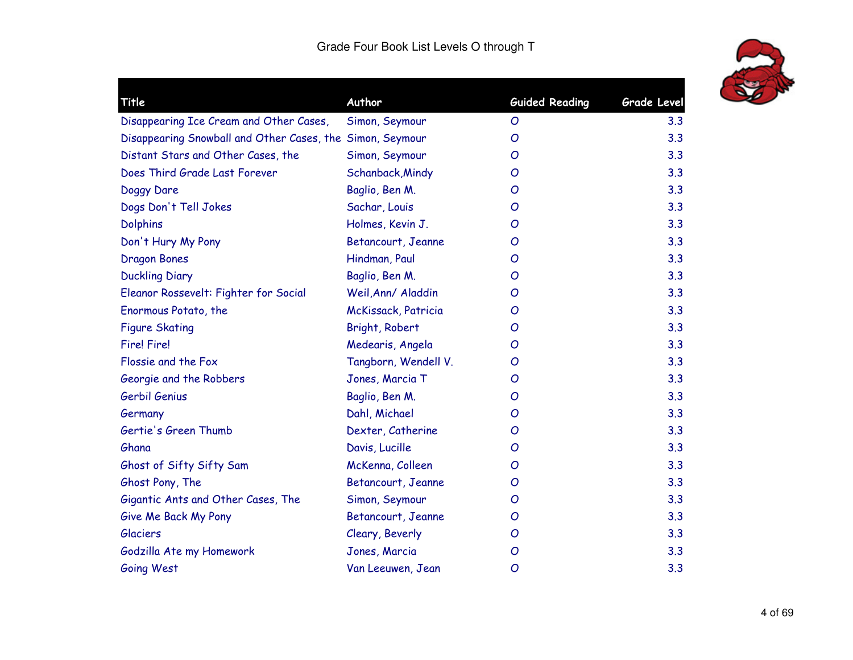

| Title                                                     | Author               | <b>Guided Reading</b> | <b>Grade Level</b> |
|-----------------------------------------------------------|----------------------|-----------------------|--------------------|
| Disappearing Ice Cream and Other Cases,                   | Simon, Seymour       | O                     | 3.3                |
| Disappearing Snowball and Other Cases, the Simon, Seymour |                      | O                     | 3.3                |
| Distant Stars and Other Cases, the                        | Simon, Seymour       | O                     | 3.3                |
| Does Third Grade Last Forever                             | Schanback, Mindy     | O                     | 3.3                |
| Doggy Dare                                                | Baglio, Ben M.       | O                     | 3.3                |
| Dogs Don't Tell Jokes                                     | Sachar, Louis        | O                     | 3.3                |
| <b>Dolphins</b>                                           | Holmes, Kevin J.     | O                     | 3.3                |
| Don't Hury My Pony                                        | Betancourt, Jeanne   | O                     | 3.3                |
| <b>Dragon Bones</b>                                       | Hindman, Paul        | O                     | 3.3                |
| <b>Duckling Diary</b>                                     | Baglio, Ben M.       | O                     | 3.3                |
| Eleanor Rossevelt: Fighter for Social                     | Weil, Ann/ Aladdin   | O                     | 3.3                |
| Enormous Potato, the                                      | McKissack, Patricia  | O                     | 3.3                |
| <b>Figure Skating</b>                                     | Bright, Robert       | O                     | 3.3                |
| <b>Fire! Fire!</b>                                        | Medearis, Angela     | O                     | 3.3                |
| Flossie and the Fox                                       | Tangborn, Wendell V. | O                     | 3.3                |
| Georgie and the Robbers                                   | Jones, Marcia T      | O                     | 3.3                |
| Gerbil Genius                                             | Baglio, Ben M.       | O                     | 3.3                |
| Germany                                                   | Dahl, Michael        | O                     | 3.3                |
| Gertie's Green Thumb                                      | Dexter, Catherine    | O                     | 3.3                |
| Ghana                                                     | Davis, Lucille       | O                     | 3.3                |
| Ghost of Sifty Sifty Sam                                  | McKenna, Colleen     | O                     | 3.3                |
| Ghost Pony, The                                           | Betancourt, Jeanne   | O                     | 3.3                |
| Gigantic Ants and Other Cases, The                        | Simon, Seymour       | O                     | 3.3                |
| Give Me Back My Pony                                      | Betancourt, Jeanne   | O                     | 3.3                |
| <b>Glaciers</b>                                           | Cleary, Beverly      | O                     | 3.3                |
| Godzilla Ate my Homework                                  | Jones, Marcia        | O                     | 3.3                |
| Going West                                                | Van Leeuwen, Jean    | O                     | 3.3                |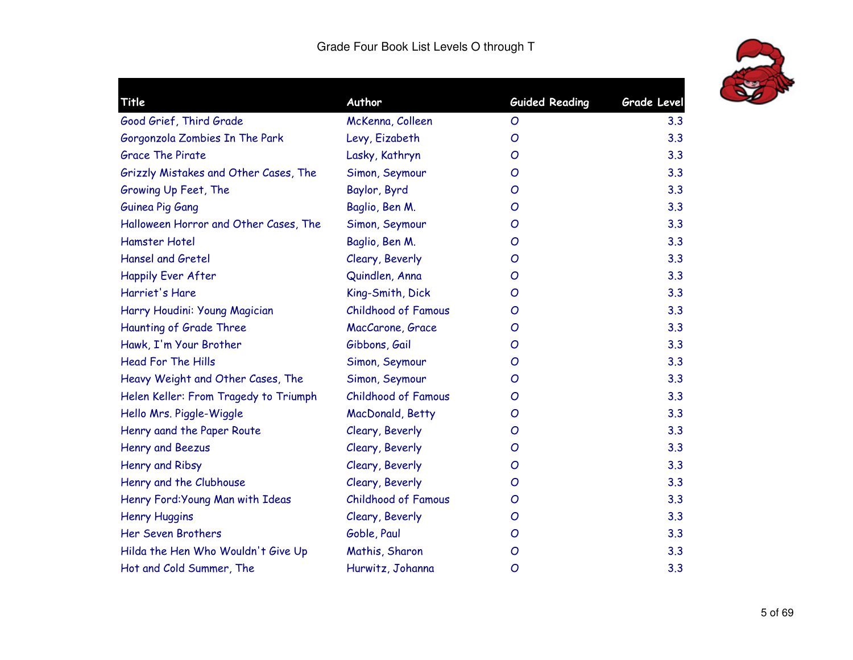

| Title                                 | Author                     | <b>Guided Reading</b> | Grade Level |
|---------------------------------------|----------------------------|-----------------------|-------------|
| Good Grief, Third Grade               | McKenna, Colleen           | O                     | 3.3         |
| Gorgonzola Zombies In The Park        | Levy, Eizabeth             | O                     | 3.3         |
| <b>Grace The Pirate</b>               | Lasky, Kathryn             | O                     | 3.3         |
| Grizzly Mistakes and Other Cases, The | Simon, Seymour             | O                     | 3.3         |
| Growing Up Feet, The                  | Baylor, Byrd               | O                     | 3.3         |
| Guinea Pig Gang                       | Baglio, Ben M.             | $\overline{O}$        | 3.3         |
| Halloween Horror and Other Cases, The | Simon, Seymour             | O                     | 3.3         |
| <b>Hamster Hotel</b>                  | Baglio, Ben M.             | O                     | 3.3         |
| <b>Hansel and Gretel</b>              | Cleary, Beverly            | O                     | 3.3         |
| <b>Happily Ever After</b>             | Quindlen, Anna             | O                     | 3.3         |
| Harriet's Hare                        | King-Smith, Dick           | O                     | 3.3         |
| Harry Houdini: Young Magician         | <b>Childhood of Famous</b> | O                     | 3.3         |
| Haunting of Grade Three               | MacCarone, Grace           | O                     | 3.3         |
| Hawk, I'm Your Brother                | Gibbons, Gail              | O                     | 3.3         |
| <b>Head For The Hills</b>             | Simon, Seymour             | O                     | 3.3         |
| Heavy Weight and Other Cases, The     | Simon, Seymour             | O                     | 3.3         |
| Helen Keller: From Tragedy to Triumph | <b>Childhood of Famous</b> | O                     | 3.3         |
| Hello Mrs. Piggle-Wiggle              | MacDonald, Betty           | O                     | 3.3         |
| Henry aand the Paper Route            | Cleary, Beverly            | O                     | 3.3         |
| Henry and Beezus                      | Cleary, Beverly            | O                     | 3.3         |
| Henry and Ribsy                       | Cleary, Beverly            | O                     | 3.3         |
| Henry and the Clubhouse               | Cleary, Beverly            | O                     | 3.3         |
| Henry Ford: Young Man with Ideas      | <b>Childhood of Famous</b> | O                     | 3.3         |
| <b>Henry Huggins</b>                  | Cleary, Beverly            | O                     | 3.3         |
| Her Seven Brothers                    | Goble, Paul                | O                     | 3.3         |
| Hilda the Hen Who Wouldn't Give Up    | Mathis, Sharon             | O                     | 3.3         |
| Hot and Cold Summer, The              | Hurwitz, Johanna           | $\overline{O}$        | 3.3         |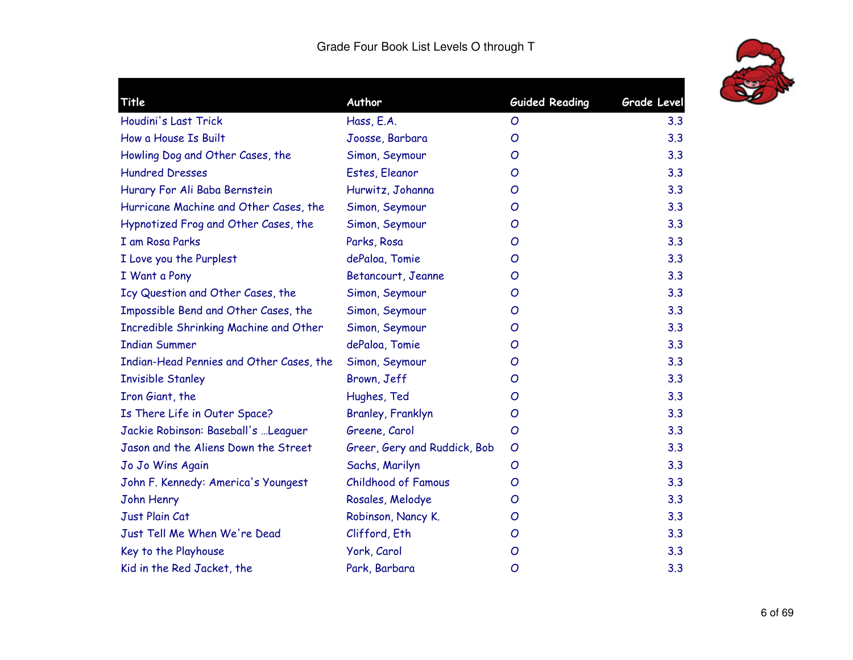

| Title                                    | Author                       | <b>Guided Reading</b> | <b>Grade Level</b> |
|------------------------------------------|------------------------------|-----------------------|--------------------|
| Houdini's Last Trick                     | Hass, E.A.                   | O                     | 3.3                |
| How a House Is Built                     | Joosse, Barbara              | O                     | 3.3                |
| Howling Dog and Other Cases, the         | Simon, Seymour               | O                     | 3.3                |
| <b>Hundred Dresses</b>                   | Estes, Eleanor               | O                     | 3.3                |
| Hurary For Ali Baba Bernstein            | Hurwitz, Johanna             | O                     | 3.3                |
| Hurricane Machine and Other Cases, the   | Simon, Seymour               | O                     | 3.3                |
| Hypnotized Frog and Other Cases, the     | Simon, Seymour               | O                     | 3.3                |
| I am Rosa Parks                          | Parks, Rosa                  | O                     | 3.3                |
| I Love you the Purplest                  | dePaloa, Tomie               | O                     | 3.3                |
| I Want a Pony                            | Betancourt, Jeanne           | O                     | 3.3                |
| Icy Question and Other Cases, the        | Simon, Seymour               | O                     | 3.3                |
| Impossible Bend and Other Cases, the     | Simon, Seymour               | O                     | 3.3                |
| Incredible Shrinking Machine and Other   | Simon, Seymour               | O                     | 3.3                |
| <b>Indian Summer</b>                     | dePaloa, Tomie               | O                     | 3.3                |
| Indian-Head Pennies and Other Cases, the | Simon, Seymour               | O                     | 3.3                |
| <b>Invisible Stanley</b>                 | Brown, Jeff                  | O                     | 3.3                |
| Iron Giant, the                          | Hughes, Ted                  | O                     | 3.3                |
| Is There Life in Outer Space?            | Branley, Franklyn            | O                     | 3.3                |
| Jackie Robinson: Baseball's  Leaguer     | Greene, Carol                | O                     | 3.3                |
| Jason and the Aliens Down the Street     | Greer, Gery and Ruddick, Bob | O                     | 3.3                |
| Jo Jo Wins Again                         | Sachs, Marilyn               | $\mathcal{O}$         | 3.3                |
| John F. Kennedy: America's Youngest      | <b>Childhood of Famous</b>   | O                     | 3.3                |
| John Henry                               | Rosales, Melodye             | O                     | 3.3                |
| Just Plain Cat                           | Robinson, Nancy K.           | O                     | 3.3                |
| Just Tell Me When We're Dead             | Clifford, Eth                | O                     | 3.3                |
| Key to the Playhouse                     | York, Carol                  | O                     | 3.3                |
| Kid in the Red Jacket, the               | Park, Barbara                | O                     | 3.3                |
|                                          |                              |                       |                    |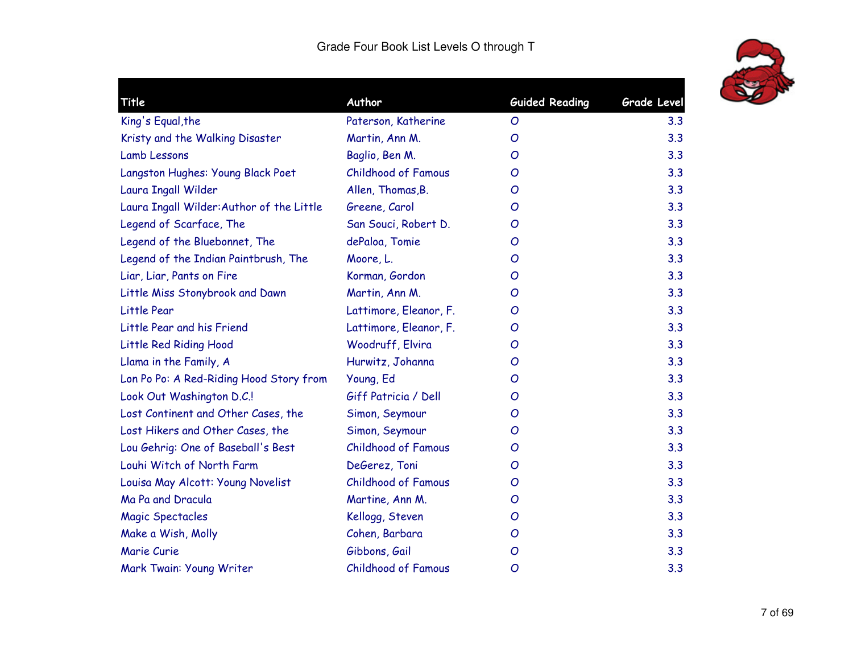

| Title                                     | Author                     | <b>Guided Reading</b> | <b>Grade Level</b> |
|-------------------------------------------|----------------------------|-----------------------|--------------------|
| King's Equal, the                         | Paterson, Katherine        | O                     | 3.3                |
| Kristy and the Walking Disaster           | Martin, Ann M.             | O                     | 3.3                |
| <b>Lamb Lessons</b>                       | Baglio, Ben M.             | O                     | 3.3                |
| Langston Hughes: Young Black Poet         | <b>Childhood of Famous</b> | O                     | 3.3                |
| Laura Ingall Wilder                       | Allen, Thomas, B.          | O                     | 3.3                |
| Laura Ingall Wilder: Author of the Little | Greene, Carol              | O                     | 3.3                |
| Legend of Scarface, The                   | San Souci, Robert D.       | O                     | 3.3                |
| Legend of the Bluebonnet, The             | dePaloa, Tomie             | O                     | 3.3                |
| Legend of the Indian Paintbrush, The      | Moore, L.                  | O                     | 3.3                |
| Liar, Liar, Pants on Fire                 | Korman, Gordon             | O                     | 3.3                |
| Little Miss Stonybrook and Dawn           | Martin, Ann M.             | O                     | 3.3                |
| Little Pear                               | Lattimore, Eleanor, F.     | O                     | 3.3                |
| Little Pear and his Friend                | Lattimore, Eleanor, F.     | O                     | 3.3                |
| Little Red Riding Hood                    | Woodruff, Elvira           | O                     | 3.3                |
| Llama in the Family, A                    | Hurwitz, Johanna           | O                     | 3.3                |
| Lon Po Po: A Red-Riding Hood Story from   | Young, Ed                  | O                     | 3.3                |
| Look Out Washington D.C.!                 | Giff Patricia / Dell       | O                     | 3.3                |
| Lost Continent and Other Cases, the       | Simon, Seymour             | O                     | 3.3                |
| Lost Hikers and Other Cases, the          | Simon, Seymour             | O                     | 3.3                |
| Lou Gehrig: One of Baseball's Best        | <b>Childhood of Famous</b> | O                     | 3.3                |
| Louhi Witch of North Farm                 | DeGerez, Toni              | O                     | 3.3                |
| Louisa May Alcott: Young Novelist         | <b>Childhood of Famous</b> | O                     | 3.3                |
| Ma Pa and Dracula                         | Martine, Ann M.            | O                     | 3.3                |
| <b>Magic Spectacles</b>                   | Kellogg, Steven            | O                     | 3.3                |
| Make a Wish, Molly                        | Cohen, Barbara             | O                     | 3.3                |
| Marie Curie                               | Gibbons, Gail              | O                     | 3.3                |
| Mark Twain: Young Writer                  | <b>Childhood of Famous</b> | O                     | 3.3                |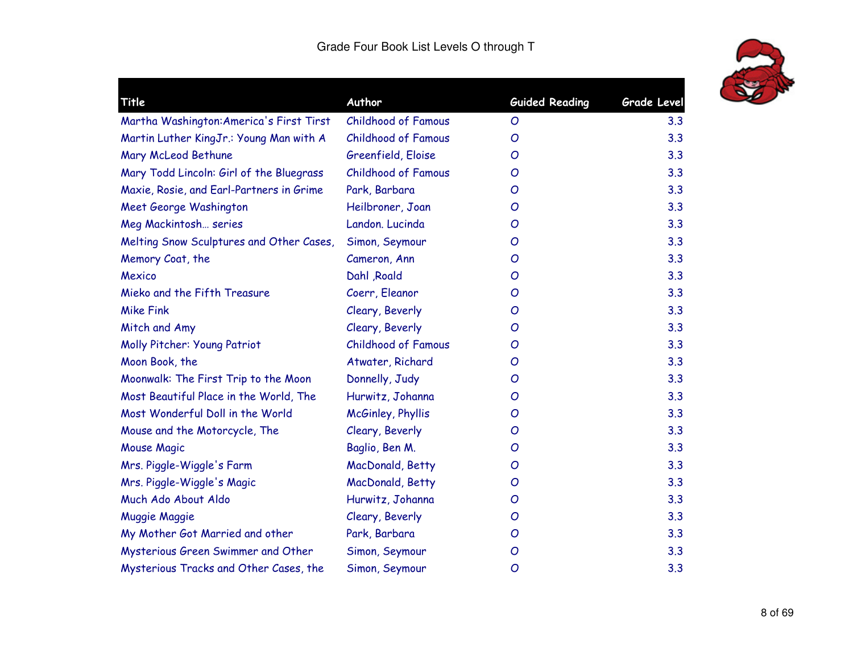

| <b>Title</b>                             | Author                     | <b>Guided Reading</b> | Grade Level |
|------------------------------------------|----------------------------|-----------------------|-------------|
| Martha Washington: America's First Tirst | Childhood of Famous        | O                     | 3.3         |
| Martin Luther KingJr.: Young Man with A  | <b>Childhood of Famous</b> | O                     | 3.3         |
| Mary McLeod Bethune                      | Greenfield, Eloise         | O                     | 3.3         |
| Mary Todd Lincoln: Girl of the Bluegrass | <b>Childhood of Famous</b> | O                     | 3.3         |
| Maxie, Rosie, and Earl-Partners in Grime | Park, Barbara              | O                     | 3.3         |
| Meet George Washington                   | Heilbroner, Joan           | O                     | 3.3         |
| Meg Mackintosh series                    | Landon. Lucinda            | O                     | 3.3         |
| Melting Snow Sculptures and Other Cases, | Simon, Seymour             | O                     | 3.3         |
| Memory Coat, the                         | Cameron, Ann               | O                     | 3.3         |
| Mexico                                   | Dahl , Roald               | O                     | 3.3         |
| Mieko and the Fifth Treasure             | Coerr, Eleanor             | O                     | 3.3         |
| <b>Mike Fink</b>                         | Cleary, Beverly            | O                     | 3.3         |
| Mitch and Amy                            | Cleary, Beverly            | O                     | 3.3         |
| Molly Pitcher: Young Patriot             | <b>Childhood of Famous</b> | O                     | 3.3         |
| Moon Book, the                           | Atwater, Richard           | O                     | 3.3         |
| Moonwalk: The First Trip to the Moon     | Donnelly, Judy             | O                     | 3.3         |
| Most Beautiful Place in the World, The   | Hurwitz, Johanna           | O                     | 3.3         |
| Most Wonderful Doll in the World         | McGinley, Phyllis          | O                     | 3.3         |
| Mouse and the Motorcycle, The            | Cleary, Beverly            | O                     | 3.3         |
| Mouse Magic                              | Baglio, Ben M.             | O                     | 3.3         |
| Mrs. Piggle-Wiggle's Farm                | MacDonald, Betty           | O                     | 3.3         |
| Mrs. Piggle-Wiggle's Magic               | MacDonald, Betty           | O                     | 3.3         |
| Much Ado About Aldo                      | Hurwitz, Johanna           | O                     | 3.3         |
| <b>Muggie Maggie</b>                     | Cleary, Beverly            | O                     | 3.3         |
| My Mother Got Married and other          | Park, Barbara              | O                     | 3.3         |
| Mysterious Green Swimmer and Other       | Simon, Seymour             | O                     | 3.3         |
| Mysterious Tracks and Other Cases, the   | Simon, Seymour             | O                     | 3.3         |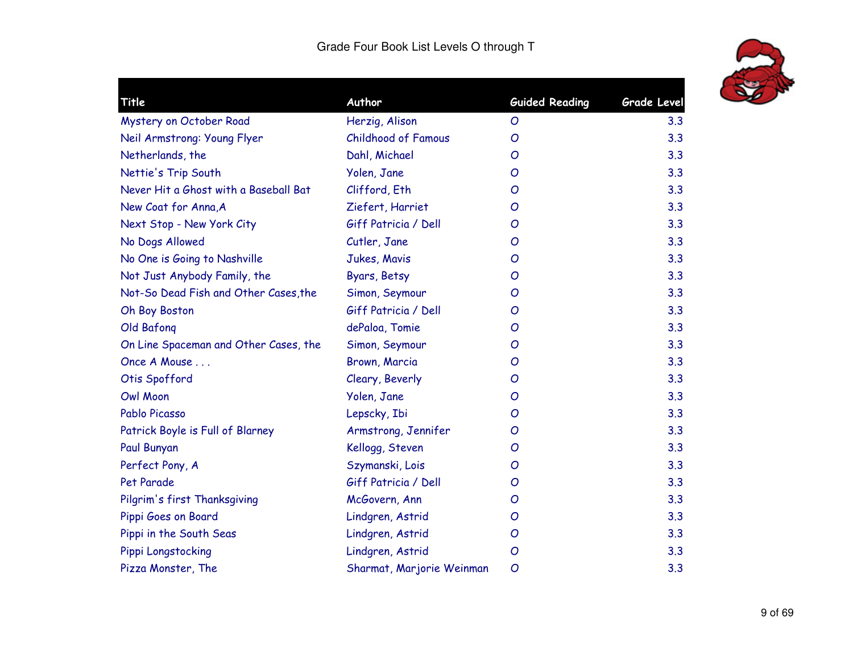

| Title                                 | Author                     | <b>Guided Reading</b> | Grade Level |
|---------------------------------------|----------------------------|-----------------------|-------------|
| Mystery on October Road               | Herzig, Alison             | O                     | 3.3         |
| Neil Armstrong: Young Flyer           | <b>Childhood of Famous</b> | O                     | 3.3         |
| Netherlands, the                      | Dahl, Michael              | O                     | 3.3         |
| Nettie's Trip South                   | Yolen, Jane                | O                     | 3.3         |
| Never Hit a Ghost with a Baseball Bat | Clifford, Eth              | O                     | 3.3         |
| New Coat for Anna, A                  | Ziefert, Harriet           | O                     | 3.3         |
| Next Stop - New York City             | Giff Patricia / Dell       | O                     | 3.3         |
| No Dogs Allowed                       | Cutler, Jane               | O                     | 3.3         |
| No One is Going to Nashville          | Jukes, Mavis               | O                     | 3.3         |
| Not Just Anybody Family, the          | Byars, Betsy               | O                     | 3.3         |
| Not-So Dead Fish and Other Cases, the | Simon, Seymour             | $\mathcal{O}$         | 3.3         |
| Oh Boy Boston                         | Giff Patricia / Dell       | O                     | 3.3         |
| Old Bafong                            | dePaloa, Tomie             | O                     | 3.3         |
| On Line Spaceman and Other Cases, the | Simon, Seymour             | O                     | 3.3         |
| Once A Mouse                          | Brown, Marcia              | O                     | 3.3         |
| Otis Spofford                         | Cleary, Beverly            | O                     | 3.3         |
| <b>Owl Moon</b>                       | Yolen, Jane                | $\mathcal{O}$         | 3.3         |
| Pablo Picasso                         | Lepscky, Ibi               | O                     | 3.3         |
| Patrick Boyle is Full of Blarney      | Armstrong, Jennifer        | O                     | 3.3         |
| Paul Bunyan                           | Kellogg, Steven            | O                     | 3.3         |
| Perfect Pony, A                       | Szymanski, Lois            | O                     | 3.3         |
| Pet Parade                            | Giff Patricia / Dell       | $\mathcal{O}$         | 3.3         |
| Pilgrim's first Thanksgiving          | McGovern, Ann              | O                     | 3.3         |
| Pippi Goes on Board                   | Lindgren, Astrid           | O                     | 3.3         |
| Pippi in the South Seas               | Lindgren, Astrid           | O                     | 3.3         |
| Pippi Longstocking                    | Lindgren, Astrid           | $\overline{O}$        | 3.3         |
| Pizza Monster, The                    | Sharmat, Marjorie Weinman  | $\mathcal{O}$         | 3.3         |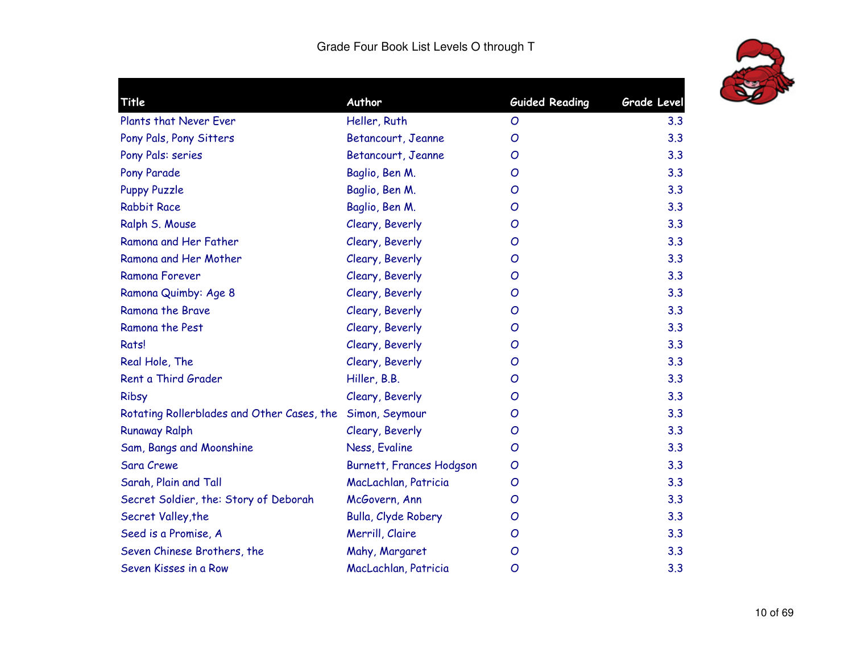

| Title                                      | Author                          | <b>Guided Reading</b> | <b>Grade Level</b> |
|--------------------------------------------|---------------------------------|-----------------------|--------------------|
| Plants that Never Ever                     | Heller, Ruth                    | O                     | 3.3                |
| Pony Pals, Pony Sitters                    | Betancourt, Jeanne              | $\mathcal{O}$         | 3.3                |
| Pony Pals: series                          | Betancourt, Jeanne              | O                     | 3.3                |
| Pony Parade                                | Baglio, Ben M.                  | O                     | 3.3                |
| <b>Puppy Puzzle</b>                        | Baglio, Ben M.                  | O                     | 3.3                |
| <b>Rabbit Race</b>                         | Baglio, Ben M.                  | O                     | 3.3                |
| Ralph S. Mouse                             | Cleary, Beverly                 | O                     | 3.3                |
| Ramona and Her Father                      | Cleary, Beverly                 | O                     | 3.3                |
| Ramona and Her Mother                      | Cleary, Beverly                 | O                     | 3.3                |
| Ramona Forever                             | Cleary, Beverly                 | O                     | 3.3                |
| Ramona Quimby: Age 8                       | Cleary, Beverly                 | O                     | 3.3                |
| Ramona the Brave                           | Cleary, Beverly                 | O                     | 3.3                |
| Ramona the Pest                            | Cleary, Beverly                 | O                     | 3.3                |
| Rats!                                      | Cleary, Beverly                 | O                     | 3.3                |
| Real Hole, The                             | Cleary, Beverly                 | O                     | 3.3                |
| Rent a Third Grader                        | Hiller, B.B.                    | O                     | 3.3                |
| Ribsy                                      | Cleary, Beverly                 | O                     | 3.3                |
| Rotating Rollerblades and Other Cases, the | Simon, Seymour                  | O                     | 3.3                |
| <b>Runaway Ralph</b>                       | Cleary, Beverly                 | O                     | 3.3                |
| Sam, Bangs and Moonshine                   | Ness, Evaline                   | O                     | 3.3                |
| <b>Sara Crewe</b>                          | <b>Burnett, Frances Hodgson</b> | O                     | 3.3                |
| Sarah, Plain and Tall                      | MacLachlan, Patricia            | O                     | 3.3                |
| Secret Soldier, the: Story of Deborah      | McGovern, Ann                   | O                     | 3.3                |
| Secret Valley, the                         | Bulla, Clyde Robery             | O                     | 3.3                |
| Seed is a Promise, A                       | Merrill, Claire                 | O                     | 3.3                |
| Seven Chinese Brothers, the                | Mahy, Margaret                  | O                     | 3.3                |
| Seven Kisses in a Row                      | MacLachlan, Patricia            | O                     | 3.3                |
|                                            |                                 |                       |                    |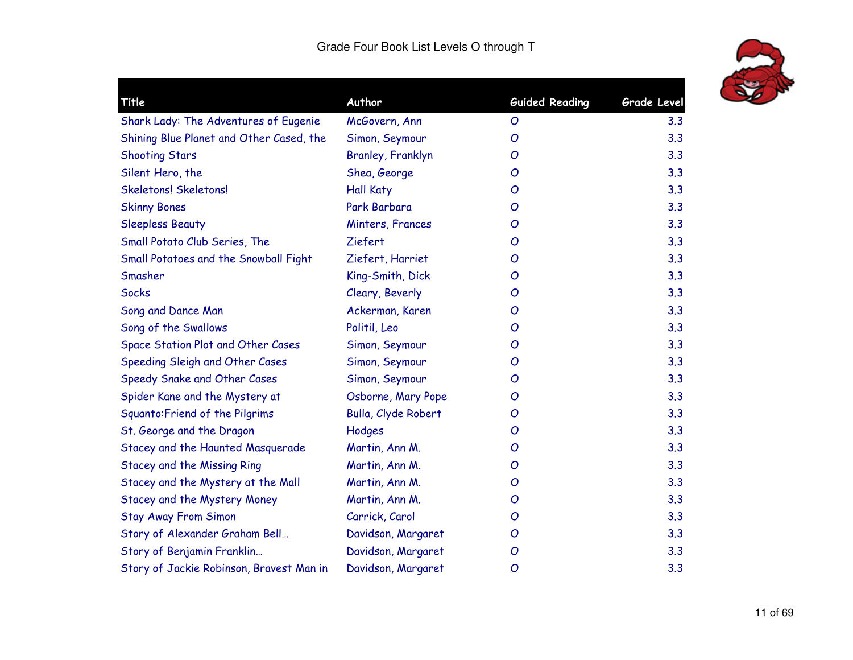

| <b>Title</b>                             | Author                   | <b>Guided Reading</b> | <b>Grade Level</b> |
|------------------------------------------|--------------------------|-----------------------|--------------------|
| Shark Lady: The Adventures of Eugenie    | McGovern, Ann            | O                     | 3.3                |
| Shining Blue Planet and Other Cased, the | Simon, Seymour           | O                     | 3.3                |
| <b>Shooting Stars</b>                    | <b>Branley, Franklyn</b> | O                     | 3.3                |
| Silent Hero, the                         | Shea, George             | O                     | 3.3                |
| <b>Skeletons! Skeletons!</b>             | <b>Hall Katy</b>         | O                     | 3.3                |
| <b>Skinny Bones</b>                      | Park Barbara             | O                     | 3.3                |
| <b>Sleepless Beauty</b>                  | Minters, Frances         | O                     | 3.3                |
| Small Potato Club Series, The            | Ziefert                  | O                     | 3.3                |
| Small Potatoes and the Snowball Fight    | Ziefert, Harriet         | O                     | 3.3                |
| Smasher                                  | King-Smith, Dick         | O                     | 3.3                |
| <b>Socks</b>                             | Cleary, Beverly          | O                     | 3.3                |
| Song and Dance Man                       | Ackerman, Karen          | O                     | 3.3                |
| Song of the Swallows                     | Politil, Leo             | O                     | 3.3                |
| Space Station Plot and Other Cases       | Simon, Seymour           | O                     | 3.3                |
| Speeding Sleigh and Other Cases          | Simon, Seymour           | O                     | 3.3                |
| Speedy Snake and Other Cases             | Simon, Seymour           | O                     | 3.3                |
| Spider Kane and the Mystery at           | Osborne, Mary Pope       | O                     | 3.3                |
| Squanto: Friend of the Pilgrims          | Bulla, Clyde Robert      | O                     | 3.3                |
| St. George and the Dragon                | Hodges                   | O                     | 3.3                |
| Stacey and the Haunted Masquerade        | Martin, Ann M.           | O                     | 3.3                |
| <b>Stacey and the Missing Ring</b>       | Martin, Ann M.           | O                     | 3.3                |
| Stacey and the Mystery at the Mall       | Martin, Ann M.           | O                     | 3.3                |
| Stacey and the Mystery Money             | Martin, Ann M.           | O                     | 3.3                |
| <b>Stay Away From Simon</b>              | Carrick, Carol           | O                     | 3.3                |
| Story of Alexander Graham Bell           | Davidson, Margaret       | O                     | 3.3                |
| Story of Benjamin Franklin               | Davidson, Margaret       | O                     | 3.3                |
| Story of Jackie Robinson, Bravest Man in | Davidson, Margaret       | O                     | 3.3                |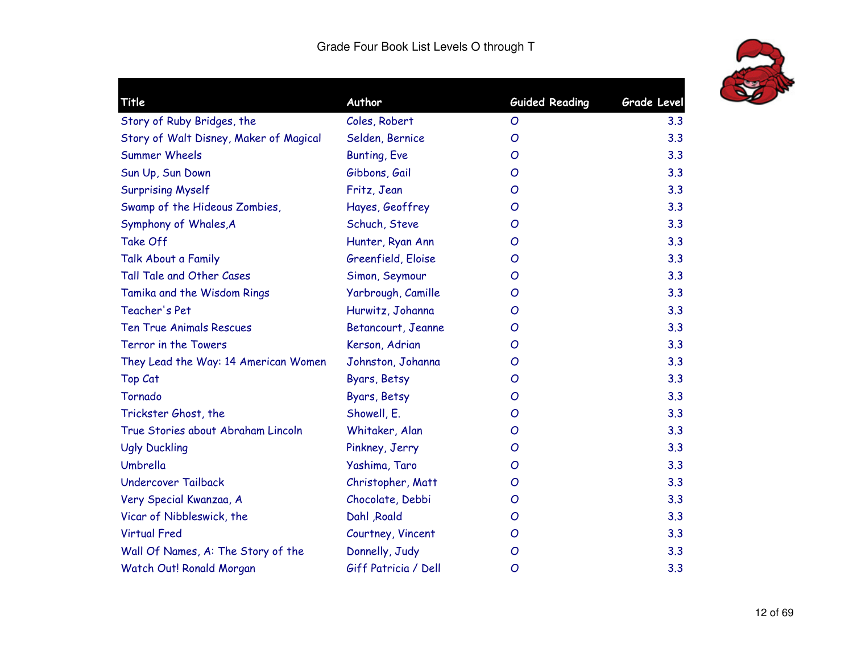

| Title                                  | Author               | <b>Guided Reading</b> | Grade Level |
|----------------------------------------|----------------------|-----------------------|-------------|
| Story of Ruby Bridges, the             | Coles, Robert        | O                     | 3.3         |
| Story of Walt Disney, Maker of Magical | Selden, Bernice      | O                     | 3.3         |
| <b>Summer Wheels</b>                   | <b>Bunting, Eve</b>  | O                     | 3.3         |
| Sun Up, Sun Down                       | Gibbons, Gail        | O                     | 3.3         |
| <b>Surprising Myself</b>               | Fritz, Jean          | O                     | 3.3         |
| Swamp of the Hideous Zombies,          | Hayes, Geoffrey      | O                     | 3.3         |
| Symphony of Whales, A                  | Schuch, Steve        | O                     | 3.3         |
| Take Off                               | Hunter, Ryan Ann     | O                     | 3.3         |
| Talk About a Family                    | Greenfield, Eloise   | O                     | 3.3         |
| Tall Tale and Other Cases              | Simon, Seymour       | O                     | 3.3         |
| Tamika and the Wisdom Rings            | Yarbrough, Camille   | O                     | 3.3         |
| Teacher's Pet                          | Hurwitz, Johanna     | O                     | 3.3         |
| <b>Ten True Animals Rescues</b>        | Betancourt, Jeanne   | O                     | 3.3         |
| Terror in the Towers                   | Kerson, Adrian       | O                     | 3.3         |
| They Lead the Way: 14 American Women   | Johnston, Johanna    | O                     | 3.3         |
| <b>Top Cat</b>                         | Byars, Betsy         | O                     | 3.3         |
| Tornado                                | Byars, Betsy         | O                     | 3.3         |
| Trickster Ghost, the                   | Showell, E.          | O                     | 3.3         |
| True Stories about Abraham Lincoln     | Whitaker, Alan       | O                     | 3.3         |
| <b>Ugly Duckling</b>                   | Pinkney, Jerry       | O                     | 3.3         |
| Umbrella                               | Yashima, Taro        | O                     | 3.3         |
| <b>Undercover Tailback</b>             | Christopher, Matt    | O                     | 3.3         |
| Very Special Kwanzaa, A                | Chocolate, Debbi     | O                     | 3.3         |
| Vicar of Nibbleswick, the              | Dahl , Roald         | O                     | 3.3         |
| <b>Virtual Fred</b>                    | Courtney, Vincent    | O                     | 3.3         |
| Wall Of Names, A: The Story of the     | Donnelly, Judy       | $\mathcal{O}$         | 3.3         |
| Watch Out! Ronald Morgan               | Giff Patricia / Dell | $\mathcal{O}$         | 3.3         |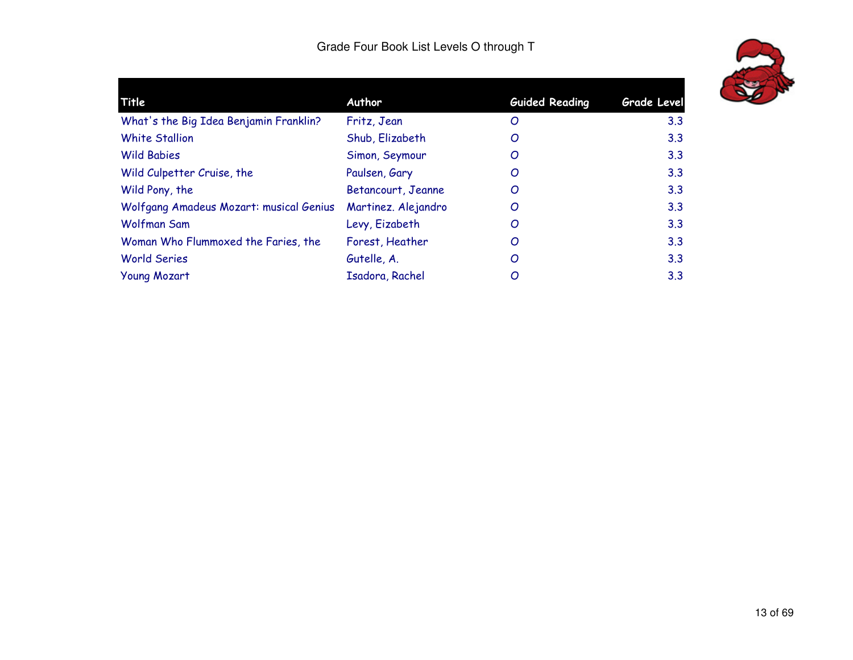

| Title                                   | Author              | <b>Guided Reading</b> | <b>Grade Level</b> |
|-----------------------------------------|---------------------|-----------------------|--------------------|
| What's the Big Idea Benjamin Franklin?  | Fritz, Jean         | O                     | 3.3                |
| <b>White Stallion</b>                   | Shub, Elizabeth     | O                     | 3.3                |
| <b>Wild Babies</b>                      | Simon, Seymour      | O                     | 3.3                |
| Wild Culpetter Cruise, the              | Paulsen, Gary       | O                     | 3.3                |
| Wild Pony, the                          | Betancourt, Jeanne  | O                     | 3.3                |
| Wolfgang Amadeus Mozart: musical Genius | Martinez. Alejandro | O                     | 3.3                |
| Wolfman Sam                             | Levy, Eizabeth      | O                     | 3.3                |
| Woman Who Flummoxed the Faries, the     | Forest, Heather     | O                     | 3.3                |
| <b>World Series</b>                     | Gutelle, A.         | O                     | 3.3                |
| <b>Young Mozart</b>                     | Isadora, Rachel     | O                     | 3.3                |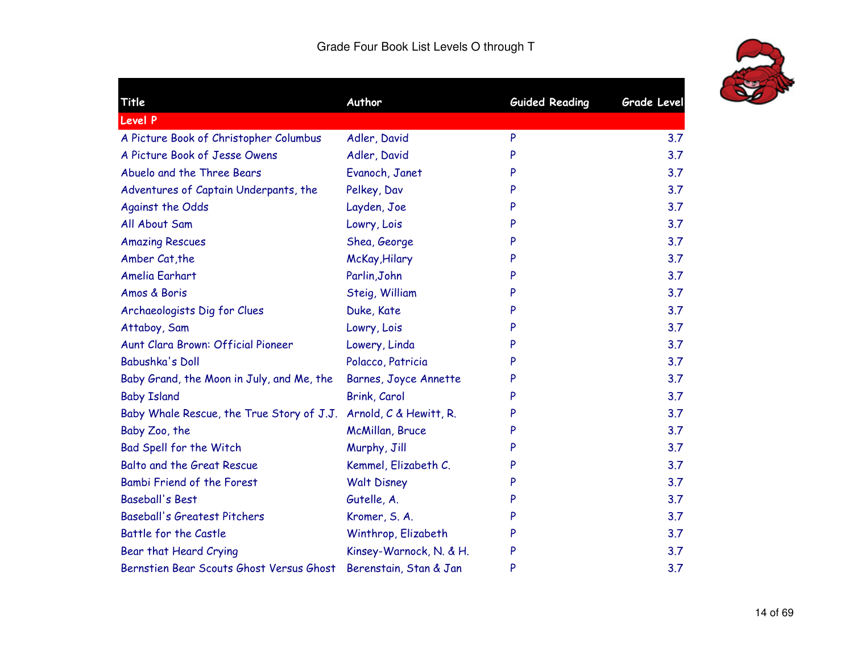

| Title                                     | Author                       | <b>Guided Reading</b> | <b>Grade Level</b> |
|-------------------------------------------|------------------------------|-----------------------|--------------------|
| <b>Level P</b>                            |                              |                       |                    |
| A Picture Book of Christopher Columbus    | Adler, David                 | P                     | 3.7                |
| A Picture Book of Jesse Owens             | Adler, David                 | P                     | 3.7                |
| Abuelo and the Three Bears                | Evanoch, Janet               |                       | 3.7                |
| Adventures of Captain Underpants, the     | Pelkey, Dav                  |                       | 3.7                |
| <b>Against the Odds</b>                   | Layden, Joe                  | P                     | 3.7                |
| All About Sam                             | Lowry, Lois                  |                       | 3.7                |
| <b>Amazing Rescues</b>                    | Shea, George                 |                       | 3.7                |
| Amber Cat, the                            | McKay, Hilary                | P                     | 3.7                |
| Amelia Earhart                            | Parlin, John                 |                       | 3.7                |
| Amos & Boris                              | Steig, William               | P                     | 3.7                |
| Archaeologists Dig for Clues              | Duke, Kate                   | P                     | 3.7                |
| Attaboy, Sam                              | Lowry, Lois                  |                       | 3.7                |
| Aunt Clara Brown: Official Pioneer        | Lowery, Linda                |                       | 3.7                |
| Babushka's Doll                           | Polacco, Patricia            | P                     | 3.7                |
| Baby Grand, the Moon in July, and Me, the | <b>Barnes, Joyce Annette</b> |                       | 3.7                |
| <b>Baby Island</b>                        | Brink, Carol                 | P                     | 3.7                |
| Baby Whale Rescue, the True Story of J.J. | Arnold, C & Hewitt, R.       |                       | 3.7                |
| Baby Zoo, the                             | McMillan, Bruce              |                       | 3.7                |
| Bad Spell for the Witch                   | Murphy, Jill                 |                       | 3.7                |
| Balto and the Great Rescue                | Kemmel, Elizabeth C.         |                       | 3.7                |
| Bambi Friend of the Forest                | <b>Walt Disney</b>           | P                     | 3.7                |
| <b>Baseball's Best</b>                    | Gutelle, A.                  |                       | 3.7                |
| <b>Baseball's Greatest Pitchers</b>       | Kromer, S. A.                | P                     | 3.7                |
| Battle for the Castle                     | Winthrop, Elizabeth          |                       | 3.7                |
| Bear that Heard Crying                    | Kinsey-Warnock, N. & H.      | P                     | 3.7                |
| Bernstien Bear Scouts Ghost Versus Ghost  | Berenstain, Stan & Jan       | P                     | 3.7                |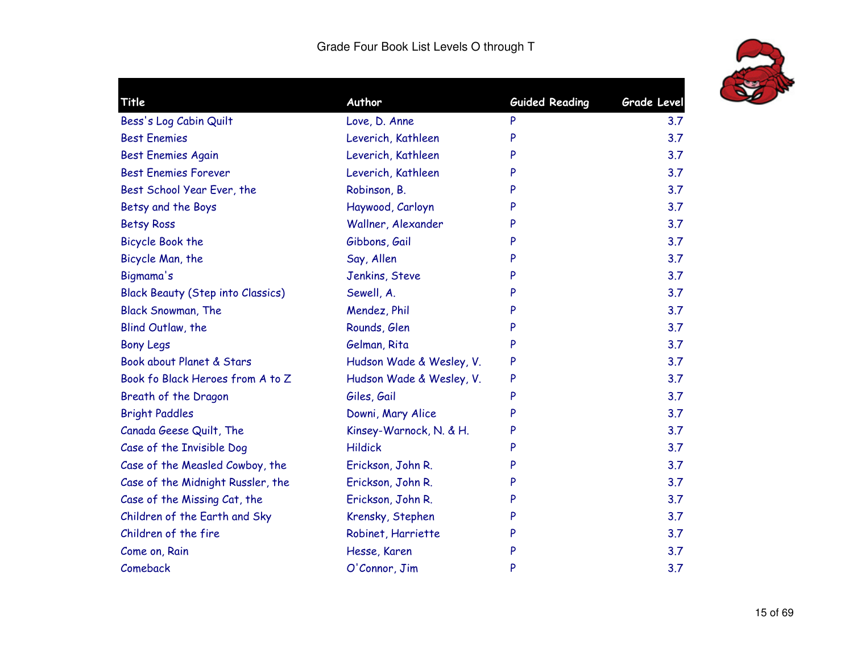

| Title                                    | Author                   | <b>Guided Reading</b> | Grade Level |
|------------------------------------------|--------------------------|-----------------------|-------------|
| Bess's Log Cabin Quilt                   | Love, D. Anne            | P                     | 3.7         |
| <b>Best Enemies</b>                      | Leverich, Kathleen       | P                     | 3.7         |
| <b>Best Enemies Again</b>                | Leverich, Kathleen       | P                     | 3.7         |
| <b>Best Enemies Forever</b>              | Leverich, Kathleen       | P                     | 3.7         |
| Best School Year Ever, the               | Robinson, B.             | P                     | 3.7         |
| Betsy and the Boys                       | Haywood, Carloyn         | P                     | 3.7         |
| <b>Betsy Ross</b>                        | Wallner, Alexander       | P                     | 3.7         |
| <b>Bicycle Book the</b>                  | Gibbons, Gail            | P                     | 3.7         |
| Bicycle Man, the                         | Say, Allen               | P                     | 3.7         |
| Bigmama's                                | Jenkins, Steve           | P                     | 3.7         |
| <b>Black Beauty (Step into Classics)</b> | Sewell, A.               | P                     | 3.7         |
| <b>Black Snowman, The</b>                | Mendez, Phil             | P                     | 3.7         |
| Blind Outlaw, the                        | Rounds, Glen             | P                     | 3.7         |
| <b>Bony Legs</b>                         | Gelman, Rita             | P                     | 3.7         |
| Book about Planet & Stars                | Hudson Wade & Wesley, V. | P                     | 3.7         |
| Book fo Black Heroes from A to Z         | Hudson Wade & Wesley, V. | P                     | 3.7         |
| Breath of the Dragon                     | Giles, Gail              | P                     | 3.7         |
| <b>Bright Paddles</b>                    | Downi, Mary Alice        | P                     | 3.7         |
| Canada Geese Quilt, The                  | Kinsey-Warnock, N. & H.  | P                     | 3.7         |
| Case of the Invisible Dog                | <b>Hildick</b>           | P                     | 3.7         |
| Case of the Measled Cowboy, the          | Erickson, John R.        | P                     | 3.7         |
| Case of the Midnight Russler, the        | Erickson, John R.        | P                     | 3.7         |
| Case of the Missing Cat, the             | Erickson, John R.        | P                     | 3.7         |
| Children of the Earth and Sky            | Krensky, Stephen         | P                     | 3.7         |
| Children of the fire                     | Robinet, Harriette       | P                     | 3.7         |
| Come on, Rain                            | Hesse, Karen             | P                     | 3.7         |
| Comeback                                 | O'Connor, Jim            | P                     | 3.7         |
|                                          |                          |                       |             |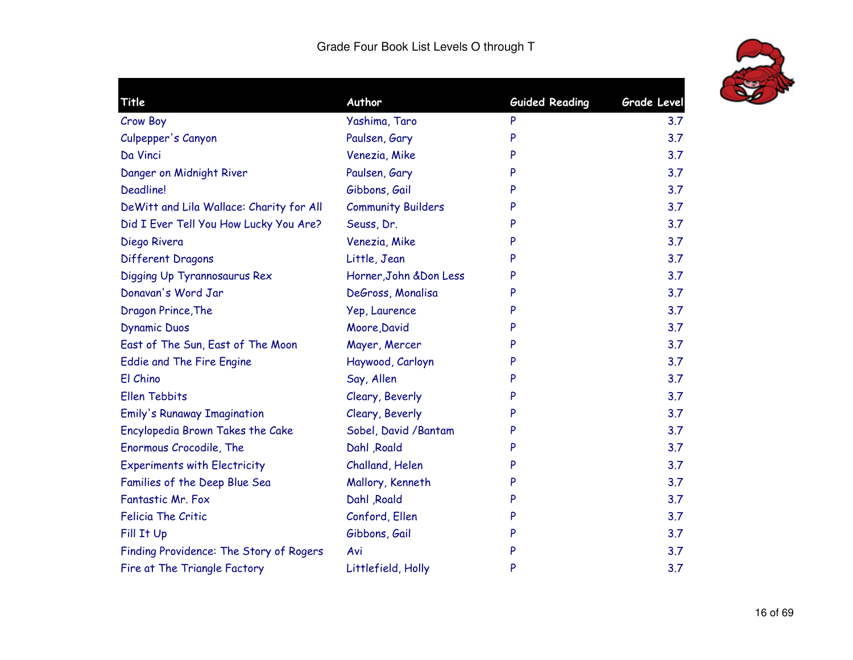

| Title                                    | Author                    | <b>Guided Reading</b> | <b>Grade Level</b> |
|------------------------------------------|---------------------------|-----------------------|--------------------|
| Crow Boy                                 | Yashima, Taro             | P                     | 3.7                |
| Culpepper's Canyon                       | Paulsen, Gary             | P                     | 3.7                |
| Da Vinci                                 | Venezia, Mike             | P                     | 3.7                |
| Danger on Midnight River                 | Paulsen, Gary             | P                     | 3.7                |
| <b>Deadline!</b>                         | Gibbons, Gail             | P                     | 3.7                |
| DeWitt and Lila Wallace: Charity for All | <b>Community Builders</b> | P                     | 3.7                |
| Did I Ever Tell You How Lucky You Are?   | Seuss, Dr.                | P                     | 3.7                |
| Diego Rivera                             | Venezia, Mike             | P                     | 3.7                |
| Different Dragons                        | Little, Jean              | P                     | 3.7                |
| Digging Up Tyrannosaurus Rex             | Horner, John & Don Less   | P                     | 3.7                |
| Donavan's Word Jar                       | DeGross, Monalisa         | P                     | 3.7                |
| Dragon Prince, The                       | Yep, Laurence             | P                     | 3.7                |
| <b>Dynamic Duos</b>                      | Moore, David              | P                     | 3.7                |
| East of The Sun, East of The Moon        | Mayer, Mercer             | P                     | 3.7                |
| Eddie and The Fire Engine                | Haywood, Carloyn          | P                     | 3.7                |
| El Chino                                 | Say, Allen                | P                     | 3.7                |
| <b>Ellen Tebbits</b>                     | Cleary, Beverly           | P                     | 3.7                |
| <b>Emily's Runaway Imagination</b>       | Cleary, Beverly           | P                     | 3.7                |
| Encylopedia Brown Takes the Cake         | Sobel, David / Bantam     | P                     | 3.7                |
| Enormous Crocodile, The                  | Dahl , Roald              | P                     | 3.7                |
| <b>Experiments with Electricity</b>      | Challand, Helen           | P                     | 3.7                |
| Families of the Deep Blue Sea            | Mallory, Kenneth          | P                     | 3.7                |
| Fantastic Mr. Fox                        | Dahl , Roald              | P                     | 3.7                |
| <b>Felicia The Critic</b>                | Conford, Ellen            | P                     | 3.7                |
| Fill It Up                               | Gibbons, Gail             | P                     | 3.7                |
| Finding Providence: The Story of Rogers  | Avi                       | P                     | 3.7                |
| Fire at The Triangle Factory             | Littlefield, Holly        | P                     | 3.7                |
|                                          |                           |                       |                    |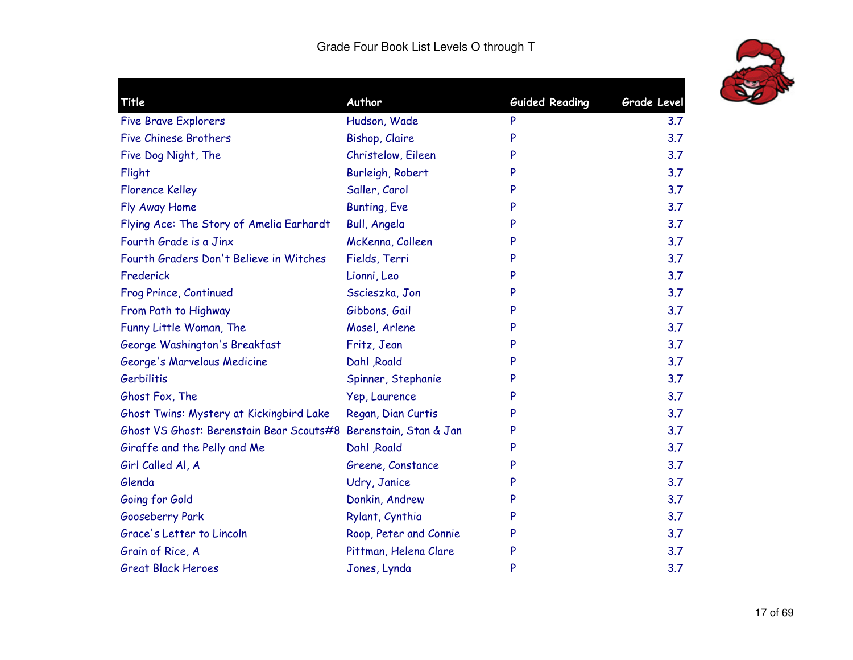

| Title                                                           | Author                 | <b>Guided Reading</b> | <b>Grade Level</b> |
|-----------------------------------------------------------------|------------------------|-----------------------|--------------------|
|                                                                 |                        |                       | 3.7                |
| <b>Five Brave Explorers</b>                                     | Hudson, Wade           | P                     |                    |
| <b>Five Chinese Brothers</b>                                    | <b>Bishop, Claire</b>  | P                     | 3.7                |
| Five Dog Night, The                                             | Christelow, Eileen     | P                     | 3.7                |
| Flight                                                          | Burleigh, Robert       | P                     | 3.7                |
| <b>Florence Kelley</b>                                          | Saller, Carol          | P                     | 3.7                |
| Fly Away Home                                                   | <b>Bunting, Eve</b>    | P                     | 3.7                |
| Flying Ace: The Story of Amelia Earhardt                        | <b>Bull, Angela</b>    | P                     | 3.7                |
| Fourth Grade is a Jinx                                          | McKenna, Colleen       | P                     | 3.7                |
| Fourth Graders Don't Believe in Witches                         | Fields, Terri          | P                     | 3.7                |
| Frederick                                                       | Lionni, Leo            | P                     | 3.7                |
| Frog Prince, Continued                                          | Sscieszka, Jon         | P                     | 3.7                |
| From Path to Highway                                            | Gibbons, Gail          | P                     | 3.7                |
| Funny Little Woman, The                                         | Mosel, Arlene          | P                     | 3.7                |
| George Washington's Breakfast                                   | Fritz, Jean            | P                     | 3.7                |
| George's Marvelous Medicine                                     | Dahl , Roald           | P                     | 3.7                |
| Gerbilitis                                                      | Spinner, Stephanie     | P                     | 3.7                |
| Ghost Fox, The                                                  | Yep, Laurence          | P                     | 3.7                |
| Ghost Twins: Mystery at Kickingbird Lake                        | Regan, Dian Curtis     | P                     | 3.7                |
| Ghost VS Ghost: Berenstain Bear Scouts#8 Berenstain, Stan & Jan |                        | P                     | 3.7                |
| Giraffe and the Pelly and Me                                    | Dahl , Roald           | P                     | 3.7                |
| Girl Called Al, A                                               | Greene, Constance      | P                     | 3.7                |
| Glenda                                                          | Udry, Janice           | P                     | 3.7                |
| Going for Gold                                                  | Donkin, Andrew         | P                     | 3.7                |
| Gooseberry Park                                                 | Rylant, Cynthia        | P                     | 3.7                |
| Grace's Letter to Lincoln                                       | Roop, Peter and Connie | P                     | 3.7                |
| Grain of Rice, A                                                | Pittman, Helena Clare  | P                     | 3.7                |
| <b>Great Black Heroes</b>                                       | Jones, Lynda           | P                     | 3.7                |
|                                                                 |                        |                       |                    |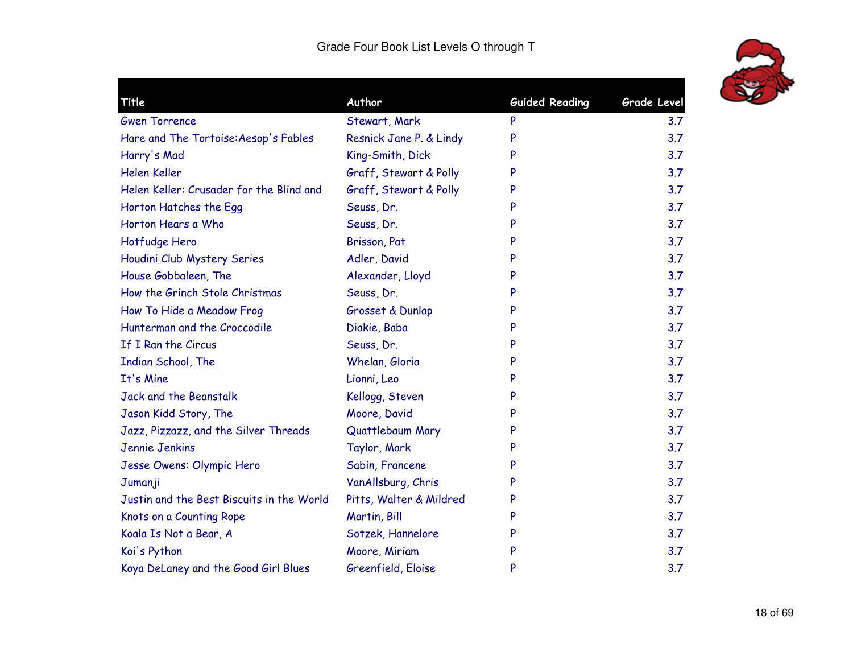

| <b>Title</b>                              | Author                  | <b>Guided Reading</b> | <b>Grade Level</b> |
|-------------------------------------------|-------------------------|-----------------------|--------------------|
| <b>Gwen Torrence</b>                      | Stewart, Mark           | P                     | 3.7                |
| Hare and The Tortoise: Aesop's Fables     | Resnick Jane P. & Lindy | P                     | 3.7                |
| Harry's Mad                               | King-Smith, Dick        | P                     | 3.7                |
| Helen Keller                              | Graff, Stewart & Polly  | P                     | 3.7                |
| Helen Keller: Crusader for the Blind and  | Graff, Stewart & Polly  | P                     | 3.7                |
| Horton Hatches the Egg                    | Seuss, Dr.              | P                     | 3.7                |
| Horton Hears a Who                        | Seuss, Dr.              | P                     | 3.7                |
| Hotfudge Hero                             | Brisson, Pat            | P                     | 3.7                |
| Houdini Club Mystery Series               | Adler, David            | P                     | 3.7                |
| House Gobbaleen, The                      | Alexander, Lloyd        | P                     | 3.7                |
| How the Grinch Stole Christmas            | Seuss, Dr.              | P                     | 3.7                |
| How To Hide a Meadow Frog                 | Grosset & Dunlap        | P                     | 3.7                |
| Hunterman and the Croccodile              | Diakie, Baba            | P                     | 3.7                |
| If I Ran the Circus                       | Seuss, Dr.              | P                     | 3.7                |
| Indian School, The                        | Whelan, Gloria          | P                     | 3.7                |
| It's Mine                                 | Lionni, Leo             | P                     | 3.7                |
| <b>Jack and the Beanstalk</b>             | Kellogg, Steven         | P                     | 3.7                |
| Jason Kidd Story, The                     | Moore, David            | P                     | 3.7                |
| Jazz, Pizzazz, and the Silver Threads     | Quattlebaum Mary        | P                     | 3.7                |
| Jennie Jenkins                            | Taylor, Mark            |                       | 3.7                |
| Jesse Owens: Olympic Hero                 | Sabin, Francene         | P                     | 3.7                |
| Jumanji                                   | VanAllsburg, Chris      | P                     | 3.7                |
| Justin and the Best Biscuits in the World | Pitts, Walter & Mildred | P                     | 3.7                |
| Knots on a Counting Rope                  | Martin, Bill            | P                     | 3.7                |
| Koala Is Not a Bear, A                    | Sotzek, Hannelore       | P                     | 3.7                |
| Koi's Python                              | Moore, Miriam           | P                     | 3.7                |
| Koya DeLaney and the Good Girl Blues      | Greenfield, Eloise      | P                     | 3.7                |
|                                           |                         |                       |                    |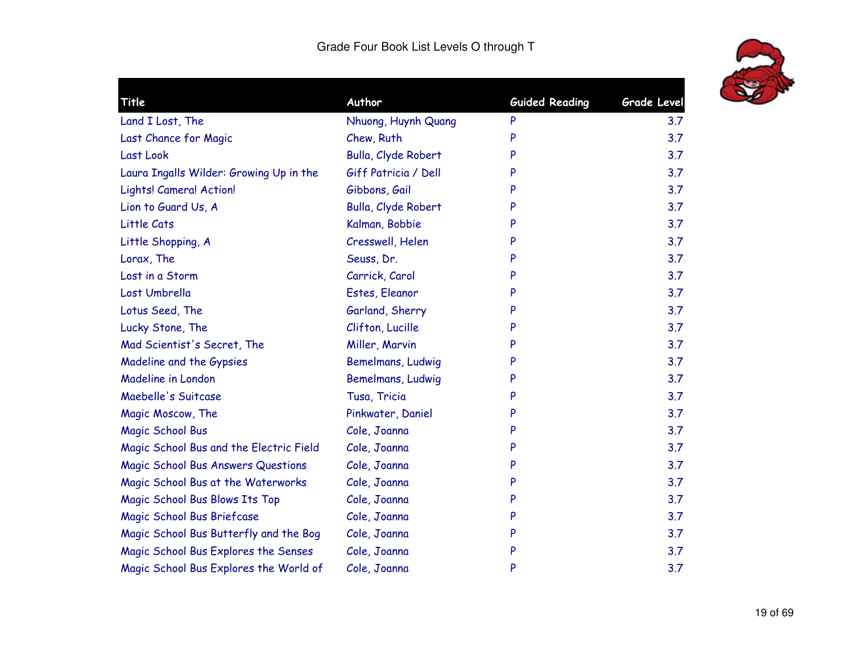

| Title                                   | Author               | <b>Guided Reading</b> | Grade Level |
|-----------------------------------------|----------------------|-----------------------|-------------|
| Land I Lost, The                        | Nhuong, Huynh Quang  | P                     | 3.7         |
| Last Chance for Magic                   | Chew, Ruth           | P                     | 3.7         |
| Last Look                               | Bulla, Clyde Robert  | P                     | 3.7         |
| Laura Ingalls Wilder: Growing Up in the | Giff Patricia / Dell | P                     | 3.7         |
| Lights! Camera! Action!                 | Gibbons, Gail        | P                     | 3.7         |
| Lion to Guard Us, A                     | Bulla, Clyde Robert  |                       | 3.7         |
| Little Cats                             | Kalman, Bobbie       | P                     | 3.7         |
| Little Shopping, A                      | Cresswell, Helen     | P                     | 3.7         |
| Lorax, The                              | Seuss, Dr.           | P                     | 3.7         |
| Lost in a Storm                         | Carrick, Carol       | P                     | 3.7         |
| Lost Umbrella                           | Estes, Eleanor       | P                     | 3.7         |
| Lotus Seed, The                         | Garland, Sherry      | P                     | 3.7         |
| Lucky Stone, The                        | Clifton, Lucille     | P                     | 3.7         |
| Mad Scientist's Secret, The             | Miller, Marvin       | P                     | 3.7         |
| Madeline and the Gypsies                | Bemelmans, Ludwig    | P                     | 3.7         |
| Madeline in London                      | Bemelmans, Ludwig    | P                     | 3.7         |
| Maebelle's Suitcase                     | Tusa, Tricia         | P                     | 3.7         |
| Magic Moscow, The                       | Pinkwater, Daniel    | P                     | 3.7         |
| <b>Magic School Bus</b>                 | Cole, Joanna         | P                     | 3.7         |
| Magic School Bus and the Electric Field | Cole, Joanna         | P                     | 3.7         |
| Magic School Bus Answers Questions      | Cole, Joanna         | P                     | 3.7         |
| Magic School Bus at the Waterworks      | Cole, Joanna         | P                     | 3.7         |
| Magic School Bus Blows Its Top          | Cole, Joanna         | P                     | 3.7         |
| Magic School Bus Briefcase              | Cole, Joanna         | P                     | 3.7         |
| Magic School Bus Butterfly and the Bog  | Cole, Joanna         | P                     | 3.7         |
| Magic School Bus Explores the Senses    | Cole, Joanna         | P                     | 3.7         |
| Magic School Bus Explores the World of  | Cole, Joanna         | P                     | 3.7         |
|                                         |                      |                       |             |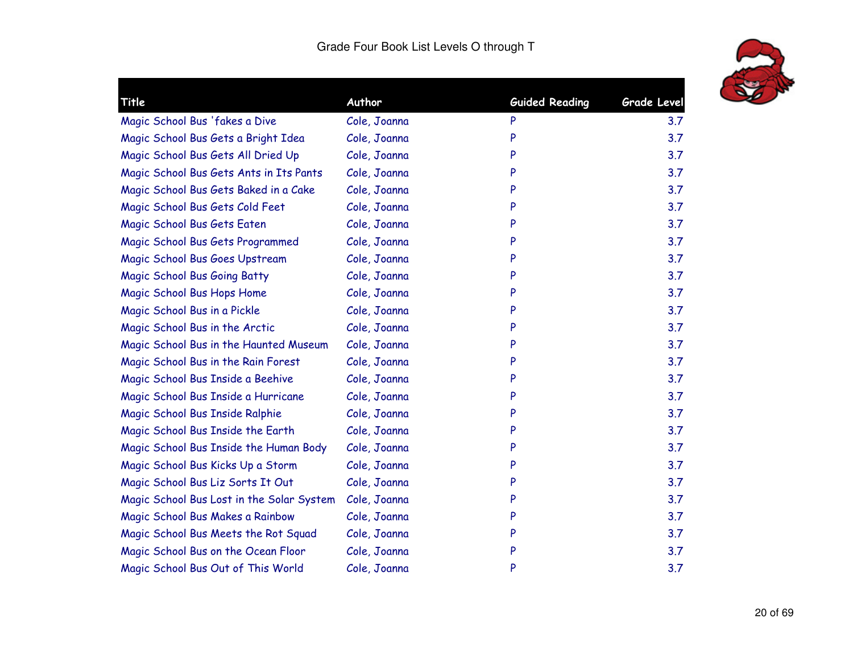

| Title                                     | Author       | <b>Guided Reading</b> | <b>Grade Level</b> |
|-------------------------------------------|--------------|-----------------------|--------------------|
| Magic School Bus 'fakes a Dive            | Cole, Joanna | P                     | 3.7                |
| Magic School Bus Gets a Bright Idea       | Cole, Joanna | P                     | 3.7                |
| Magic School Bus Gets All Dried Up        | Cole, Joanna | P                     | 3.7                |
| Magic School Bus Gets Ants in Its Pants   | Cole, Joanna | P                     | 3.7                |
| Magic School Bus Gets Baked in a Cake     | Cole, Joanna | P                     | 3.7                |
| Magic School Bus Gets Cold Feet           | Cole, Joanna | P                     | 3.7                |
| Magic School Bus Gets Eaten               | Cole, Joanna | P                     | 3.7                |
| Magic School Bus Gets Programmed          | Cole, Joanna | P                     | 3.7                |
| Magic School Bus Goes Upstream            | Cole, Joanna | P                     | 3.7                |
| Magic School Bus Going Batty              | Cole, Joanna | P                     | 3.7                |
| Magic School Bus Hops Home                | Cole, Joanna | P                     | 3.7                |
| Magic School Bus in a Pickle              | Cole, Joanna | P                     | 3.7                |
| Magic School Bus in the Arctic            | Cole, Joanna | P                     | 3.7                |
| Magic School Bus in the Haunted Museum    | Cole, Joanna | P                     | 3.7                |
| Magic School Bus in the Rain Forest       | Cole, Joanna | P                     | 3.7                |
| Magic School Bus Inside a Beehive         | Cole, Joanna | P                     | 3.7                |
| Magic School Bus Inside a Hurricane       | Cole, Joanna | P                     | 3.7                |
| Magic School Bus Inside Ralphie           | Cole, Joanna | P                     | 3.7                |
| Magic School Bus Inside the Earth         | Cole, Joanna | P                     | 3.7                |
| Magic School Bus Inside the Human Body    | Cole, Joanna | P                     | 3.7                |
| Magic School Bus Kicks Up a Storm         | Cole, Joanna | P                     | 3.7                |
| Magic School Bus Liz Sorts It Out         | Cole, Joanna | P                     | 3.7                |
| Magic School Bus Lost in the Solar System | Cole, Joanna | P                     | 3.7                |
| Magic School Bus Makes a Rainbow          | Cole, Joanna | P                     | 3.7                |
| Magic School Bus Meets the Rot Squad      | Cole, Joanna | P                     | 3.7                |
| Magic School Bus on the Ocean Floor       | Cole, Joanna | P                     | 3.7                |
| Magic School Bus Out of This World        | Cole, Joanna | P                     | 3.7                |
|                                           |              |                       |                    |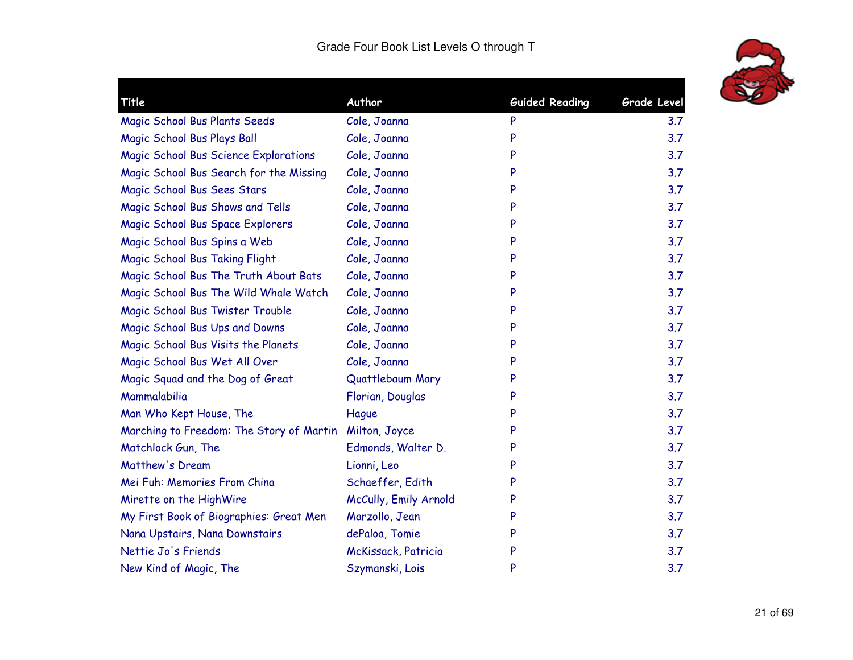

| Title                                        | Author                | <b>Guided Reading</b> | Grade Level |
|----------------------------------------------|-----------------------|-----------------------|-------------|
| Magic School Bus Plants Seeds                | Cole, Joanna          | P                     | 3.7         |
| Magic School Bus Plays Ball                  | Cole, Joanna          | P                     | 3.7         |
| <b>Magic School Bus Science Explorations</b> | Cole, Joanna          | P                     | 3.7         |
| Magic School Bus Search for the Missing      | Cole, Joanna          | P                     | 3.7         |
| Magic School Bus Sees Stars                  | Cole, Joanna          | P                     | 3.7         |
| Magic School Bus Shows and Tells             | Cole, Joanna          | P                     | 3.7         |
| Magic School Bus Space Explorers             | Cole, Joanna          | P                     | 3.7         |
| Magic School Bus Spins a Web                 | Cole, Joanna          | P                     | 3.7         |
| Magic School Bus Taking Flight               | Cole, Joanna          | P                     | 3.7         |
| Magic School Bus The Truth About Bats        | Cole, Joanna          | P                     | 3.7         |
| Magic School Bus The Wild Whale Watch        | Cole, Joanna          | P                     | 3.7         |
| Magic School Bus Twister Trouble             | Cole, Joanna          | P                     | 3.7         |
| Magic School Bus Ups and Downs               | Cole, Joanna          | P                     | 3.7         |
| Magic School Bus Visits the Planets          | Cole, Joanna          | P                     | 3.7         |
| Magic School Bus Wet All Over                | Cole, Joanna          | P                     | 3.7         |
| Magic Squad and the Dog of Great             | Quattlebaum Mary      | P                     | 3.7         |
| Mammalabilia                                 | Florian, Douglas      | P                     | 3.7         |
| Man Who Kept House, The                      | Hague                 | P                     | 3.7         |
| Marching to Freedom: The Story of Martin     | Milton, Joyce         | P                     | 3.7         |
| Matchlock Gun, The                           | Edmonds, Walter D.    | P                     | 3.7         |
| Matthew's Dream                              | Lionni, Leo           | P                     | 3.7         |
| Mei Fuh: Memories From China                 | Schaeffer, Edith      | P                     | 3.7         |
| Mirette on the HighWire                      | McCully, Emily Arnold | P                     | 3.7         |
| My First Book of Biographies: Great Men      | Marzollo, Jean        | P                     | 3.7         |
| Nana Upstairs, Nana Downstairs               | dePaloa, Tomie        | P                     | 3.7         |
| Nettie Jo's Friends                          | McKissack, Patricia   | P                     | 3.7         |
| New Kind of Magic, The                       | Szymanski, Lois       | P                     | 3.7         |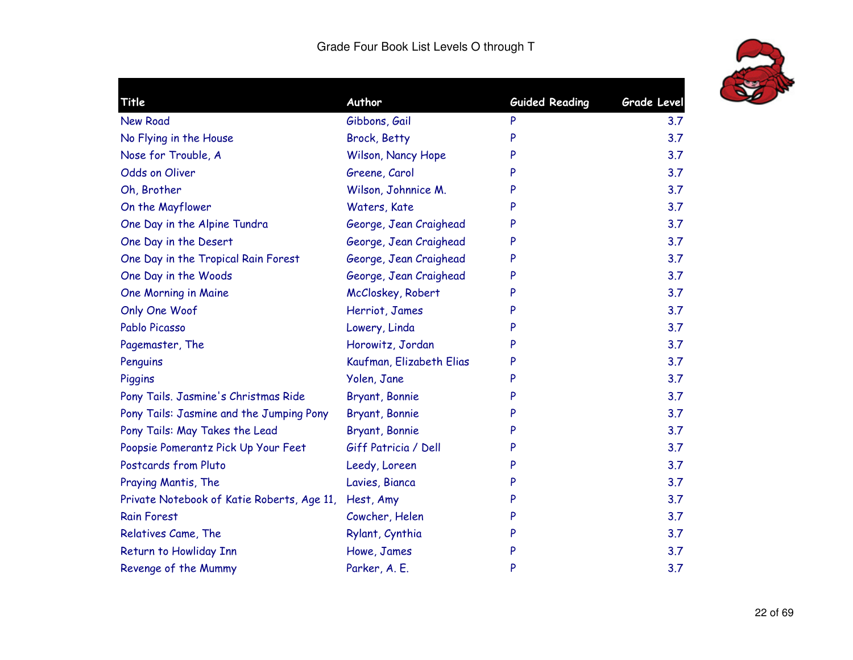

| Title                                      | Author                   | <b>Guided Reading</b> | <b>Grade Level</b> |
|--------------------------------------------|--------------------------|-----------------------|--------------------|
| <b>New Road</b>                            | Gibbons, Gail            | P                     | 3.7                |
| No Flying in the House                     | <b>Brock, Betty</b>      | P                     | 3.7                |
| Nose for Trouble, A                        | Wilson, Nancy Hope       | P                     | 3.7                |
| Odds on Oliver                             | Greene, Carol            | P                     | 3.7                |
| Oh, Brother                                | Wilson, Johnnice M.      | P                     | 3.7                |
| On the Mayflower                           | Waters, Kate             | P                     | 3.7                |
| One Day in the Alpine Tundra               | George, Jean Craighead   | P                     | 3.7                |
| One Day in the Desert                      | George, Jean Craighead   | P                     | 3.7                |
| One Day in the Tropical Rain Forest        | George, Jean Craighead   | P                     | 3.7                |
| One Day in the Woods                       | George, Jean Craighead   | P                     | 3.7                |
| One Morning in Maine                       | McCloskey, Robert        | P                     | 3.7                |
| Only One Woof                              | Herriot, James           | P                     | 3.7                |
| Pablo Picasso                              | Lowery, Linda            | P                     | 3.7                |
| Pagemaster, The                            | Horowitz, Jordan         | P                     | 3.7                |
| Penguins                                   | Kaufman, Elizabeth Elias | P                     | 3.7                |
| Piggins                                    | Yolen, Jane              | P                     | 3.7                |
| Pony Tails. Jasmine's Christmas Ride       | Bryant, Bonnie           | P                     | 3.7                |
| Pony Tails: Jasmine and the Jumping Pony   | Bryant, Bonnie           | P                     | 3.7                |
| Pony Tails: May Takes the Lead             | Bryant, Bonnie           | P                     | 3.7                |
| Poopsie Pomerantz Pick Up Your Feet        | Giff Patricia / Dell     | P                     | 3.7                |
| Postcards from Pluto                       | Leedy, Loreen            | P                     | 3.7                |
| Praying Mantis, The                        | Lavies, Bianca           | P                     | 3.7                |
| Private Notebook of Katie Roberts, Age 11, | Hest, Amy                | P                     | 3.7                |
| <b>Rain Forest</b>                         | Cowcher, Helen           | P                     | 3.7                |
| Relatives Came, The                        | Rylant, Cynthia          | P                     | 3.7                |
| Return to Howliday Inn                     | Howe, James              | P                     | 3.7                |
| Revenge of the Mummy                       | Parker, A. E.            | P                     | 3.7                |
|                                            |                          |                       |                    |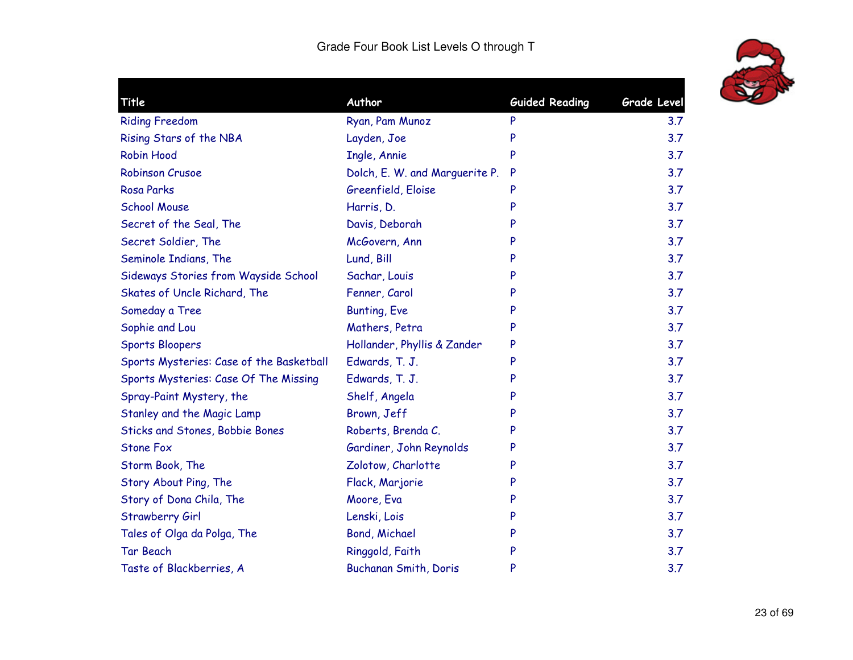

| <b>Guided Reading</b><br>Grade Level<br>3.7<br>3.7<br>3.7<br>3.7<br>3.7<br>3.7<br>3.7<br>3.7 |
|----------------------------------------------------------------------------------------------|
|                                                                                              |
|                                                                                              |
|                                                                                              |
|                                                                                              |
|                                                                                              |
|                                                                                              |
|                                                                                              |
|                                                                                              |
| 3.7                                                                                          |
| 3.7                                                                                          |
| 3.7                                                                                          |
| 3.7                                                                                          |
| 3.7                                                                                          |
| 3.7                                                                                          |
| 3.7                                                                                          |
| 3.7                                                                                          |
| 3.7                                                                                          |
| 3.7                                                                                          |
| 3.7                                                                                          |
| 3.7                                                                                          |
| 3.7                                                                                          |
| 3.7                                                                                          |
| 3.7                                                                                          |
| 3.7                                                                                          |
| 3.7                                                                                          |
| 3.7                                                                                          |
| 3.7                                                                                          |
|                                                                                              |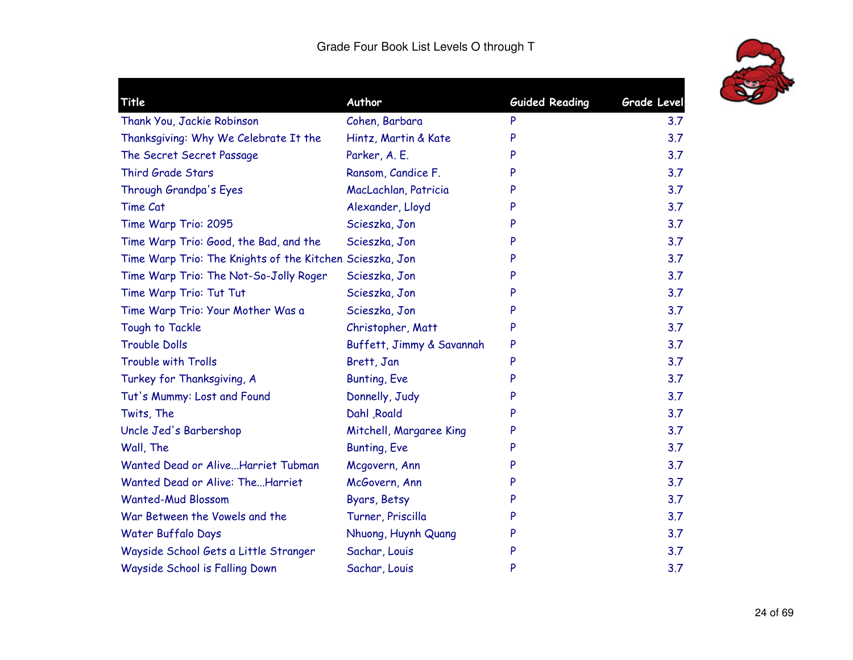

| Title                                                    | Author                    | <b>Guided Reading</b> | <b>Grade Level</b> |
|----------------------------------------------------------|---------------------------|-----------------------|--------------------|
| Thank You, Jackie Robinson                               | Cohen, Barbara            | P                     | 3.7                |
| Thanksgiving: Why We Celebrate It the                    | Hintz, Martin & Kate      | P                     | 3.7                |
| The Secret Secret Passage                                | Parker, A. E.             | P                     | 3.7                |
| Third Grade Stars                                        | Ransom, Candice F.        | P                     | 3.7                |
| Through Grandpa's Eyes                                   | MacLachlan, Patricia      | P                     | 3.7                |
| Time Cat                                                 | Alexander, Lloyd          | P                     | 3.7                |
| Time Warp Trio: 2095                                     | Scieszka, Jon             | P                     | 3.7                |
| Time Warp Trio: Good, the Bad, and the                   | Scieszka, Jon             | P                     | 3.7                |
| Time Warp Trio: The Knights of the Kitchen Scieszka, Jon |                           | P                     | 3.7                |
| Time Warp Trio: The Not-So-Jolly Roger                   | Scieszka, Jon             | P                     | 3.7                |
| Time Warp Trio: Tut Tut                                  | Scieszka, Jon             | P                     | 3.7                |
| Time Warp Trio: Your Mother Was a                        | Scieszka, Jon             | P                     | 3.7                |
| Tough to Tackle                                          | Christopher, Matt         | P                     | 3.7                |
| <b>Trouble Dolls</b>                                     | Buffett, Jimmy & Savannah | P                     | 3.7                |
| <b>Trouble with Trolls</b>                               | Brett, Jan                | P                     | 3.7                |
| Turkey for Thanksgiving, A                               | <b>Bunting, Eve</b>       | P                     | 3.7                |
| Tut's Mummy: Lost and Found                              | Donnelly, Judy            | P                     | 3.7                |
| Twits, The                                               | Dahl , Roald              | P                     | 3.7                |
| Uncle Jed's Barbershop                                   | Mitchell, Margaree King   | P                     | 3.7                |
| Wall, The                                                | <b>Bunting, Eve</b>       | P                     | 3.7                |
| Wanted Dead or AliveHarriet Tubman                       | Mcgovern, Ann             | P                     | 3.7                |
| Wanted Dead or Alive: TheHarriet                         | McGovern, Ann             | P                     | 3.7                |
| <b>Wanted-Mud Blossom</b>                                | Byars, Betsy              | P                     | 3.7                |
| War Between the Vowels and the                           | Turner, Priscilla         | P                     | 3.7                |
| Water Buffalo Days                                       | Nhuong, Huynh Quang       | P                     | 3.7                |
| Wayside School Gets a Little Stranger                    | Sachar, Louis             | P                     | 3.7                |
| Wayside School is Falling Down                           | Sachar, Louis             | P                     | 3.7                |
|                                                          |                           |                       |                    |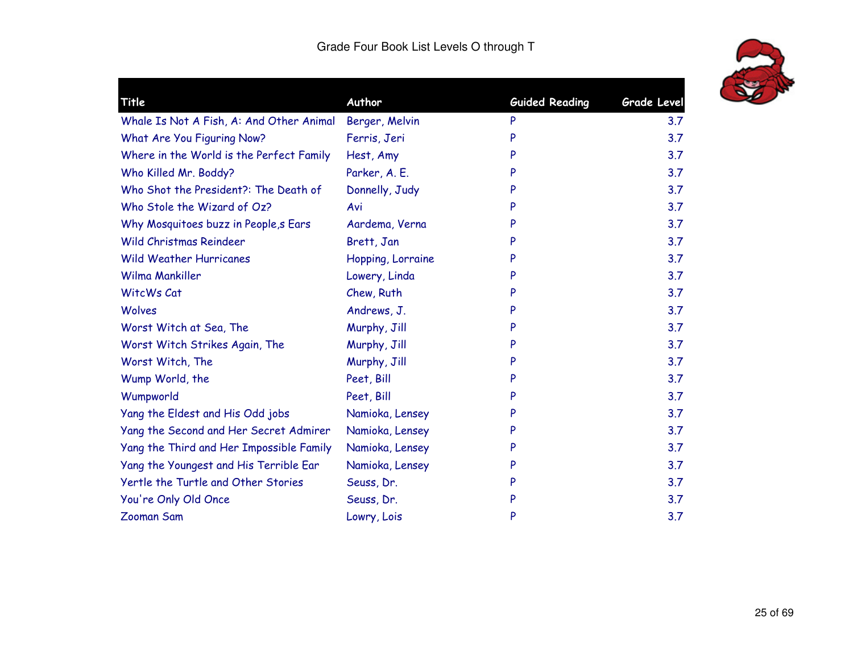

| Title                                    | Author            | <b>Guided Reading</b> | <b>Grade Level</b> |
|------------------------------------------|-------------------|-----------------------|--------------------|
| Whale Is Not A Fish, A: And Other Animal | Berger, Melvin    | P                     | 3.7                |
| What Are You Figuring Now?               | Ferris, Jeri      | P                     | 3.7                |
| Where in the World is the Perfect Family | Hest, Amy         | P                     | 3.7                |
| Who Killed Mr. Boddy?                    | Parker, A. E.     |                       | 3.7                |
| Who Shot the President?: The Death of    | Donnelly, Judy    |                       | 3.7                |
| Who Stole the Wizard of Oz?              | Avi               | P                     | 3.7                |
| Why Mosquitoes buzz in People, s Ears    | Aardema, Verna    |                       | 3.7                |
| Wild Christmas Reindeer                  | Brett, Jan        | P                     | 3.7                |
| <b>Wild Weather Hurricanes</b>           | Hopping, Lorraine | P                     | 3.7                |
| Wilma Mankiller                          | Lowery, Linda     | P                     | 3.7                |
| WitcWs Cat                               | Chew, Ruth        | P                     | 3.7                |
| Wolves                                   | Andrews, J.       | P                     | 3.7                |
| Worst Witch at Sea, The                  | Murphy, Jill      | P                     | 3.7                |
| Worst Witch Strikes Again, The           | Murphy, Jill      |                       | 3.7                |
| Worst Witch, The                         | Murphy, Jill      |                       | 3.7                |
| Wump World, the                          | Peet, Bill        |                       | 3.7                |
| Wumpworld                                | Peet, Bill        | P                     | 3.7                |
| Yang the Eldest and His Odd jobs         | Namioka, Lensey   | P                     | 3.7                |
| Yang the Second and Her Secret Admirer   | Namioka, Lensey   | P                     | 3.7                |
| Yang the Third and Her Impossible Family | Namioka, Lensey   | P                     | 3.7                |
| Yang the Youngest and His Terrible Ear   | Namioka, Lensey   | P                     | 3.7                |
| Yertle the Turtle and Other Stories      | Seuss, Dr.        | P                     | 3.7                |
| You're Only Old Once                     | Seuss, Dr.        | P                     | 3.7                |
| <b>Zooman Sam</b>                        | Lowry, Lois       | P                     | 3.7                |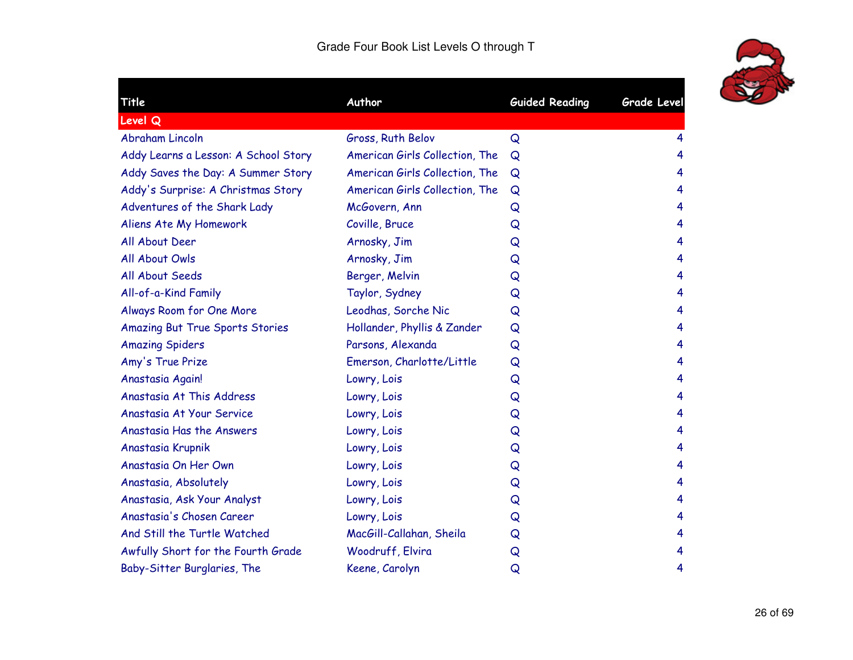

| Title                                  | Author                         | <b>Guided Reading</b> | <b>Grade Level</b> |
|----------------------------------------|--------------------------------|-----------------------|--------------------|
| <b>Level Q</b>                         |                                |                       |                    |
| <b>Abraham Lincoln</b>                 | Gross, Ruth Belov              | Q                     | 4                  |
| Addy Learns a Lesson: A School Story   | American Girls Collection, The | Q                     | 4                  |
| Addy Saves the Day: A Summer Story     | American Girls Collection, The | Q                     | 4                  |
| Addy's Surprise: A Christmas Story     | American Girls Collection, The | Q                     | 4                  |
| Adventures of the Shark Lady           | McGovern, Ann                  | Q                     | 4                  |
| Aliens Ate My Homework                 | Coville, Bruce                 | Q                     | 4                  |
| All About Deer                         | Arnosky, Jim                   | Q                     | 4                  |
| All About Owls                         | Arnosky, Jim                   | Q                     | 4                  |
| All About Seeds                        | Berger, Melvin                 | Q                     | 4                  |
| All-of-a-Kind Family                   | Taylor, Sydney                 | Q                     | 4                  |
| Always Room for One More               | Leodhas, Sorche Nic            | Q                     | 4                  |
| <b>Amazing But True Sports Stories</b> | Hollander, Phyllis & Zander    | Q                     | 4                  |
| <b>Amazing Spiders</b>                 | Parsons, Alexanda              | Q                     | 4                  |
| Amy's True Prize                       | Emerson, Charlotte/Little      | Q                     | 4                  |
| Anastasia Again!                       | Lowry, Lois                    | Q                     | 4                  |
| Anastasia At This Address              | Lowry, Lois                    | Q                     | 4                  |
| Anastasia At Your Service              | Lowry, Lois                    | Q                     | 4                  |
| Anastasia Has the Answers              | Lowry, Lois                    | Q                     | 4                  |
| Anastasia Krupnik                      | Lowry, Lois                    | Q                     | 4                  |
| Anastasia On Her Own                   | Lowry, Lois                    | Q                     | 4                  |
| Anastasia, Absolutely                  | Lowry, Lois                    | Q                     | 4                  |
| Anastasia, Ask Your Analyst            | Lowry, Lois                    | Q                     | 4                  |
| Anastasia's Chosen Career              | Lowry, Lois                    | Q                     | 4                  |
| And Still the Turtle Watched           | MacGill-Callahan, Sheila       | Q                     | 4                  |
| Awfully Short for the Fourth Grade     | Woodruff, Elvira               | Q                     | 4                  |
| Baby-Sitter Burglaries, The            | Keene, Carolyn                 | Q                     | 4                  |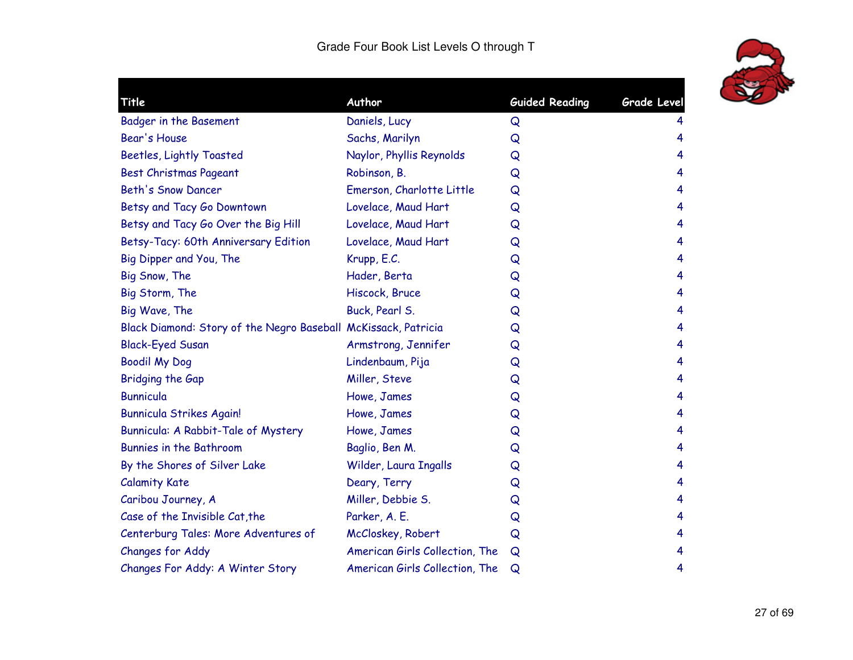

| Title                                                          | Author                         | <b>Guided Reading</b> | <b>Grade Level</b> |
|----------------------------------------------------------------|--------------------------------|-----------------------|--------------------|
| <b>Badger in the Basement</b>                                  | Daniels, Lucy                  | Q                     | 4                  |
| Bear's House                                                   | Sachs, Marilyn                 | Q                     | 4                  |
| <b>Beetles, Lightly Toasted</b>                                | Naylor, Phyllis Reynolds       | Q                     | 4                  |
| <b>Best Christmas Pageant</b>                                  | Robinson, B.                   | Q                     | 4                  |
| <b>Beth's Snow Dancer</b>                                      | Emerson, Charlotte Little      | Q                     | 4                  |
| Betsy and Tacy Go Downtown                                     | Lovelace, Maud Hart            | Q                     | 4                  |
| Betsy and Tacy Go Over the Big Hill                            | Lovelace, Maud Hart            | Q                     | 4                  |
| Betsy-Tacy: 60th Anniversary Edition                           | Lovelace, Maud Hart            | Q                     | 4                  |
| Big Dipper and You, The                                        | Krupp, E.C.                    | Q                     | 4                  |
| Big Snow, The                                                  | Hader, Berta                   | Q                     | 4                  |
| Big Storm, The                                                 | Hiscock, Bruce                 | Q                     | 4                  |
| Big Wave, The                                                  | Buck, Pearl S.                 | Q                     | 4                  |
| Black Diamond: Story of the Negro Baseball McKissack, Patricia |                                | Q                     | 4                  |
| <b>Black-Eyed Susan</b>                                        | Armstrong, Jennifer            | Q                     | 4                  |
| <b>Boodil My Dog</b>                                           | Lindenbaum, Pija               | Q                     | 4                  |
| Bridging the Gap                                               | Miller, Steve                  | Q                     | 4                  |
| <b>Bunnicula</b>                                               | Howe, James                    | Q                     | 4                  |
| <b>Bunnicula Strikes Again!</b>                                | Howe, James                    | Q                     | 4                  |
| Bunnicula: A Rabbit-Tale of Mystery                            | Howe, James                    | Q                     | 4                  |
| <b>Bunnies in the Bathroom</b>                                 | Baglio, Ben M.                 | Q                     | 4                  |
| By the Shores of Silver Lake                                   | Wilder, Laura Ingalls          | Q                     | 4                  |
| <b>Calamity Kate</b>                                           | Deary, Terry                   | Q                     | 4                  |
| Caribou Journey, A                                             | Miller, Debbie S.              | Q                     | 4                  |
| Case of the Invisible Cat, the                                 | Parker, A. E.                  | Q                     | 4                  |
| Centerburg Tales: More Adventures of                           | McCloskey, Robert              | Q                     | 4                  |
| Changes for Addy                                               | American Girls Collection, The | Q                     | 4                  |
| Changes For Addy: A Winter Story                               | American Girls Collection, The | Q                     | 4                  |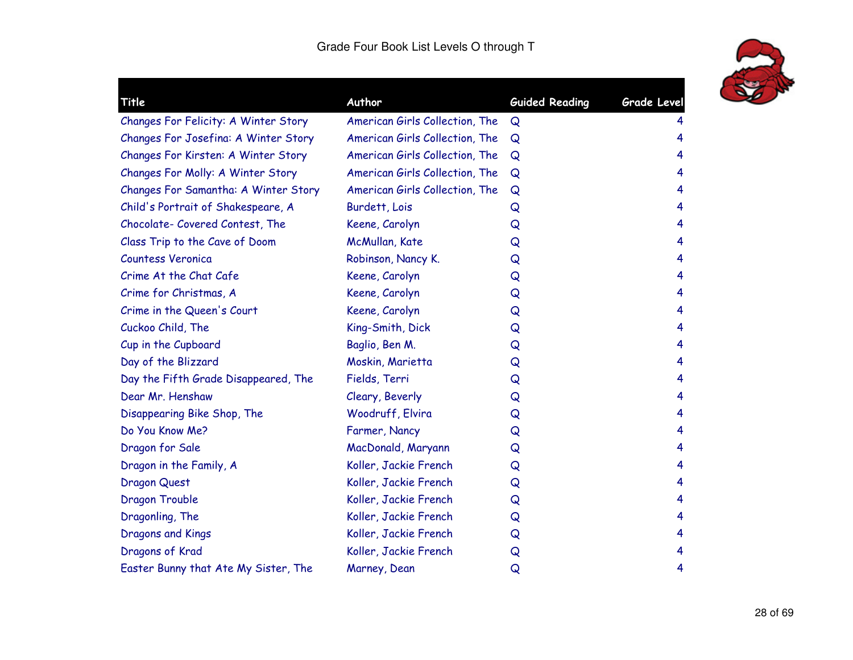

| Title                                | Author                         | <b>Guided Reading</b> | <b>Grade Level</b> |
|--------------------------------------|--------------------------------|-----------------------|--------------------|
| Changes For Felicity: A Winter Story | American Girls Collection, The | Q                     | 4                  |
| Changes For Josefina: A Winter Story | American Girls Collection, The | Q                     | 4                  |
| Changes For Kirsten: A Winter Story  | American Girls Collection, The | Q                     | 4                  |
| Changes For Molly: A Winter Story    | American Girls Collection, The | Q                     | 4                  |
| Changes For Samantha: A Winter Story | American Girls Collection, The | Q                     | 4                  |
| Child's Portrait of Shakespeare, A   | Burdett, Lois                  | Q                     | 4                  |
| Chocolate- Covered Contest, The      | Keene, Carolyn                 | Q                     | 4                  |
| Class Trip to the Cave of Doom       | McMullan, Kate                 | Q                     | 4                  |
| <b>Countess Veronica</b>             | Robinson, Nancy K.             | Q                     | 4                  |
| Crime At the Chat Cafe               | Keene, Carolyn                 | Q                     | 4                  |
| Crime for Christmas, A               | Keene, Carolyn                 | Q                     | 4                  |
| Crime in the Queen's Court           | Keene, Carolyn                 | Q                     | 4                  |
| Cuckoo Child, The                    | King-Smith, Dick               | Q                     | 4                  |
| Cup in the Cupboard                  | Baglio, Ben M.                 | Q                     | 4                  |
| Day of the Blizzard                  | Moskin, Marietta               | Q                     | 4                  |
| Day the Fifth Grade Disappeared, The | Fields, Terri                  | Q                     | 4                  |
| Dear Mr. Henshaw                     | Cleary, Beverly                | Q                     | 4                  |
| Disappearing Bike Shop, The          | Woodruff, Elvira               | Q                     | 4                  |
| Do You Know Me?                      | Farmer, Nancy                  | Q                     | 4                  |
| Dragon for Sale                      | MacDonald, Maryann             | Q                     | 4                  |
| Dragon in the Family, A              | Koller, Jackie French          | Q                     | 4                  |
| <b>Dragon Quest</b>                  | Koller, Jackie French          | Q                     | 4                  |
| Dragon Trouble                       | Koller, Jackie French          | Q                     | 4                  |
| Dragonling, The                      | Koller, Jackie French          | Q                     | 4                  |
| Dragons and Kings                    | Koller, Jackie French          | Q                     | 4                  |
| Dragons of Krad                      | Koller, Jackie French          | Q                     | 4                  |
| Easter Bunny that Ate My Sister, The | Marney, Dean                   | Q                     | 4                  |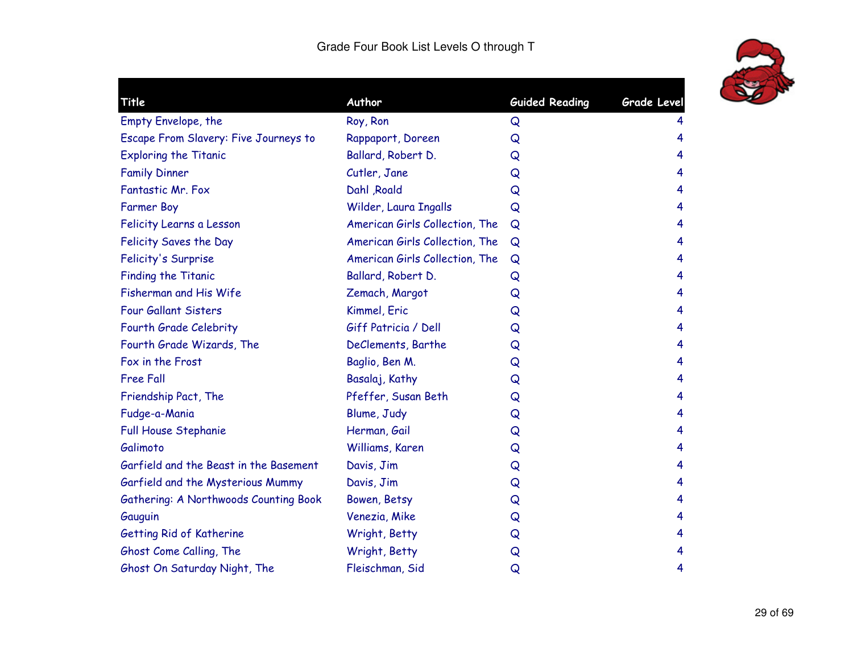

| Title                                  | Author                         | <b>Guided Reading</b> | <b>Grade Level</b> |
|----------------------------------------|--------------------------------|-----------------------|--------------------|
| Empty Envelope, the                    | Roy, Ron                       | Q                     | 4                  |
| Escape From Slavery: Five Journeys to  | Rappaport, Doreen              | Q                     | 4                  |
| <b>Exploring the Titanic</b>           | Ballard, Robert D.             | Q                     | 4                  |
| <b>Family Dinner</b>                   | Cutler, Jane                   | Q                     | 4                  |
| Fantastic Mr. Fox                      | Dahl , Roald                   | Q                     | 4                  |
| <b>Farmer Boy</b>                      | Wilder, Laura Ingalls          | Q                     | 4                  |
| Felicity Learns a Lesson               | American Girls Collection, The | Q                     | 4                  |
| Felicity Saves the Day                 | American Girls Collection, The | Q                     | 4                  |
| Felicity's Surprise                    | American Girls Collection, The | Q                     | 4                  |
| <b>Finding the Titanic</b>             | Ballard, Robert D.             | Q                     | 4                  |
| Fisherman and His Wife                 | Zemach, Margot                 | Q                     | 4                  |
| <b>Four Gallant Sisters</b>            | Kimmel, Eric                   | Q                     | 4                  |
| Fourth Grade Celebrity                 | Giff Patricia / Dell           | Q                     | 4                  |
| Fourth Grade Wizards, The              | DeClements, Barthe             | Q                     | 4                  |
| Fox in the Frost                       | Baglio, Ben M.                 | Q                     | 4                  |
| <b>Free Fall</b>                       | Basalaj, Kathy                 | Q                     | 4                  |
| Friendship Pact, The                   | Pfeffer, Susan Beth            | Q                     | 4                  |
| Fudge-a-Mania                          | Blume, Judy                    | Q                     | 4                  |
| Full House Stephanie                   | Herman, Gail                   | Q                     | 4                  |
| Galimoto                               | Williams, Karen                | Q                     | 4                  |
| Garfield and the Beast in the Basement | Davis, Jim                     | Q                     | 4                  |
| Garfield and the Mysterious Mummy      | Davis, Jim                     | Q                     | 4                  |
| Gathering: A Northwoods Counting Book  | Bowen, Betsy                   | Q                     | 4                  |
| Gauguin                                | Venezia, Mike                  | Q                     | 4                  |
| Getting Rid of Katherine               | Wright, Betty                  | Q                     | 4                  |
| Ghost Come Calling, The                | Wright, Betty                  | Q                     | 4                  |
| Ghost On Saturday Night, The           | Fleischman, Sid                | Q                     | 4                  |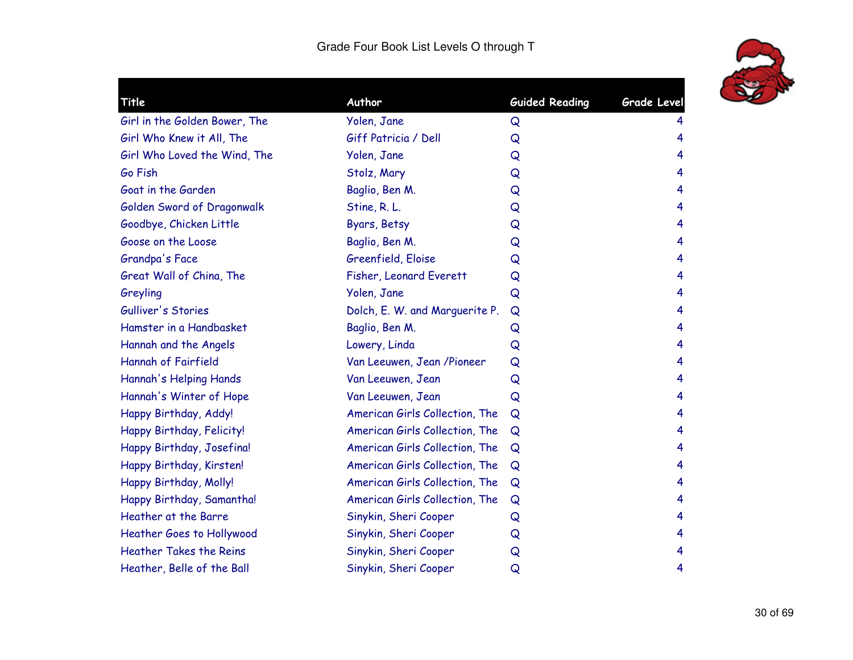

| Title                          | Author                         | <b>Guided Reading</b> | <b>Grade Level</b> |
|--------------------------------|--------------------------------|-----------------------|--------------------|
| Girl in the Golden Bower, The  | Yolen, Jane                    | Q                     |                    |
| Girl Who Knew it All, The      | Giff Patricia / Dell           | Q                     | 4                  |
| Girl Who Loved the Wind, The   | Yolen, Jane                    | Q                     | 4                  |
| Go Fish                        | Stolz, Mary                    | Q                     | 4                  |
| Goat in the Garden             | Baglio, Ben M.                 | Q                     | 4                  |
| Golden Sword of Dragonwalk     | Stine, R. L.                   | Q                     | 4                  |
| Goodbye, Chicken Little        | Byars, Betsy                   | Q                     | 4                  |
| Goose on the Loose             | Baglio, Ben M.                 | Q                     | 4                  |
| Grandpa's Face                 | Greenfield, Eloise             | Q                     | 4                  |
| Great Wall of China, The       | Fisher, Leonard Everett        | Q                     | 4                  |
| Greyling                       | Yolen, Jane                    | Q                     | 4                  |
| Gulliver's Stories             | Dolch, E. W. and Marguerite P. | Q                     | 4                  |
| Hamster in a Handbasket        | Baglio, Ben M.                 | Q                     | 4                  |
| Hannah and the Angels          | Lowery, Linda                  | Q                     | 4                  |
| Hannah of Fairfield            | Van Leeuwen, Jean /Pioneer     | Q                     | 4                  |
| Hannah's Helping Hands         | Van Leeuwen, Jean              | Q                     | 4                  |
| Hannah's Winter of Hope        | Van Leeuwen, Jean              | Q                     | 4                  |
| Happy Birthday, Addy!          | American Girls Collection, The | Q                     | 4                  |
| Happy Birthday, Felicity!      | American Girls Collection, The | Q                     | 4                  |
| Happy Birthday, Josefina!      | American Girls Collection, The | Q                     | 4                  |
| Happy Birthday, Kirsten!       | American Girls Collection, The | Q                     | 4                  |
| Happy Birthday, Molly!         | American Girls Collection, The | Q                     | 4                  |
| Happy Birthday, Samantha!      | American Girls Collection, The | Q                     | 4                  |
| Heather at the Barre           | Sinykin, Sheri Cooper          | Q                     | 4                  |
| Heather Goes to Hollywood      | Sinykin, Sheri Cooper          | Q                     | 4                  |
| <b>Heather Takes the Reins</b> | Sinykin, Sheri Cooper          | Q                     | 4                  |
| Heather, Belle of the Ball     | Sinykin, Sheri Cooper          | Q                     | 4                  |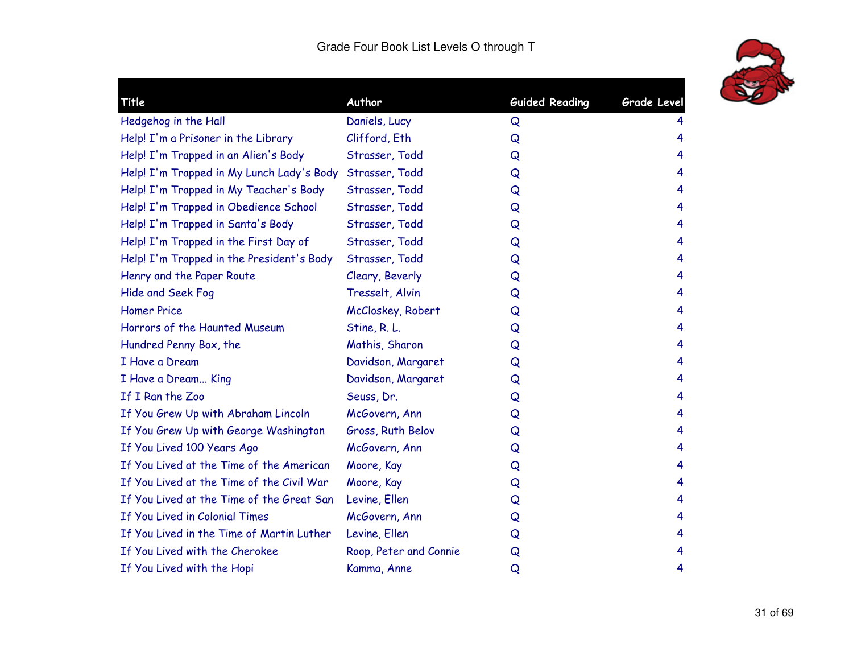

| Title                                     | Author                 | <b>Guided Reading</b> | Grade Level |
|-------------------------------------------|------------------------|-----------------------|-------------|
| Hedgehog in the Hall                      | Daniels, Lucy          | Q                     | 4           |
| Help! I'm a Prisoner in the Library       | Clifford, Eth          | Q                     | 4           |
| Help! I'm Trapped in an Alien's Body      | Strasser, Todd         | Q                     | 4           |
| Help! I'm Trapped in My Lunch Lady's Body | Strasser, Todd         | Q                     | 4           |
| Help! I'm Trapped in My Teacher's Body    | Strasser, Todd         | Q                     | 4           |
| Help! I'm Trapped in Obedience School     | Strasser, Todd         | Q                     | 4           |
| Help! I'm Trapped in Santa's Body         | Strasser, Todd         | Q                     | 4           |
| Help! I'm Trapped in the First Day of     | Strasser, Todd         | Q                     | 4           |
| Help! I'm Trapped in the President's Body | Strasser, Todd         | Q                     | 4           |
| Henry and the Paper Route                 | Cleary, Beverly        | Q                     | 4           |
| Hide and Seek Fog                         | Tresselt, Alvin        | Q                     | 4           |
| <b>Homer Price</b>                        | McCloskey, Robert      | Q                     | 4           |
| Horrors of the Haunted Museum             | Stine, R. L.           | Q                     | 4           |
| Hundred Penny Box, the                    | Mathis, Sharon         | Q                     | 4           |
| I Have a Dream                            | Davidson, Margaret     | Q                     | 4           |
| I Have a Dream King                       | Davidson, Margaret     | Q                     | 4           |
| If I Ran the Zoo                          | Seuss, Dr.             | Q                     | 4           |
| If You Grew Up with Abraham Lincoln       | McGovern, Ann          | Q                     | 4           |
| If You Grew Up with George Washington     | Gross, Ruth Belov      | Q                     | 4           |
| If You Lived 100 Years Ago                | McGovern, Ann          | Q                     | 4           |
| If You Lived at the Time of the American  | Moore, Kay             | Q                     | 4           |
| If You Lived at the Time of the Civil War | Moore, Kay             | Q                     | 4           |
| If You Lived at the Time of the Great San | Levine, Ellen          | Q                     | 4           |
| If You Lived in Colonial Times            | McGovern, Ann          | Q                     | 4           |
| If You Lived in the Time of Martin Luther | Levine, Ellen          | Q                     | 4           |
| If You Lived with the Cherokee            | Roop, Peter and Connie | Q                     | 4           |
| If You Lived with the Hopi                | Kamma, Anne            | Q                     | 4           |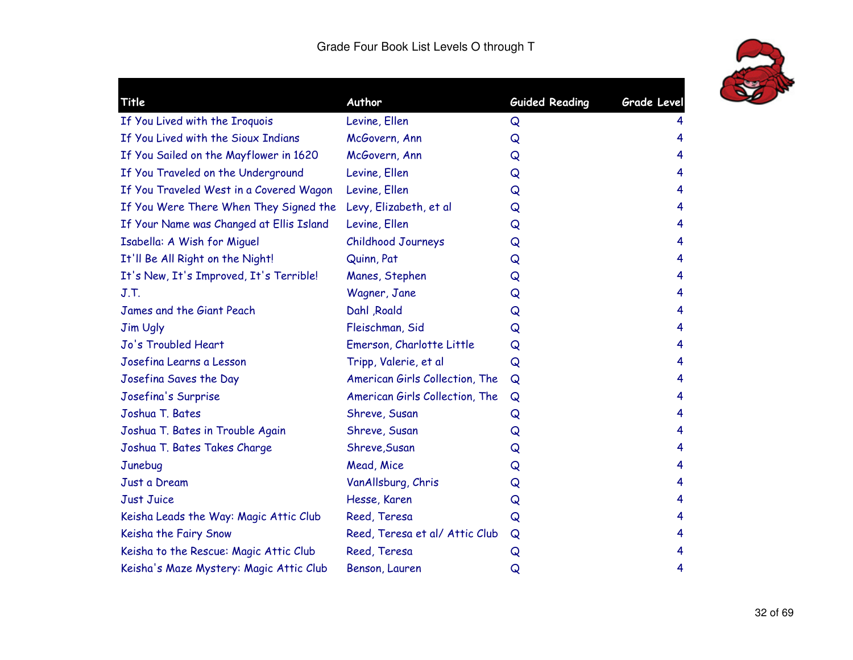

| Title                                    | Author                         | <b>Guided Reading</b> | Grade Level |
|------------------------------------------|--------------------------------|-----------------------|-------------|
| If You Lived with the Iroquois           | Levine, Ellen                  | Q                     |             |
| If You Lived with the Sioux Indians      | McGovern, Ann                  | Q                     | 4           |
| If You Sailed on the Mayflower in 1620   | McGovern, Ann                  | Q                     | 4           |
| If You Traveled on the Underground       | Levine, Ellen                  | Q                     | 4           |
| If You Traveled West in a Covered Wagon  | Levine, Ellen                  | Q                     | 4           |
| If You Were There When They Signed the   | Levy, Elizabeth, et al         | Q                     | 4           |
| If Your Name was Changed at Ellis Island | Levine, Ellen                  | Q                     | 4           |
| Isabella: A Wish for Miguel              | Childhood Journeys             | Q                     | 4           |
| It'll Be All Right on the Night!         | Quinn, Pat                     | Q                     | 4           |
| It's New, It's Improved, It's Terrible!  | Manes, Stephen                 | Q                     | 4           |
| J.T.                                     | Wagner, Jane                   | Q                     | 4           |
| James and the Giant Peach                | Dahl , Roald                   | Q                     | 4           |
| <b>Jim Ugly</b>                          | Fleischman, Sid                | Q                     | 4           |
| Jo's Troubled Heart                      | Emerson, Charlotte Little      | Q                     | 4           |
| Josefina Learns a Lesson                 | Tripp, Valerie, et al          | Q                     | 4           |
| Josefina Saves the Day                   | American Girls Collection, The | Q                     | 4           |
| Josefina's Surprise                      | American Girls Collection, The | Q                     | 4           |
| Joshua T. Bates                          | Shreve, Susan                  | Q                     | 4           |
| Joshua T. Bates in Trouble Again         | Shreve, Susan                  | Q                     | 4           |
| Joshua T. Bates Takes Charge             | Shreve, Susan                  | Q                     | 4           |
| Junebug                                  | Mead, Mice                     | Q                     | 4           |
| Just a Dream                             | VanAllsburg, Chris             | Q                     | 4           |
| <b>Just Juice</b>                        | Hesse, Karen                   | Q                     | 4           |
| Keisha Leads the Way: Magic Attic Club   | Reed, Teresa                   | Q                     | 4           |
| Keisha the Fairy Snow                    | Reed, Teresa et al/ Attic Club | Q                     | 4           |
| Keisha to the Rescue: Magic Attic Club   | Reed, Teresa                   | Q                     | 4           |
| Keisha's Maze Mystery: Magic Attic Club  | Benson, Lauren                 | Q                     | 4           |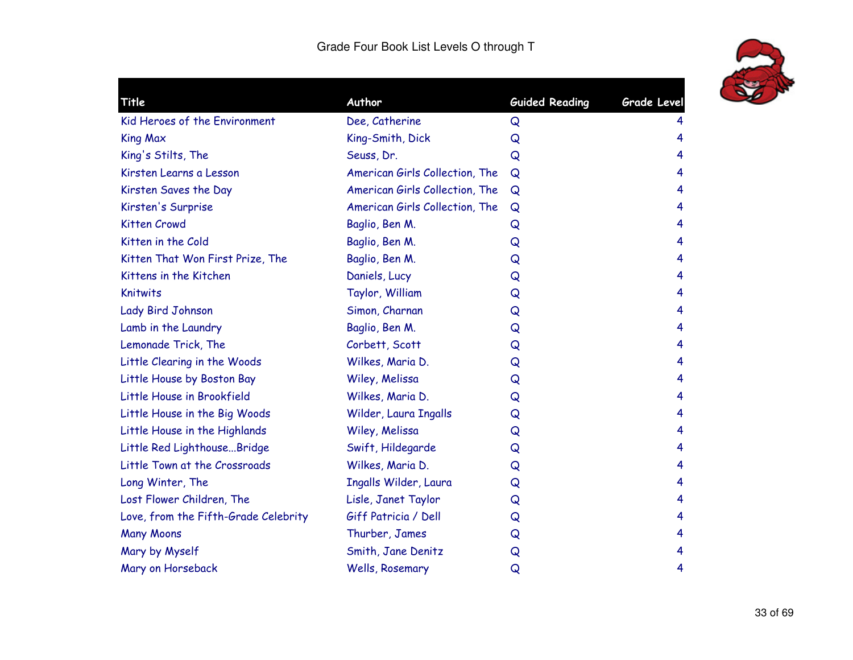

| Title                                | Author                         | <b>Guided Reading</b> | <b>Grade Level</b> |
|--------------------------------------|--------------------------------|-----------------------|--------------------|
| Kid Heroes of the Environment        | Dee, Catherine                 | Q                     | 4                  |
| <b>King Max</b>                      | King-Smith, Dick               | Q                     | 4                  |
| King's Stilts, The                   | Seuss, Dr.                     | Q                     | 4                  |
| Kirsten Learns a Lesson              | American Girls Collection, The | Q                     | 4                  |
| Kirsten Saves the Day                | American Girls Collection, The | Q                     | 4                  |
| Kirsten's Surprise                   | American Girls Collection, The | Q                     | 4                  |
| <b>Kitten Crowd</b>                  | Baglio, Ben M.                 | Q                     | 4                  |
| Kitten in the Cold                   | Baglio, Ben M.                 | Q                     | 4                  |
| Kitten That Won First Prize, The     | Baglio, Ben M.                 | Q                     | 4                  |
| Kittens in the Kitchen               | Daniels, Lucy                  | Q                     | 4                  |
| <b>Knitwits</b>                      | Taylor, William                | Q                     | 4                  |
| Lady Bird Johnson                    | Simon, Charnan                 | Q                     | 4                  |
| Lamb in the Laundry                  | Baglio, Ben M.                 | Q                     | 4                  |
| Lemonade Trick, The                  | Corbett, Scott                 | Q                     | 4                  |
| Little Clearing in the Woods         | Wilkes, Maria D.               | Q                     | 4                  |
| Little House by Boston Bay           | Wiley, Melissa                 | Q                     | 4                  |
| Little House in Brookfield           | Wilkes, Maria D.               | Q                     | 4                  |
| Little House in the Big Woods        | Wilder, Laura Ingalls          | Q                     | 4                  |
| Little House in the Highlands        | Wiley, Melissa                 | Q                     | 4                  |
| Little Red LighthouseBridge          | Swift, Hildegarde              | Q                     | 4                  |
| Little Town at the Crossroads        | Wilkes, Maria D.               | Q                     | 4                  |
| Long Winter, The                     | Ingalls Wilder, Laura          | Q                     | 4                  |
| Lost Flower Children, The            | Lisle, Janet Taylor            | Q                     | 4                  |
| Love, from the Fifth-Grade Celebrity | Giff Patricia / Dell           | Q                     | 4                  |
| <b>Many Moons</b>                    | Thurber, James                 | Q                     | 4                  |
| Mary by Myself                       | Smith, Jane Denitz             | Q                     | 4                  |
| Mary on Horseback                    | Wells, Rosemary                | Q                     | 4                  |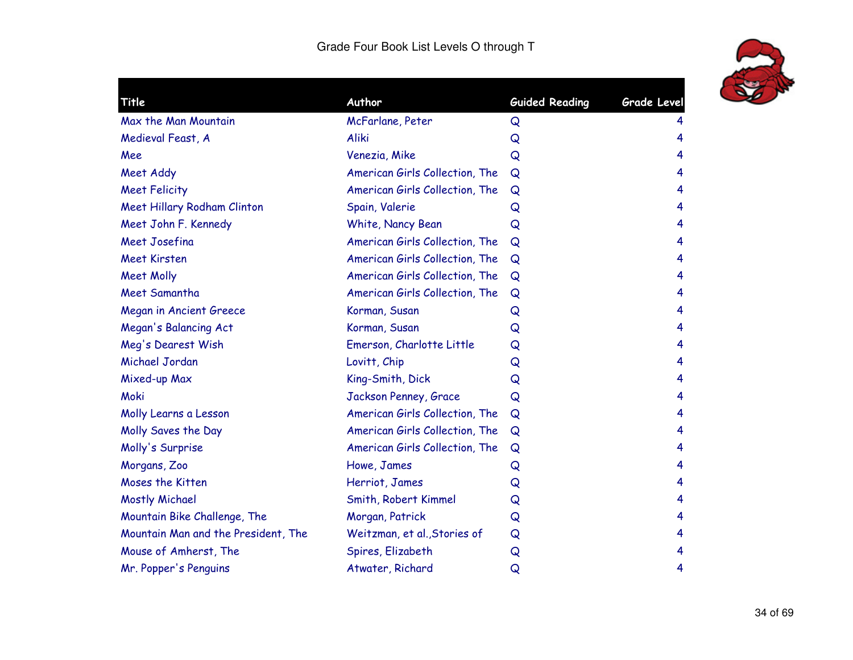

| <b>Title</b>                        | Author                         | <b>Guided Reading</b> | Grade Level |
|-------------------------------------|--------------------------------|-----------------------|-------------|
| Max the Man Mountain                | McFarlane, Peter               | Q                     | 4           |
| Medieval Feast, A                   | Aliki                          | Q                     | 4           |
| Mee                                 | Venezia, Mike                  | Q                     | 4           |
| Meet Addy                           | American Girls Collection, The | Q                     | 4           |
| <b>Meet Felicity</b>                | American Girls Collection, The | Q                     | 4           |
| Meet Hillary Rodham Clinton         | Spain, Valerie                 | Q                     | 4           |
| Meet John F. Kennedy                | White, Nancy Bean              | Q                     | 4           |
| Meet Josefina                       | American Girls Collection, The | Q                     | 4           |
| <b>Meet Kirsten</b>                 | American Girls Collection, The | Q                     | 4           |
| <b>Meet Molly</b>                   | American Girls Collection, The | Q                     | 4           |
| Meet Samantha                       | American Girls Collection, The | Q                     | 4           |
| <b>Megan in Ancient Greece</b>      | Korman, Susan                  | Q                     | 4           |
| Megan's Balancing Act               | Korman, Susan                  | Q                     | 4           |
| Meg's Dearest Wish                  | Emerson, Charlotte Little      | Q                     | 4           |
| Michael Jordan                      | Lovitt, Chip                   | Q                     | 4           |
| Mixed-up Max                        | King-Smith, Dick               | Q                     | 4           |
| Moki                                | Jackson Penney, Grace          | Q                     | 4           |
| Molly Learns a Lesson               | American Girls Collection, The | Q                     | 4           |
| Molly Saves the Day                 | American Girls Collection, The | Q                     | 4           |
| Molly's Surprise                    | American Girls Collection, The | Q                     | 4           |
| Morgans, Zoo                        | Howe, James                    | Q                     | 4           |
| Moses the Kitten                    | Herriot, James                 | Q                     | 4           |
| Mostly Michael                      | Smith, Robert Kimmel           | Q                     | 4           |
| Mountain Bike Challenge, The        | Morgan, Patrick                | Q                     | 4           |
| Mountain Man and the President, The | Weitzman, et al., Stories of   | Q                     | 4           |
| Mouse of Amherst, The               | Spires, Elizabeth              | Q                     | 4           |
| Mr. Popper's Penguins               | Atwater, Richard               | Q                     | 4           |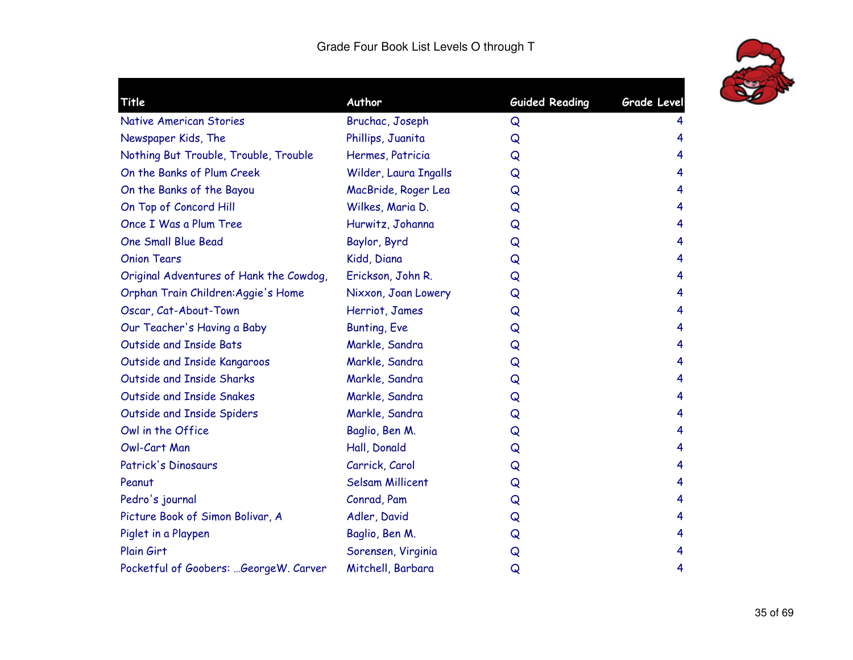

| Title                                   | Author                  | <b>Guided Reading</b> | <b>Grade Level</b> |
|-----------------------------------------|-------------------------|-----------------------|--------------------|
| <b>Native American Stories</b>          | Bruchac, Joseph         | Q                     | 4                  |
| Newspaper Kids, The                     | Phillips, Juanita       | Q                     | 4                  |
| Nothing But Trouble, Trouble, Trouble   | Hermes, Patricia        | Q                     | 4                  |
| On the Banks of Plum Creek              | Wilder, Laura Ingalls   | Q                     | 4                  |
| On the Banks of the Bayou               | MacBride, Roger Lea     | Q                     | 4                  |
| On Top of Concord Hill                  | Wilkes, Maria D.        | Q                     | 4                  |
| Once I Was a Plum Tree                  | Hurwitz, Johanna        | Q                     | 4                  |
| <b>One Small Blue Bead</b>              | Baylor, Byrd            | Q                     | 4                  |
| <b>Onion Tears</b>                      | Kidd, Diana             | Q                     | 4                  |
| Original Adventures of Hank the Cowdog, | Erickson, John R.       | Q                     | 4                  |
| Orphan Train Children: Aggie's Home     | Nixxon, Joan Lowery     | Q                     | 4                  |
| Oscar, Cat-About-Town                   | Herriot, James          | Q                     | 4                  |
| Our Teacher's Having a Baby             | <b>Bunting, Eve</b>     | Q                     | 4                  |
| Outside and Inside Bats                 | Markle, Sandra          | Q                     | 4                  |
| Outside and Inside Kangaroos            | Markle, Sandra          | Q                     | 4                  |
| Outside and Inside Sharks               | Markle, Sandra          | Q                     | 4                  |
| Outside and Inside Snakes               | Markle, Sandra          | Q                     | 4                  |
| Outside and Inside Spiders              | Markle, Sandra          | Q                     | 4                  |
| Owl in the Office                       | Baglio, Ben M.          | Q                     | 4                  |
| Owl-Cart Man                            | Hall, Donald            | Q                     | 4                  |
| Patrick's Dinosaurs                     | Carrick, Carol          | Q                     | 4                  |
| Peanut                                  | <b>Selsam Millicent</b> | Q                     | 4                  |
| Pedro's journal                         | Conrad, Pam             | Q                     | 4                  |
| Picture Book of Simon Bolivar, A        | Adler, David            | Q                     | 4                  |
| Piglet in a Playpen                     | Baglio, Ben M.          | Q                     | 4                  |
| Plain Girt                              | Sorensen, Virginia      | Q                     | 4                  |
| Pocketful of Goobers: GeorgeW. Carver   | Mitchell, Barbara       | Q                     | 4                  |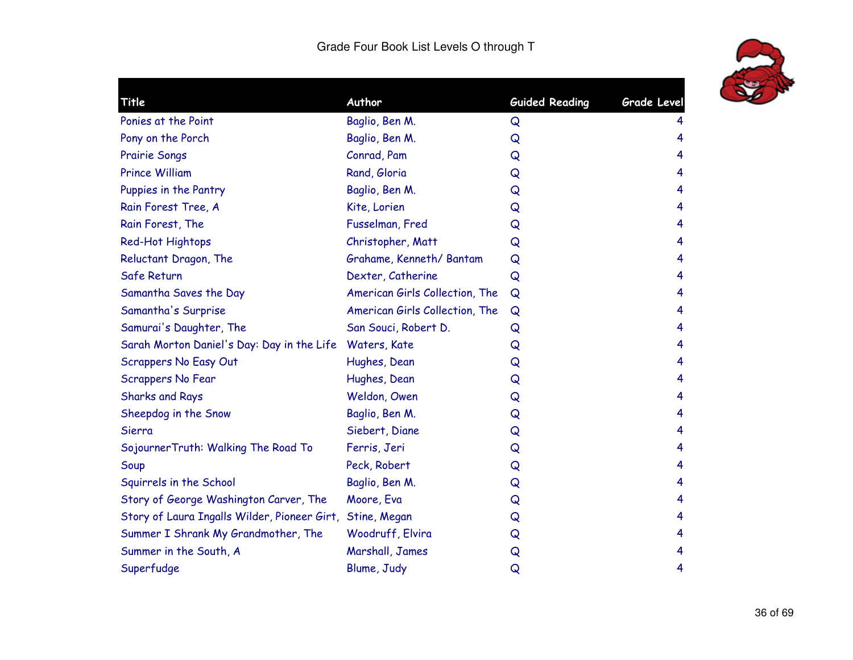

| Title                                        | Author                         | <b>Guided Reading</b> | <b>Grade Level</b> |
|----------------------------------------------|--------------------------------|-----------------------|--------------------|
| Ponies at the Point                          | Baglio, Ben M.                 | Q                     | 4                  |
| Pony on the Porch                            | Baglio, Ben M.                 | Q                     | 4                  |
| <b>Prairie Songs</b>                         | Conrad, Pam                    | Q                     | 4                  |
| <b>Prince William</b>                        | Rand, Gloria                   | Q                     | 4                  |
| Puppies in the Pantry                        | Baglio, Ben M.                 | Q                     | 4                  |
| Rain Forest Tree, A                          | Kite, Lorien                   | Q                     | 4                  |
| Rain Forest, The                             | Fusselman, Fred                | Q                     | 4                  |
| Red-Hot Hightops                             | Christopher, Matt              | Q                     | 4                  |
| Reluctant Dragon, The                        | Grahame, Kenneth/Bantam        | Q                     | 4                  |
| Safe Return                                  | Dexter, Catherine              | Q                     | 4                  |
| Samantha Saves the Day                       | American Girls Collection, The | Q                     | 4                  |
| Samantha's Surprise                          | American Girls Collection, The | Q                     | 4                  |
| Samurai's Daughter, The                      | San Souci, Robert D.           | Q                     | 4                  |
| Sarah Morton Daniel's Day: Day in the Life   | Waters, Kate                   | Q                     | 4                  |
| Scrappers No Easy Out                        | Hughes, Dean                   | Q                     | 4                  |
| Scrappers No Fear                            | Hughes, Dean                   | Q                     | 4                  |
| <b>Sharks and Rays</b>                       | Weldon, Owen                   | Q                     | 4                  |
| Sheepdog in the Snow                         | Baglio, Ben M.                 | Q                     | 4                  |
| Sierra                                       | Siebert, Diane                 | Q                     | 4                  |
| SojournerTruth: Walking The Road To          | Ferris, Jeri                   | Q                     | 4                  |
| Soup                                         | Peck, Robert                   | Q                     | 4                  |
| Squirrels in the School                      | Baglio, Ben M.                 | Q                     | 4                  |
| Story of George Washington Carver, The       | Moore, Eva                     | Q                     | 4                  |
| Story of Laura Ingalls Wilder, Pioneer Girt, | Stine, Megan                   | Q                     | 4                  |
| Summer I Shrank My Grandmother, The          | Woodruff, Elvira               | Q                     | 4                  |
| Summer in the South, A                       | Marshall, James                | Q                     | 4                  |
| Superfudge                                   | Blume, Judy                    | Q                     | 4                  |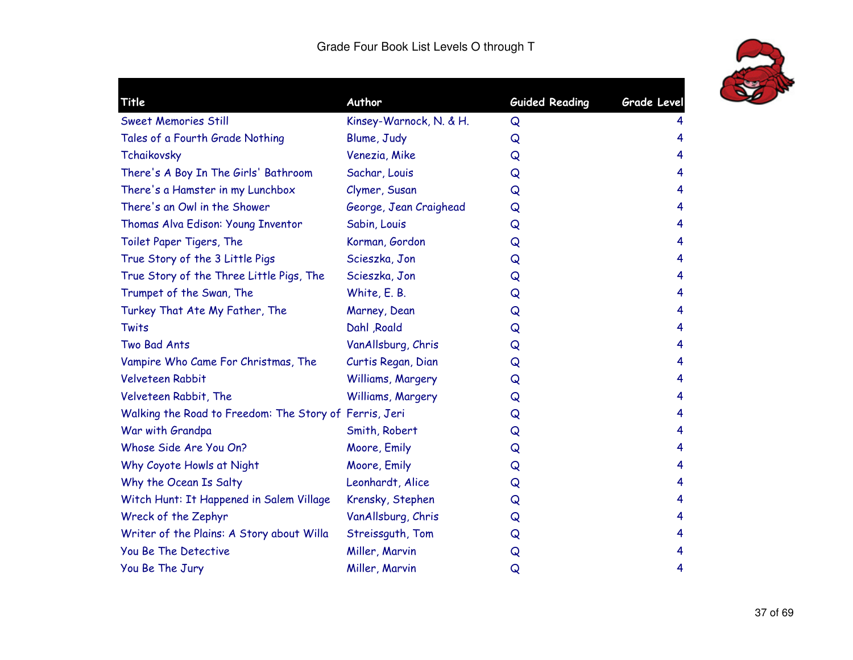

| Title                                                  | Author                  | <b>Guided Reading</b> | Grade Level |
|--------------------------------------------------------|-------------------------|-----------------------|-------------|
| <b>Sweet Memories Still</b>                            | Kinsey-Warnock, N. & H. | Q                     |             |
| Tales of a Fourth Grade Nothing                        | Blume, Judy             | Q                     | 4           |
| Tchaikovsky                                            | Venezia, Mike           | Q                     | 4           |
| There's A Boy In The Girls' Bathroom                   | Sachar, Louis           | Q                     | 4           |
| There's a Hamster in my Lunchbox                       | Clymer, Susan           | Q                     | 4           |
| There's an Owl in the Shower                           | George, Jean Craighead  | Q                     | 4           |
| Thomas Alva Edison: Young Inventor                     | Sabin, Louis            | Q                     | 4           |
| Toilet Paper Tigers, The                               | Korman, Gordon          | Q                     | 4           |
| True Story of the 3 Little Pigs                        | Scieszka, Jon           | Q                     | 4           |
| True Story of the Three Little Pigs, The               | Scieszka, Jon           | Q                     | 4           |
| Trumpet of the Swan, The                               | White, E. B.            | Q                     | 4           |
| Turkey That Ate My Father, The                         | Marney, Dean            | Q                     | 4           |
| Twits                                                  | Dahl , Roald            | Q                     | 4           |
| Two Bad Ants                                           | VanAllsburg, Chris      | Q                     | 4           |
| Vampire Who Came For Christmas, The                    | Curtis Regan, Dian      | Q                     | 4           |
| Velveteen Rabbit                                       | Williams, Margery       | Q                     | 4           |
| Velveteen Rabbit, The                                  | Williams, Margery       | Q                     | 4           |
| Walking the Road to Freedom: The Story of Ferris, Jeri |                         | Q                     | 4           |
| War with Grandpa                                       | Smith, Robert           | Q                     | 4           |
| Whose Side Are You On?                                 | Moore, Emily            | Q                     | 4           |
| Why Coyote Howls at Night                              | Moore, Emily            | Q                     | 4           |
| Why the Ocean Is Salty                                 | Leonhardt, Alice        | Q                     | 4           |
| Witch Hunt: It Happened in Salem Village               | Krensky, Stephen        | Q                     | 4           |
| Wreck of the Zephyr                                    | VanAllsburg, Chris      | Q                     | 4           |
| Writer of the Plains: A Story about Willa              | Streissguth, Tom        | Q                     | 4           |
| You Be The Detective                                   | Miller, Marvin          | Q                     | 4           |
| You Be The Jury                                        | Miller, Marvin          | Q                     | 4           |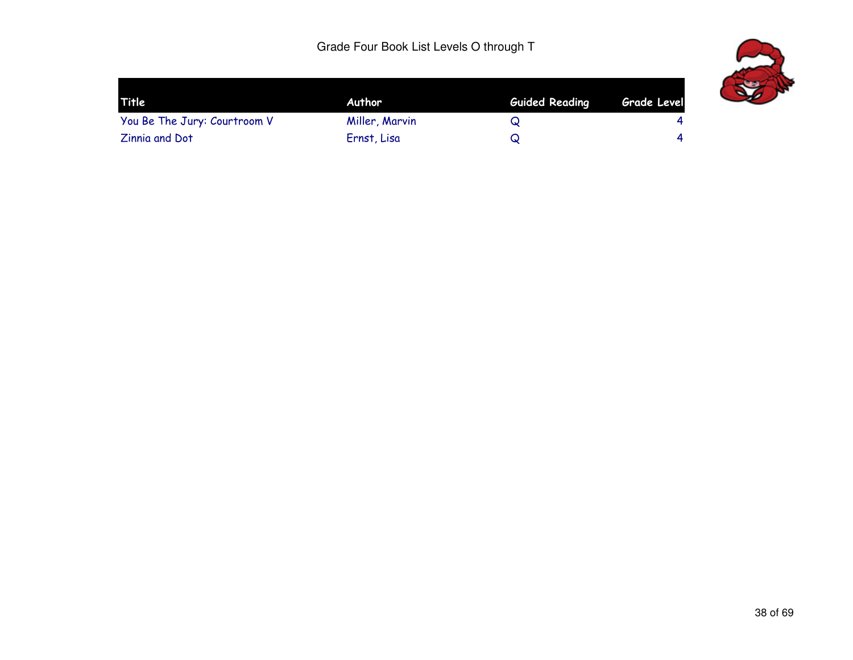

| Title                        | Author         | <b>Guided Reading</b> | Grade Level |
|------------------------------|----------------|-----------------------|-------------|
| You Be The Jury: Courtroom V | Miller, Marvin | Q                     | 4           |
| <b>Zinnia and Dot</b>        | Ernst, Lisa    |                       | 4           |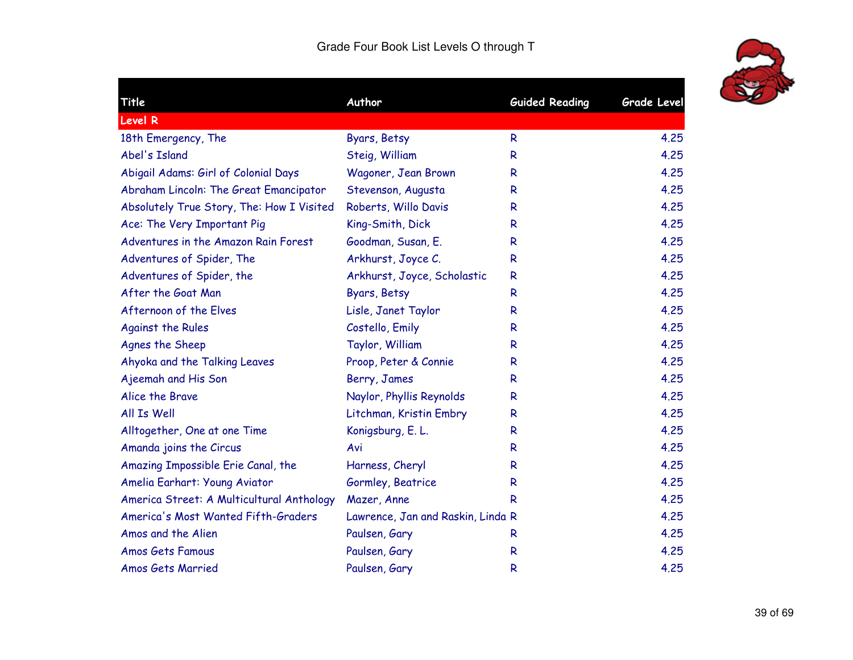

|                          |                                                                                                                                                                                                              | <b>Grade Level</b>                                                                                   |
|--------------------------|--------------------------------------------------------------------------------------------------------------------------------------------------------------------------------------------------------------|------------------------------------------------------------------------------------------------------|
|                          |                                                                                                                                                                                                              |                                                                                                      |
|                          |                                                                                                                                                                                                              | 4.25                                                                                                 |
|                          |                                                                                                                                                                                                              | 4.25                                                                                                 |
|                          |                                                                                                                                                                                                              |                                                                                                      |
|                          |                                                                                                                                                                                                              | 4.25                                                                                                 |
|                          |                                                                                                                                                                                                              | 4.25                                                                                                 |
|                          |                                                                                                                                                                                                              | 4.25                                                                                                 |
|                          |                                                                                                                                                                                                              | 4.25                                                                                                 |
|                          |                                                                                                                                                                                                              | 4.25                                                                                                 |
|                          |                                                                                                                                                                                                              | 4.25                                                                                                 |
|                          | R                                                                                                                                                                                                            | 4.25                                                                                                 |
| Byars, Betsy             | R                                                                                                                                                                                                            | 4.25                                                                                                 |
| Lisle, Janet Taylor      | R                                                                                                                                                                                                            | 4.25                                                                                                 |
| Costello, Emily          | R                                                                                                                                                                                                            | 4.25                                                                                                 |
| Taylor, William          | R                                                                                                                                                                                                            | 4.25                                                                                                 |
| Proop, Peter & Connie    | R                                                                                                                                                                                                            | 4.25                                                                                                 |
| Berry, James             | R                                                                                                                                                                                                            | 4.25                                                                                                 |
| Naylor, Phyllis Reynolds | R                                                                                                                                                                                                            | 4.25                                                                                                 |
| Litchman, Kristin Embry  | R                                                                                                                                                                                                            | 4.25                                                                                                 |
| Konigsburg, E. L.        | R                                                                                                                                                                                                            | 4.25                                                                                                 |
| Avi                      | R                                                                                                                                                                                                            | 4.25                                                                                                 |
| Harness, Cheryl          | R                                                                                                                                                                                                            | 4.25                                                                                                 |
| Gormley, Beatrice        | R                                                                                                                                                                                                            | 4.25                                                                                                 |
| Mazer, Anne              | R                                                                                                                                                                                                            | 4.25                                                                                                 |
|                          |                                                                                                                                                                                                              | 4.25                                                                                                 |
| Paulsen, Gary            | R                                                                                                                                                                                                            | 4.25                                                                                                 |
| Paulsen, Gary            | R                                                                                                                                                                                                            | 4.25                                                                                                 |
| Paulsen, Gary            | R                                                                                                                                                                                                            | 4.25                                                                                                 |
|                          | Author<br>Byars, Betsy<br>Steig, William<br>Wagoner, Jean Brown<br>Stevenson, Augusta<br>Roberts, Willo Davis<br>King-Smith, Dick<br>Goodman, Susan, E.<br>Arkhurst, Joyce C.<br>Arkhurst, Joyce, Scholastic | <b>Guided Reading</b><br>R<br>R<br>R.<br>R<br>R<br>R.<br>R<br>R<br>Lawrence, Jan and Raskin, Linda R |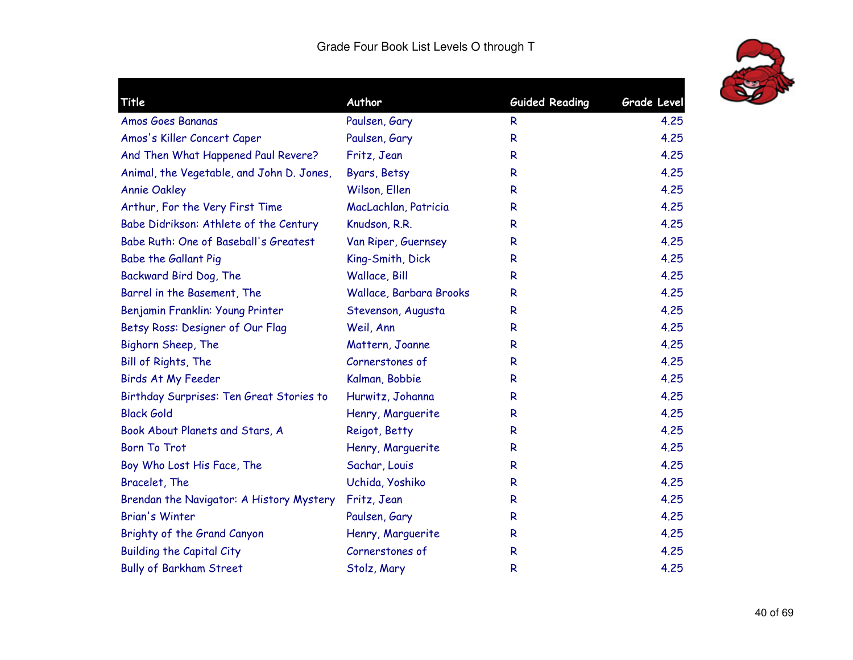

| Title                                     | Author                  | <b>Guided Reading</b> | <b>Grade Level</b> |
|-------------------------------------------|-------------------------|-----------------------|--------------------|
| Amos Goes Bananas                         | Paulsen, Gary           | R                     | 4.25               |
| Amos's Killer Concert Caper               | Paulsen, Gary           | R                     | 4.25               |
| And Then What Happened Paul Revere?       | Fritz, Jean             | R                     | 4.25               |
| Animal, the Vegetable, and John D. Jones, | Byars, Betsy            | $\mathsf{R}$          | 4.25               |
| <b>Annie Oakley</b>                       | Wilson, Ellen           | R                     | 4.25               |
| Arthur, For the Very First Time           | MacLachlan, Patricia    | R                     | 4.25               |
| Babe Didrikson: Athlete of the Century    | Knudson, R.R.           | R                     | 4.25               |
| Babe Ruth: One of Baseball's Greatest     | Van Riper, Guernsey     | $\mathsf{R}$          | 4.25               |
| Babe the Gallant Pig                      | King-Smith, Dick        | $\mathsf{R}$          | 4.25               |
| Backward Bird Dog, The                    | Wallace, Bill           | $\mathsf{R}$          | 4.25               |
| Barrel in the Basement, The               | Wallace, Barbara Brooks | $\mathsf{R}$          | 4.25               |
| Benjamin Franklin: Young Printer          | Stevenson, Augusta      | R                     | 4.25               |
| Betsy Ross: Designer of Our Flag          | Weil, Ann               | $\mathsf{R}$          | 4.25               |
| Bighorn Sheep, The                        | Mattern, Joanne         | $\mathsf{R}$          | 4.25               |
| Bill of Rights, The                       | Cornerstones of         | $\mathsf{R}$          | 4.25               |
| Birds At My Feeder                        | Kalman, Bobbie          | $\mathsf{R}$          | 4.25               |
| Birthday Surprises: Ten Great Stories to  | Hurwitz, Johanna        | R                     | 4.25               |
| <b>Black Gold</b>                         | Henry, Marguerite       | $\mathsf{R}$          | 4.25               |
| Book About Planets and Stars, A           | Reigot, Betty           | $\mathsf{R}$          | 4.25               |
| <b>Born To Trot</b>                       | Henry, Marguerite       | R                     | 4,25               |
| Boy Who Lost His Face, The                | Sachar, Louis           | R                     | 4.25               |
| Bracelet, The                             | Uchida, Yoshiko         | R                     | 4.25               |
| Brendan the Navigator: A History Mystery  | Fritz, Jean             | R                     | 4.25               |
| <b>Brian's Winter</b>                     | Paulsen, Gary           | R                     | 4.25               |
| Brighty of the Grand Canyon               | Henry, Marquerite       | $\mathsf{R}$          | 4.25               |
| <b>Building the Capital City</b>          | Cornerstones of         | R                     | 4.25               |
| <b>Bully of Barkham Street</b>            | Stolz, Mary             | $\mathsf{R}$          | 4.25               |
|                                           |                         |                       |                    |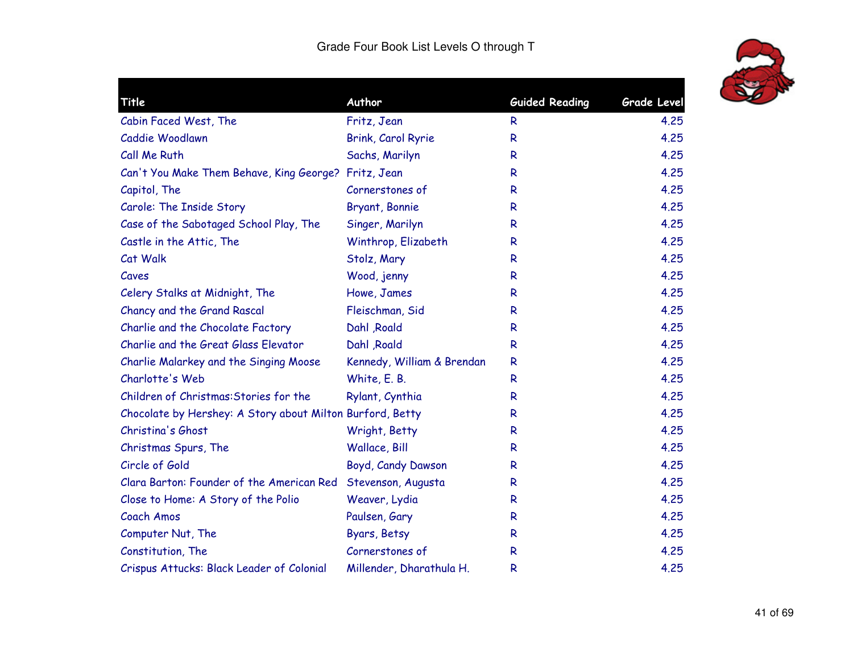

|                            |                                                                                                                                                                                                               | <b>Grade Level</b>    |
|----------------------------|---------------------------------------------------------------------------------------------------------------------------------------------------------------------------------------------------------------|-----------------------|
|                            | R                                                                                                                                                                                                             | 4.25                  |
|                            | $\mathsf{R}$                                                                                                                                                                                                  | 4.25                  |
| Sachs, Marilyn             | R                                                                                                                                                                                                             | 4.25                  |
|                            | R                                                                                                                                                                                                             | 4.25                  |
| Cornerstones of            | R                                                                                                                                                                                                             | 4.25                  |
| Bryant, Bonnie             | R                                                                                                                                                                                                             | 4,25                  |
| Singer, Marilyn            | R                                                                                                                                                                                                             | 4.25                  |
| Winthrop, Elizabeth        | R                                                                                                                                                                                                             | 4.25                  |
| Stolz, Mary                | R                                                                                                                                                                                                             | 4.25                  |
| Wood, jenny                | R                                                                                                                                                                                                             | 4.25                  |
| Howe, James                | R                                                                                                                                                                                                             | 4.25                  |
| Fleischman, Sid            | R                                                                                                                                                                                                             | 4.25                  |
| Dahl , Roald               | R                                                                                                                                                                                                             | 4.25                  |
| Dahl , Roald               | R                                                                                                                                                                                                             | 4.25                  |
| Kennedy, William & Brendan | $\mathsf{R}$                                                                                                                                                                                                  | 4.25                  |
| White, E. B.               | R                                                                                                                                                                                                             | 4.25                  |
| Rylant, Cynthia            | $\mathsf{R}$                                                                                                                                                                                                  | 4.25                  |
|                            | $\mathsf{R}$                                                                                                                                                                                                  | 4.25                  |
| Wright, Betty              | $\mathsf{R}$                                                                                                                                                                                                  | 4.25                  |
| Wallace, Bill              | R                                                                                                                                                                                                             | 4.25                  |
| Boyd, Candy Dawson         | R                                                                                                                                                                                                             | 4.25                  |
| Stevenson, Augusta         | R                                                                                                                                                                                                             | 4.25                  |
| Weaver, Lydia              | R                                                                                                                                                                                                             | 4.25                  |
| Paulsen, Gary              | R                                                                                                                                                                                                             | 4.25                  |
| Byars, Betsy               | $\mathsf{R}$                                                                                                                                                                                                  | 4.25                  |
| Cornerstones of            | R                                                                                                                                                                                                             | 4.25                  |
| Millender, Dharathula H.   | R                                                                                                                                                                                                             | 4.25                  |
|                            | Author<br>Fritz, Jean<br>Brink, Carol Ryrie<br>Can't You Make Them Behave, King George? Fritz, Jean<br>Chocolate by Hershey: A Story about Milton Burford, Betty<br>Clara Barton: Founder of the American Red | <b>Guided Reading</b> |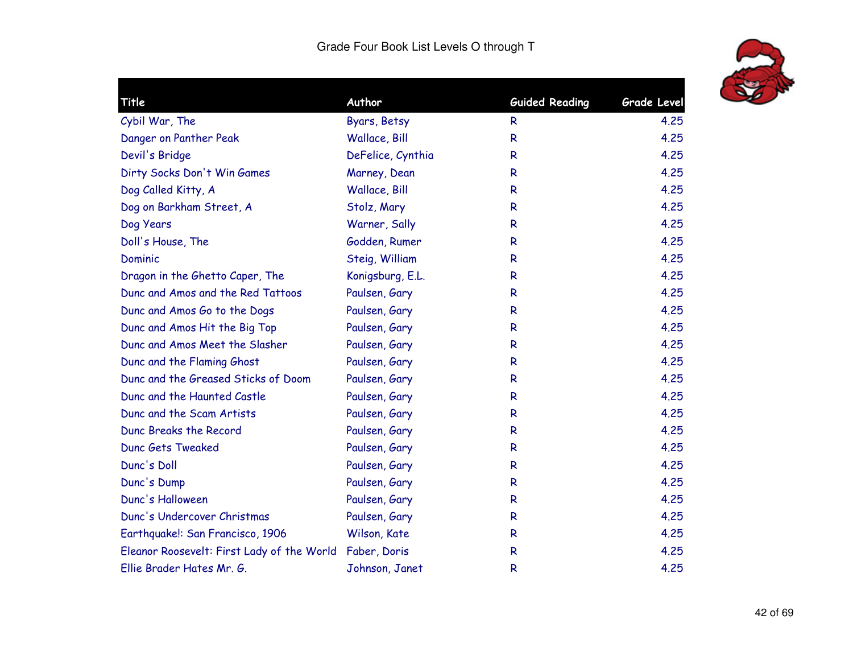

| Title                                      | Author            | <b>Guided Reading</b> | <b>Grade Level</b> |
|--------------------------------------------|-------------------|-----------------------|--------------------|
| Cybil War, The                             | Byars, Betsy      | R                     | 4.25               |
| Danger on Panther Peak                     | Wallace, Bill     | R                     | 4.25               |
| Devil's Bridge                             | DeFelice, Cynthia | R                     | 4.25               |
| Dirty Socks Don't Win Games                | Marney, Dean      | R                     | 4.25               |
| Dog Called Kitty, A                        | Wallace, Bill     | R                     | 4.25               |
| Dog on Barkham Street, A                   | Stolz, Mary       | R                     | 4.25               |
| Dog Years                                  | Warner, Sally     | R                     | 4.25               |
| Doll's House, The                          | Godden, Rumer     | R                     | 4.25               |
| Dominic                                    | Steig, William    | R                     | 4.25               |
| Dragon in the Ghetto Caper, The            | Konigsburg, E.L.  | R                     | 4.25               |
| Dunc and Amos and the Red Tattoos          | Paulsen, Gary     | R                     | 4.25               |
| Dunc and Amos Go to the Dogs               | Paulsen, Gary     | R                     | 4.25               |
| Dunc and Amos Hit the Big Top              | Paulsen, Gary     | R                     | 4.25               |
| Dunc and Amos Meet the Slasher             | Paulsen, Gary     | R                     | 4.25               |
| Dunc and the Flaming Ghost                 | Paulsen, Gary     | R                     | 4.25               |
| Dunc and the Greased Sticks of Doom        | Paulsen, Gary     | R                     | 4.25               |
| Dunc and the Haunted Castle                | Paulsen, Gary     | R                     | 4.25               |
| Dunc and the Scam Artists                  | Paulsen, Gary     | R                     | 4.25               |
| Dunc Breaks the Record                     | Paulsen, Gary     | R                     | 4.25               |
| <b>Dunc Gets Tweaked</b>                   | Paulsen, Gary     | R                     | 4.25               |
| Dunc's Doll                                | Paulsen, Gary     | R                     | 4.25               |
| Dunc's Dump                                | Paulsen, Gary     | R                     | 4.25               |
| Dunc's Halloween                           | Paulsen, Gary     | R                     | 4.25               |
| Dunc's Undercover Christmas                | Paulsen, Gary     | R                     | 4.25               |
| Earthquake!: San Francisco, 1906           | Wilson, Kate      | R                     | 4.25               |
| Eleanor Roosevelt: First Lady of the World | Faber, Doris      | R                     | 4.25               |
| Ellie Brader Hates Mr. G.                  | Johnson, Janet    | R                     | 4.25               |
|                                            |                   |                       |                    |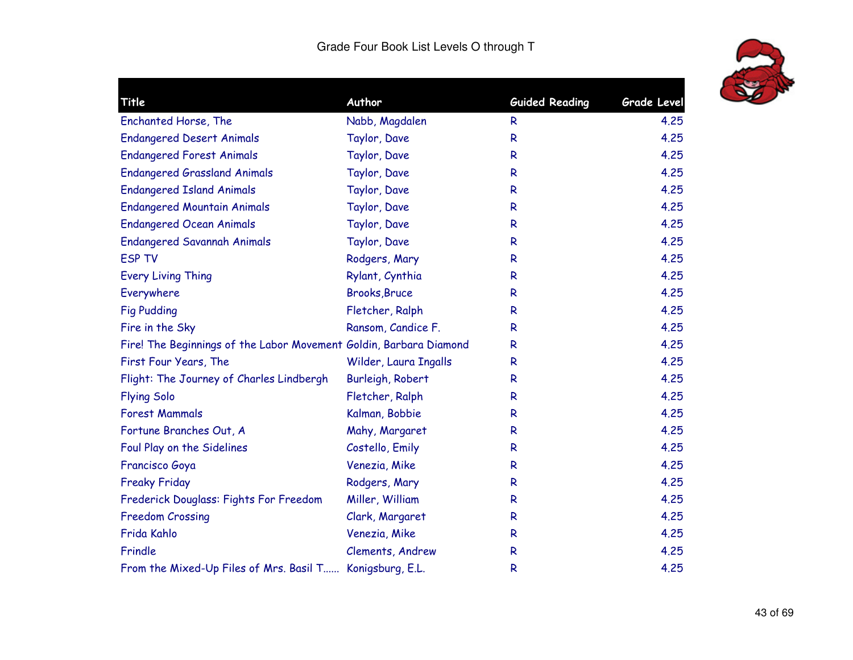

| Title                                                              | Author                | <b>Guided Reading</b> | <b>Grade Level</b> |
|--------------------------------------------------------------------|-----------------------|-----------------------|--------------------|
| Enchanted Horse, The                                               | Nabb, Magdalen        | R                     | 4.25               |
| <b>Endangered Desert Animals</b>                                   | Taylor, Dave          | ${\sf R}$             | 4.25               |
| <b>Endangered Forest Animals</b>                                   | Taylor, Dave          | R                     | 4.25               |
| <b>Endangered Grassland Animals</b>                                | Taylor, Dave          | $\mathsf{R}$          | 4.25               |
| <b>Endangered Island Animals</b>                                   | Taylor, Dave          | $\mathsf{R}$          | 4.25               |
| <b>Endangered Mountain Animals</b>                                 | Taylor, Dave          | $\mathsf{R}$          | 4.25               |
| <b>Endangered Ocean Animals</b>                                    | Taylor, Dave          | R                     | 4.25               |
| <b>Endangered Savannah Animals</b>                                 | Taylor, Dave          | R                     | 4.25               |
| <b>ESP TV</b>                                                      | Rodgers, Mary         | $\mathsf{R}$          | 4,25               |
| <b>Every Living Thing</b>                                          | Rylant, Cynthia       | R                     | 4.25               |
| Everywhere                                                         | <b>Brooks, Bruce</b>  | $\mathsf R$           | 4.25               |
| <b>Fig Pudding</b>                                                 | Fletcher, Ralph       | $\mathsf{R}$          | 4.25               |
| Fire in the Sky                                                    | Ransom, Candice F.    | $\mathsf{R}$          | 4.25               |
| Fire! The Beginnings of the Labor Movement Goldin, Barbara Diamond |                       | R                     | 4.25               |
| First Four Years, The                                              | Wilder, Laura Ingalls | $\mathsf{R}$          | 4.25               |
| Flight: The Journey of Charles Lindbergh                           | Burleigh, Robert      | $\mathsf{R}$          | 4.25               |
| <b>Flying Solo</b>                                                 | Fletcher, Ralph       | R                     | 4.25               |
| <b>Forest Mammals</b>                                              | Kalman, Bobbie        | $\mathsf{R}$          | 4.25               |
| Fortune Branches Out, A                                            | Mahy, Margaret        | R                     | 4.25               |
| Foul Play on the Sidelines                                         | Costello, Emily       | R                     | 4,25               |
| Francisco Goya                                                     | Venezia, Mike         | $\mathsf{R}$          | 4.25               |
| <b>Freaky Friday</b>                                               | Rodgers, Mary         | R                     | 4.25               |
| Frederick Douglass: Fights For Freedom                             | Miller, William       | $\mathsf{R}$          | 4.25               |
| <b>Freedom Crossing</b>                                            | Clark, Margaret       | $\mathsf{R}$          | 4.25               |
| Frida Kahlo                                                        | Venezia, Mike         | $\mathsf{R}$          | 4.25               |
| Frindle                                                            | Clements, Andrew      | R                     | 4.25               |
| From the Mixed-Up Files of Mrs. Basil T Konigsburg, E.L.           |                       | R                     | 4.25               |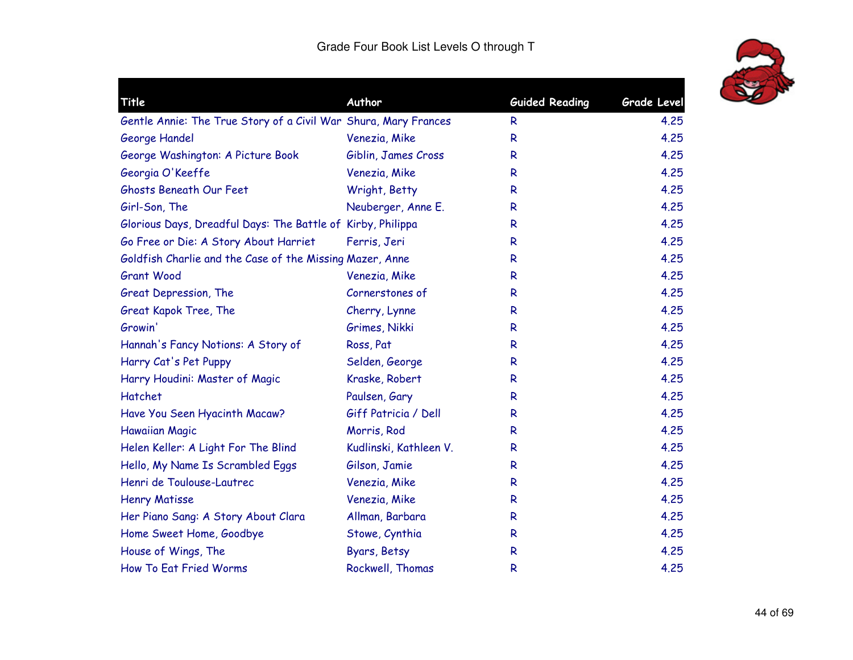

| Title                                                           | Author                 | <b>Guided Reading</b> | Grade Level |
|-----------------------------------------------------------------|------------------------|-----------------------|-------------|
| Gentle Annie: The True Story of a Civil War Shura, Mary Frances |                        | R                     | 4.25        |
| George Handel                                                   | Venezia, Mike          | R                     | 4.25        |
| George Washington: A Picture Book                               | Giblin, James Cross    | R                     | 4.25        |
| Georgia O'Keeffe                                                | Venezia, Mike          | R                     | 4.25        |
| Ghosts Beneath Our Feet                                         | Wright, Betty          | R                     | 4.25        |
| Girl-Son, The                                                   | Neuberger, Anne E.     | R                     | 4.25        |
| Glorious Days, Dreadful Days: The Battle of Kirby, Philippa     |                        | R                     | 4.25        |
| Go Free or Die: A Story About Harriet                           | Ferris, Jeri           | R                     | 4.25        |
| Goldfish Charlie and the Case of the Missing Mazer, Anne        |                        | R                     | 4.25        |
| <b>Grant Wood</b>                                               | Venezia, Mike          | R                     | 4.25        |
| Great Depression, The                                           | Cornerstones of        | R                     | 4.25        |
| Great Kapok Tree, The                                           | Cherry, Lynne          | R                     | 4.25        |
| Growin'                                                         | Grimes, Nikki          | R                     | 4.25        |
| Hannah's Fancy Notions: A Story of                              | Ross, Pat              | R                     | 4.25        |
| Harry Cat's Pet Puppy                                           | Selden, George         | R                     | 4.25        |
| Harry Houdini: Master of Magic                                  | Kraske, Robert         | R                     | 4.25        |
| Hatchet                                                         | Paulsen, Gary          | R                     | 4.25        |
| Have You Seen Hyacinth Macaw?                                   | Giff Patricia / Dell   | R                     | 4.25        |
| <b>Hawaiian Magic</b>                                           | Morris, Rod            | R                     | 4.25        |
| Helen Keller: A Light For The Blind                             | Kudlinski, Kathleen V. | R                     | 4.25        |
| Hello, My Name Is Scrambled Eggs                                | Gilson, Jamie          | R                     | 4.25        |
| Henri de Toulouse-Lautrec                                       | Venezia, Mike          | R                     | 4.25        |
| <b>Henry Matisse</b>                                            | Venezia, Mike          | R                     | 4.25        |
| Her Piano Sang: A Story About Clara                             | Allman, Barbara        | R                     | 4.25        |
| Home Sweet Home, Goodbye                                        | Stowe, Cynthia         | R                     | 4.25        |
| House of Wings, The                                             | Byars, Betsy           | R                     | 4.25        |
| How To Eat Fried Worms                                          | Rockwell, Thomas       | R                     | 4.25        |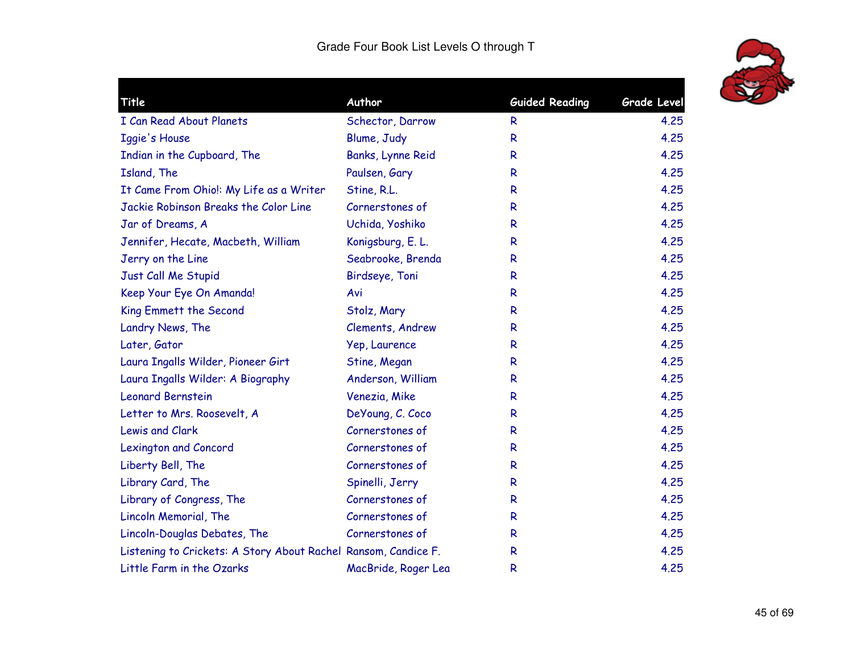

| Title                                                          | Author              | <b>Guided Reading</b> | <b>Grade Level</b> |
|----------------------------------------------------------------|---------------------|-----------------------|--------------------|
| I Can Read About Planets                                       | Schector, Darrow    | R.                    | 4.25               |
| <b>Iggie's House</b>                                           | Blume, Judy         | R                     | 4.25               |
| Indian in the Cupboard, The                                    | Banks, Lynne Reid   | R                     | 4.25               |
| Island, The                                                    | Paulsen, Gary       | R                     | 4.25               |
| It Came From Ohio!: My Life as a Writer                        | Stine, R.L.         | R                     | 4.25               |
| Jackie Robinson Breaks the Color Line                          | Cornerstones of     | R                     | 4.25               |
| Jar of Dreams, A                                               | Uchida, Yoshiko     | R                     | 4.25               |
| Jennifer, Hecate, Macbeth, William                             | Konigsburg, E. L.   | R                     | 4.25               |
| Jerry on the Line                                              | Seabrooke, Brenda   | R                     | 4.25               |
| Just Call Me Stupid                                            | Birdseye, Toni      | R                     | 4.25               |
| Keep Your Eye On Amanda!                                       | Avi                 | R                     | 4.25               |
| King Emmett the Second                                         | Stolz, Mary         | R                     | 4.25               |
| Landry News, The                                               | Clements, Andrew    | R                     | 4.25               |
| Later, Gator                                                   | Yep, Laurence       | R                     | 4.25               |
| Laura Ingalls Wilder, Pioneer Girt                             | Stine, Megan        | R                     | 4.25               |
| Laura Ingalls Wilder: A Biography                              | Anderson, William   | R                     | 4.25               |
| <b>Leonard Bernstein</b>                                       | Venezia, Mike       | R                     | 4.25               |
| Letter to Mrs. Roosevelt, A                                    | DeYoung, C. Coco    | R                     | 4.25               |
| Lewis and Clark                                                | Cornerstones of     | R                     | 4.25               |
| <b>Lexington and Concord</b>                                   | Cornerstones of     | R                     | 4.25               |
| Liberty Bell, The                                              | Cornerstones of     | $\mathsf{R}$          | 4.25               |
| Library Card, The                                              | Spinelli, Jerry     | R                     | 4.25               |
| Library of Congress, The                                       | Cornerstones of     | R                     | 4.25               |
| Lincoln Memorial, The                                          | Cornerstones of     | R.                    | 4.25               |
| Lincoln-Douglas Debates, The                                   | Cornerstones of     | R                     | 4.25               |
| Listening to Crickets: A Story About Rachel Ransom, Candice F. |                     | R                     | 4.25               |
| Little Farm in the Ozarks                                      | MacBride, Roger Lea | R                     | 4.25               |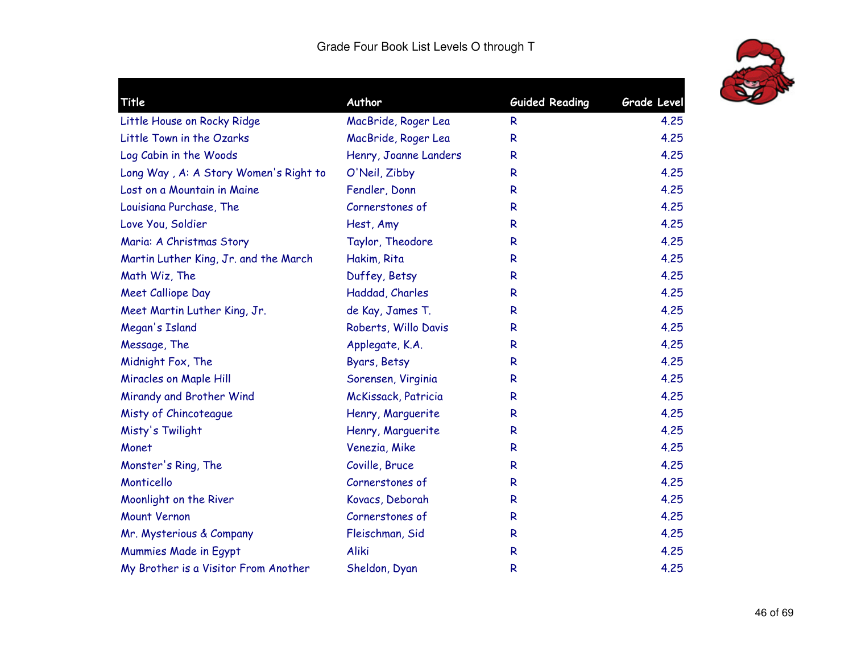

| Title                                 | Author                | <b>Guided Reading</b> | <b>Grade Level</b> |
|---------------------------------------|-----------------------|-----------------------|--------------------|
| Little House on Rocky Ridge           | MacBride, Roger Lea   | R.                    | 4.25               |
| Little Town in the Ozarks             | MacBride, Roger Lea   | R                     | 4.25               |
| Log Cabin in the Woods                | Henry, Joanne Landers | R.                    | 4.25               |
| Long Way, A: A Story Women's Right to | O'Neil, Zibby         | R.                    | 4.25               |
| Lost on a Mountain in Maine           | Fendler, Donn         | R                     | 4.25               |
| Louisiana Purchase, The               | Cornerstones of       | R                     | 4.25               |
| Love You, Soldier                     | Hest, Amy             | R.                    | 4.25               |
| Maria: A Christmas Story              | Taylor, Theodore      | R                     | 4.25               |
| Martin Luther King, Jr. and the March | Hakim, Rita           | R                     | 4.25               |
| Math Wiz, The                         | Duffey, Betsy         | R.                    | 4.25               |
| <b>Meet Calliope Day</b>              | Haddad, Charles       | R                     | 4.25               |
| Meet Martin Luther King, Jr.          | de Kay, James T.      | R.                    | 4.25               |
| Megan's Island                        | Roberts, Willo Davis  | R                     | 4.25               |
| Message, The                          | Applegate, K.A.       | R                     | 4.25               |
| Midnight Fox, The                     | Byars, Betsy          | R                     | 4.25               |
| Miracles on Maple Hill                | Sorensen, Virginia    | R                     | 4.25               |
| Mirandy and Brother Wind              | McKissack, Patricia   | R.                    | 4.25               |
| Misty of Chincoteague                 | Henry, Marguerite     | R                     | 4.25               |
| Misty's Twilight                      | Henry, Marguerite     | R                     | 4.25               |
| Monet                                 | Venezia, Mike         | R.                    | 4.25               |
| Monster's Ring, The                   | Coville, Bruce        | R                     | 4.25               |
| Monticello                            | Cornerstones of       | R.                    | 4.25               |
| Moonlight on the River                | Kovacs, Deborah       | R                     | 4.25               |
| Mount Vernon                          | Cornerstones of       | R                     | 4.25               |
| Mr. Mysterious & Company              | Fleischman, Sid       | R                     | 4.25               |
| Mummies Made in Egypt                 | Aliki                 | $\mathsf{R}$          | 4.25               |
| My Brother is a Visitor From Another  | Sheldon, Dyan         | R                     | 4.25               |
|                                       |                       |                       |                    |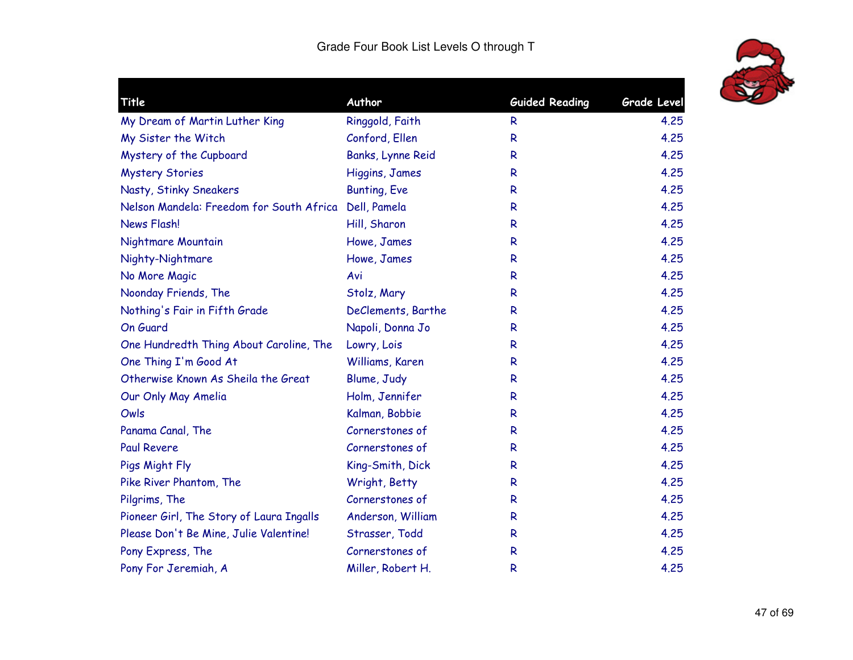

|                    |                                                                                                                                                  | <b>Grade Level</b>    |
|--------------------|--------------------------------------------------------------------------------------------------------------------------------------------------|-----------------------|
|                    | R                                                                                                                                                | 4.25                  |
| Conford, Ellen     | $\mathsf{R}$                                                                                                                                     | 4.25                  |
|                    | R                                                                                                                                                | 4,25                  |
|                    | $\mathsf{R}$                                                                                                                                     | 4.25                  |
|                    | R                                                                                                                                                | 4.25                  |
|                    | $\mathsf{R}$                                                                                                                                     | 4.25                  |
| Hill, Sharon       | $\mathsf{R}$                                                                                                                                     | 4.25                  |
| Howe, James        | $\mathsf{R}$                                                                                                                                     | 4.25                  |
| Howe, James        | $\mathsf{R}$                                                                                                                                     | 4.25                  |
| Avi                | $\mathsf{R}$                                                                                                                                     | 4.25                  |
| Stolz, Mary        | $\mathsf{R}$                                                                                                                                     | 4.25                  |
| DeClements, Barthe | R                                                                                                                                                | 4.25                  |
| Napoli, Donna Jo   | $\mathsf{R}$                                                                                                                                     | 4.25                  |
| Lowry, Lois        | $\mathsf{R}$                                                                                                                                     | 4.25                  |
| Williams, Karen    | R                                                                                                                                                | 4,25                  |
| Blume, Judy        | $\mathsf{R}$                                                                                                                                     | 4.25                  |
| Holm, Jennifer     | R                                                                                                                                                | 4.25                  |
| Kalman, Bobbie     | $\mathsf{R}$                                                                                                                                     | 4.25                  |
| Cornerstones of    | $\mathsf{R}$                                                                                                                                     | 4.25                  |
| Cornerstones of    | R                                                                                                                                                | 4.25                  |
| King-Smith, Dick   | $\mathsf{R}$                                                                                                                                     | 4.25                  |
| Wright, Betty      | $\mathsf{R}$                                                                                                                                     | 4.25                  |
| Cornerstones of    | $\mathsf{R}$                                                                                                                                     | 4.25                  |
| Anderson, William  | $\mathsf{R}$                                                                                                                                     | 4.25                  |
| Strasser, Todd     | R                                                                                                                                                | 4.25                  |
| Cornerstones of    | R                                                                                                                                                | 4.25                  |
| Miller, Robert H.  | R                                                                                                                                                | 4.25                  |
|                    | Author<br>Ringgold, Faith<br>Banks, Lynne Reid<br>Higgins, James<br><b>Bunting, Eve</b><br>Nelson Mandela: Freedom for South Africa Dell, Pamela | <b>Guided Reading</b> |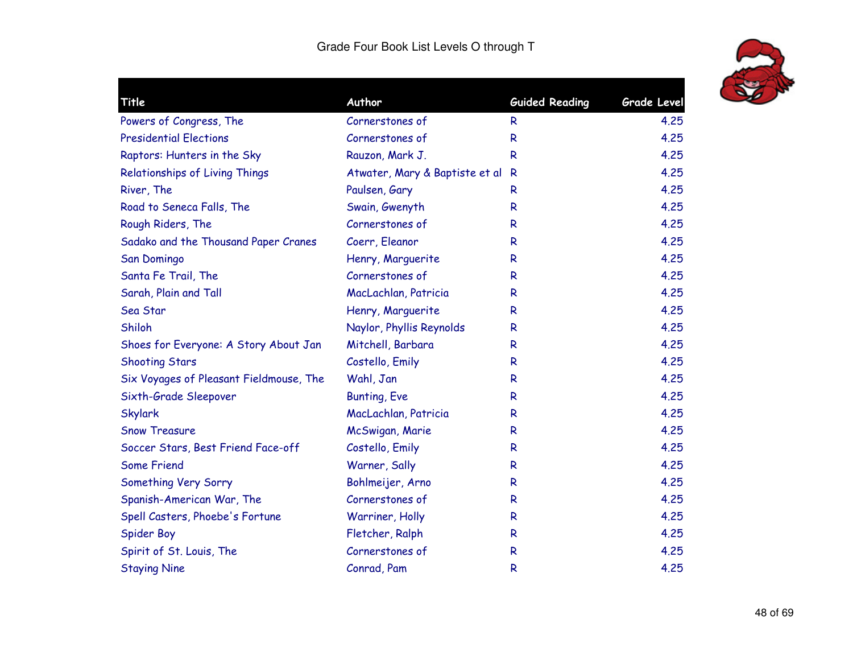

| Title                                   | Author                           | <b>Guided Reading</b> | <b>Grade Level</b> |
|-----------------------------------------|----------------------------------|-----------------------|--------------------|
| Powers of Congress, The                 | Cornerstones of                  | R                     | 4.25               |
| <b>Presidential Elections</b>           | Cornerstones of                  | R                     | 4.25               |
| Raptors: Hunters in the Sky             | Rauzon, Mark J.                  | R                     | 4.25               |
| Relationships of Living Things          | Atwater, Mary & Baptiste et al R |                       | 4.25               |
| River, The                              | Paulsen, Gary                    | R                     | 4.25               |
| Road to Seneca Falls, The               | Swain, Gwenyth                   | R                     | 4.25               |
| Rough Riders, The                       | Cornerstones of                  | R                     | 4.25               |
| Sadako and the Thousand Paper Cranes    | Coerr, Eleanor                   | R                     | 4.25               |
| San Domingo                             | Henry, Marguerite                | R                     | 4.25               |
| Santa Fe Trail, The                     | Cornerstones of                  | R                     | 4.25               |
| Sarah, Plain and Tall                   | MacLachlan, Patricia             | R                     | 4.25               |
| Sea Star                                | Henry, Marguerite                | R                     | 4.25               |
| Shiloh                                  | Naylor, Phyllis Reynolds         | R.                    | 4.25               |
| Shoes for Everyone: A Story About Jan   | Mitchell, Barbara                | R                     | 4.25               |
| <b>Shooting Stars</b>                   | Costello, Emily                  | R                     | 4.25               |
| Six Voyages of Pleasant Fieldmouse, The | Wahl, Jan                        | R                     | 4.25               |
| Sixth-Grade Sleepover                   | <b>Bunting, Eve</b>              | R                     | 4.25               |
| <b>Skylark</b>                          | MacLachlan, Patricia             | R                     | 4.25               |
| <b>Snow Treasure</b>                    | McSwigan, Marie                  | R                     | 4.25               |
| Soccer Stars, Best Friend Face-off      | Costello, Emily                  | R                     | 4.25               |
| <b>Some Friend</b>                      | Warner, Sally                    | R                     | 4.25               |
| Something Very Sorry                    | Bohlmeijer, Arno                 | R                     | 4.25               |
| Spanish-American War, The               | Cornerstones of                  | R                     | 4.25               |
| Spell Casters, Phoebe's Fortune         | Warriner, Holly                  | R                     | 4.25               |
| <b>Spider Boy</b>                       | Fletcher, Ralph                  | R                     | 4.25               |
| Spirit of St. Louis, The                | Cornerstones of                  | R                     | 4.25               |
| <b>Staying Nine</b>                     | Conrad, Pam                      | R                     | 4.25               |
|                                         |                                  |                       |                    |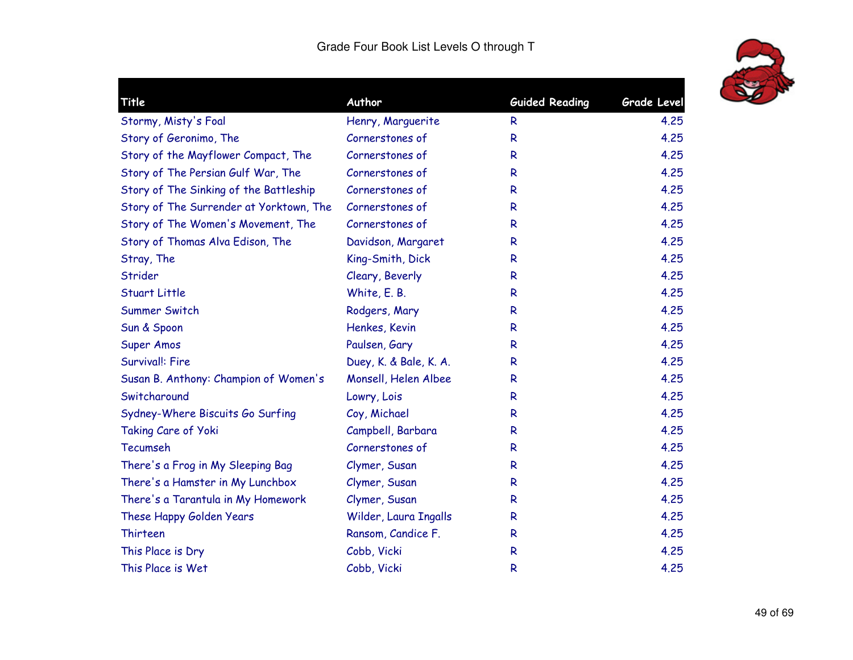

| Title                                   | Author                 | <b>Guided Reading</b> | Grade Level |
|-----------------------------------------|------------------------|-----------------------|-------------|
| Stormy, Misty's Foal                    | Henry, Marguerite      | R                     | 4.25        |
| Story of Geronimo, The                  | Cornerstones of        | R                     | 4.25        |
| Story of the Mayflower Compact, The     | Cornerstones of        | R                     | 4.25        |
| Story of The Persian Gulf War, The      | Cornerstones of        | R                     | 4.25        |
| Story of The Sinking of the Battleship  | Cornerstones of        | R                     | 4.25        |
| Story of The Surrender at Yorktown, The | Cornerstones of        | R                     | 4.25        |
| Story of The Women's Movement, The      | Cornerstones of        | R                     | 4.25        |
| Story of Thomas Alva Edison, The        | Davidson, Margaret     | R                     | 4.25        |
| Stray, The                              | King-Smith, Dick       | R                     | 4.25        |
| Strider                                 | Cleary, Beverly        | R                     | 4.25        |
| Stuart Little                           | White, E. B.           | R                     | 4.25        |
| Summer Switch                           | Rodgers, Mary          | R                     | 4.25        |
| Sun & Spoon                             | Henkes, Kevin          | R                     | 4.25        |
| Super Amos                              | Paulsen, Gary          | R                     | 4.25        |
| Survival!: Fire                         | Duey, K. & Bale, K. A. | R                     | 4.25        |
| Susan B. Anthony: Champion of Women's   | Monsell, Helen Albee   | R                     | 4.25        |
| Switcharound                            | Lowry, Lois            | R                     | 4.25        |
| Sydney-Where Biscuits Go Surfing        | Coy, Michael           | R                     | 4.25        |
| Taking Care of Yoki                     | Campbell, Barbara      | R                     | 4.25        |
| Tecumseh                                | Cornerstones of        | R                     | 4.25        |
| There's a Frog in My Sleeping Bag       | Clymer, Susan          | R                     | 4.25        |
| There's a Hamster in My Lunchbox        | Clymer, Susan          | R                     | 4.25        |
| There's a Tarantula in My Homework      | Clymer, Susan          | R                     | 4.25        |
| These Happy Golden Years                | Wilder, Laura Ingalls  | R                     | 4.25        |
| <b>Thirteen</b>                         | Ransom, Candice F.     | R                     | 4.25        |
| This Place is Dry                       | Cobb, Vicki            | R                     | 4.25        |
| This Place is Wet                       | Cobb, Vicki            | R                     | 4.25        |
|                                         |                        |                       |             |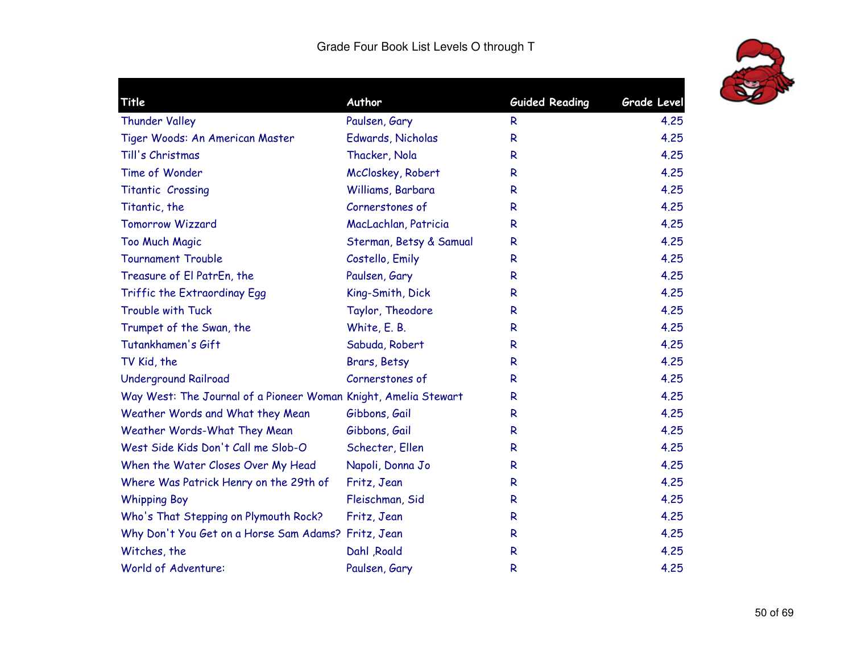

| Title                                                           | Author                  | <b>Guided Reading</b> | <b>Grade Level</b> |
|-----------------------------------------------------------------|-------------------------|-----------------------|--------------------|
| <b>Thunder Valley</b>                                           | Paulsen, Gary           | R.                    | 4.25               |
| Tiger Woods: An American Master                                 | Edwards, Nicholas       | R                     | 4.25               |
| Till's Christmas                                                | Thacker, Nola           | R.                    | 4.25               |
| Time of Wonder                                                  | McCloskey, Robert       | R                     | 4.25               |
| Titantic Crossing                                               | Williams, Barbara       | R                     | 4.25               |
| Titantic, the                                                   | Cornerstones of         | R                     | 4.25               |
| Tomorrow Wizzard                                                | MacLachlan, Patricia    | R.                    | 4.25               |
| <b>Too Much Magic</b>                                           | Sterman, Betsy & Samual | R                     | 4.25               |
| <b>Tournament Trouble</b>                                       | Costello, Emily         | R                     | 4.25               |
| Treasure of El PatrEn, the                                      | Paulsen, Gary           | R                     | 4.25               |
| Triffic the Extraordinay Egg                                    | King-Smith, Dick        | R                     | 4.25               |
| Trouble with Tuck                                               | Taylor, Theodore        | R                     | 4.25               |
| Trumpet of the Swan, the                                        | White, E. B.            | R                     | 4.25               |
| Tutankhamen's Gift                                              | Sabuda, Robert          | R                     | 4.25               |
| TV Kid, the                                                     | Brars, Betsy            | R                     | 4.25               |
| <b>Underground Railroad</b>                                     | Cornerstones of         | R                     | 4.25               |
| Way West: The Journal of a Pioneer Woman Knight, Amelia Stewart |                         | R.                    | 4.25               |
| Weather Words and What they Mean                                | Gibbons, Gail           | R                     | 4.25               |
| Weather Words-What They Mean                                    | Gibbons, Gail           | R                     | 4.25               |
| West Side Kids Don't Call me Slob-O                             | Schecter, Ellen         | R                     | 4.25               |
| When the Water Closes Over My Head                              | Napoli, Donna Jo        | R                     | 4.25               |
| Where Was Patrick Henry on the 29th of                          | Fritz, Jean             | R.                    | 4.25               |
| <b>Whipping Boy</b>                                             | Fleischman, Sid         | R                     | 4.25               |
| Who's That Stepping on Plymouth Rock?                           | Fritz, Jean             | R                     | 4.25               |
| Why Don't You Get on a Horse Sam Adams? Fritz, Jean             |                         | R                     | 4.25               |
| Witches, the                                                    | Dahl , Roald            | R                     | 4.25               |
| World of Adventure:                                             | Paulsen, Gary           | R                     | 4.25               |
|                                                                 |                         |                       |                    |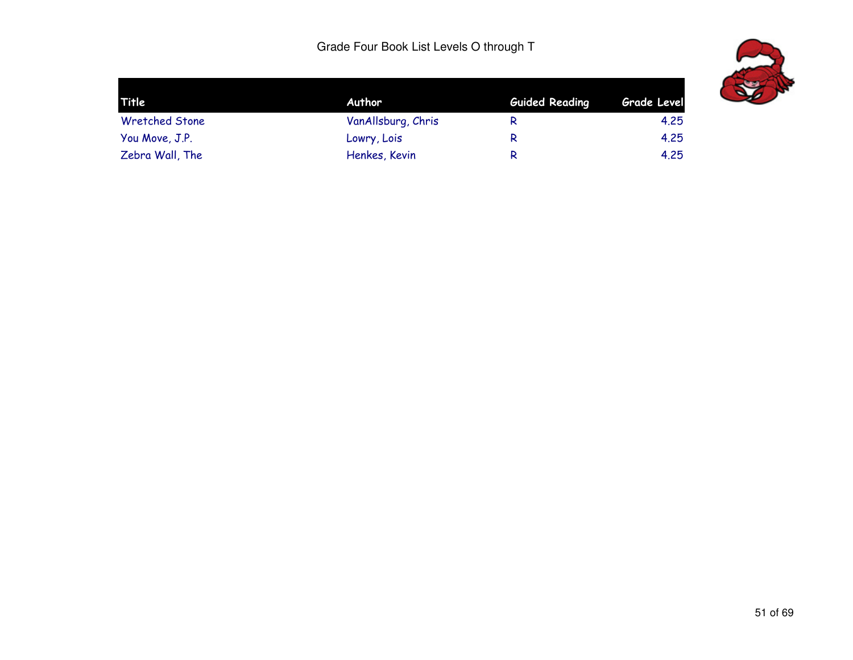

| Title                 | <b>Author</b>      | <b>Guided Reading</b> | Grade Level |  |
|-----------------------|--------------------|-----------------------|-------------|--|
| <b>Wretched Stone</b> | VanAllsburg, Chris | R                     | 4.25        |  |
| You Move, J.P.        | Lowry, Lois        | R                     | 4.25        |  |
| Zebra Wall, The       | Henkes, Kevin      | R                     | 4.25        |  |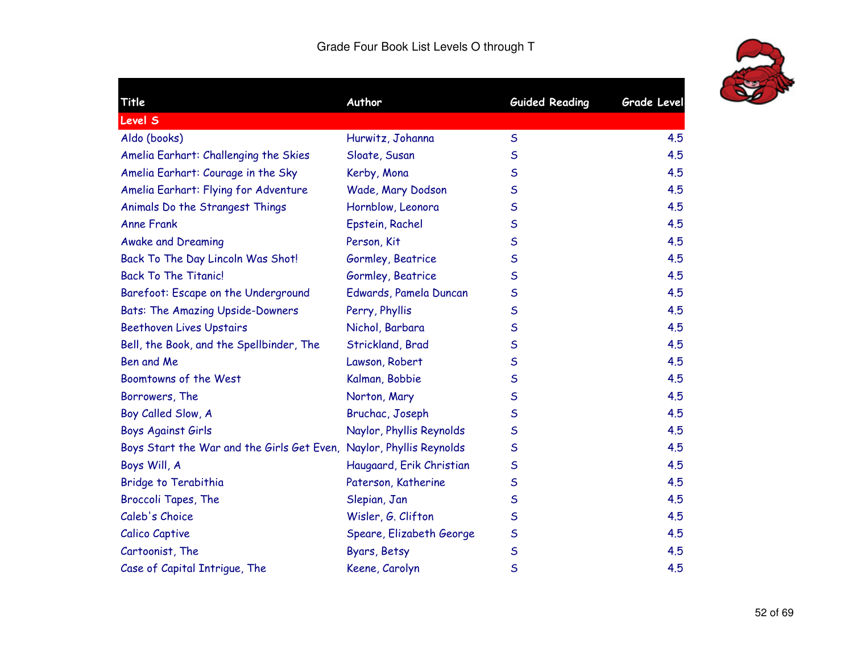

÷.

| Title                                                               | Author                   | <b>Guided Reading</b> | <b>Grade Level</b> |
|---------------------------------------------------------------------|--------------------------|-----------------------|--------------------|
| <b>Level S</b>                                                      |                          |                       |                    |
| Aldo (books)                                                        | Hurwitz, Johanna         | $\mathsf{S}$          | 4.5                |
| Amelia Earhart: Challenging the Skies                               | Sloate, Susan            | S                     | 4.5                |
| Amelia Earhart: Courage in the Sky                                  | Kerby, Mona              | S                     | 4.5                |
| Amelia Earhart: Flying for Adventure                                | Wade, Mary Dodson        | $\mathsf S$           | 4.5                |
| Animals Do the Strangest Things                                     | Hornblow, Leonora        | S                     | 4.5                |
| <b>Anne Frank</b>                                                   | Epstein, Rachel          | $\mathsf S$           | 4.5                |
| <b>Awake and Dreaming</b>                                           | Person, Kit              | S                     | 4.5                |
| Back To The Day Lincoln Was Shot!                                   | Gormley, Beatrice        | S                     | 4.5                |
| <b>Back To The Titanic!</b>                                         | Gormley, Beatrice        | $\mathsf S$           | 4.5                |
| Barefoot: Escape on the Underground                                 | Edwards, Pamela Duncan   | S                     | 4.5                |
| <b>Bats: The Amazing Upside-Downers</b>                             | Perry, Phyllis           | $\mathsf{S}$          | 4.5                |
| <b>Beethoven Lives Upstairs</b>                                     | Nichol, Barbara          | S                     | 4.5                |
| Bell, the Book, and the Spellbinder, The                            | Strickland, Brad         | S                     | 4.5                |
| Ben and Me                                                          | Lawson, Robert           | S                     | 4.5                |
| Boomtowns of the West                                               | Kalman, Bobbie           | S                     | 4.5                |
| Borrowers, The                                                      | Norton, Mary             | $\mathsf S$           | 4.5                |
| Boy Called Slow, A                                                  | Bruchac, Joseph          | S                     | 4.5                |
| <b>Boys Against Girls</b>                                           | Naylor, Phyllis Reynolds | S                     | 4.5                |
| Boys Start the War and the Girls Get Even, Naylor, Phyllis Reynolds |                          | $\mathsf S$           | 4.5                |
| Boys Will, A                                                        | Haugaard, Erik Christian | $\mathsf S$           | 4.5                |
| Bridge to Terabithia                                                | Paterson, Katherine      | $\mathsf{S}$          | 4.5                |
| Broccoli Tapes, The                                                 | Slepian, Jan             | S                     | 4.5                |
| Caleb's Choice                                                      | Wisler, G. Clifton       | S                     | 4.5                |
| Calico Captive                                                      | Speare, Elizabeth George | S                     | 4.5                |
| Cartoonist, The                                                     | Byars, Betsy             | $\mathsf S$           | 4.5                |
| Case of Capital Intrigue, The                                       | Keene, Carolyn           | $\mathsf{S}$          | 4.5                |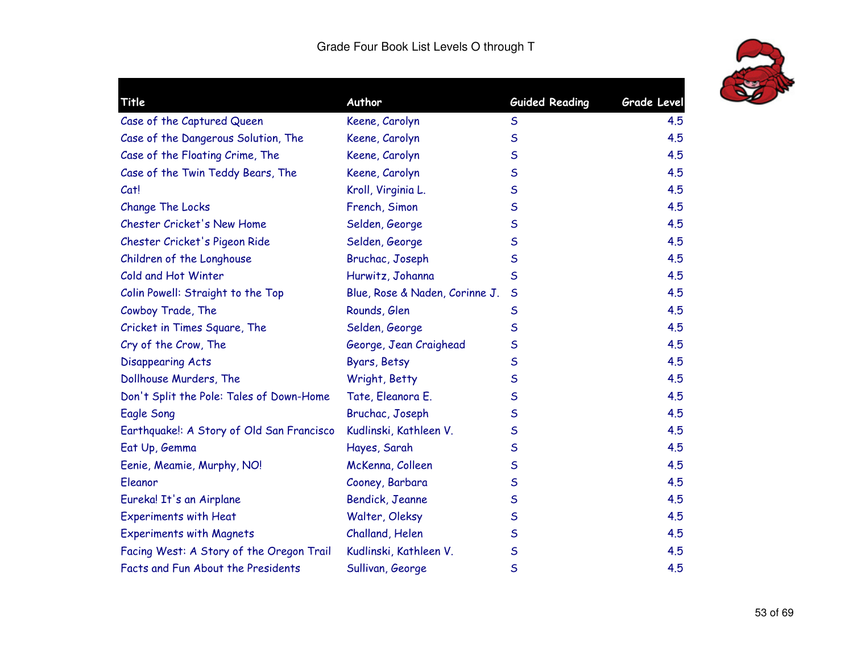

|                                |                                                              | <b>Grade Level</b>                   |
|--------------------------------|--------------------------------------------------------------|--------------------------------------|
|                                |                                                              | 4.5                                  |
|                                | $\mathsf{S}$                                                 | 4.5                                  |
|                                | $\mathsf S$                                                  | 4.5                                  |
| Keene, Carolyn                 | $\mathsf S$                                                  | 4.5                                  |
| Kroll, Virginia L.             | S                                                            | 4.5                                  |
| French, Simon                  | $\mathsf S$                                                  | 4.5                                  |
| Selden, George                 | $\mathsf S$                                                  | 4.5                                  |
| Selden, George                 | $\mathsf S$                                                  | 4.5                                  |
| Bruchac, Joseph                | $\mathsf S$                                                  | 4.5                                  |
| Hurwitz, Johanna               | S                                                            | 4.5                                  |
| Blue, Rose & Naden, Corinne J. | $\mathsf{S}$                                                 | 4.5                                  |
| Rounds, Glen                   | S                                                            | 4.5                                  |
| Selden, George                 | $\mathsf S$                                                  | 4.5                                  |
| George, Jean Craighead         | S                                                            | 4.5                                  |
| Byars, Betsy                   | $\mathsf S$                                                  | 4.5                                  |
| Wright, Betty                  | $\mathsf S$                                                  | 4.5                                  |
| Tate, Eleanora E.              | S                                                            | 4.5                                  |
| Bruchac, Joseph                | $\mathsf S$                                                  | 4.5                                  |
| Kudlinski, Kathleen V.         | $\mathsf S$                                                  | 4.5                                  |
| Hayes, Sarah                   | $\mathsf S$                                                  | 4.5                                  |
| McKenna, Colleen               | $\mathsf S$                                                  | 4.5                                  |
| Cooney, Barbara                | $\mathsf S$                                                  | 4.5                                  |
| Bendick, Jeanne                | $\mathsf S$                                                  | 4.5                                  |
| Walter, Oleksy                 | $\mathsf S$                                                  | 4.5                                  |
| Challand, Helen                | $\mathsf S$                                                  | 4.5                                  |
| Kudlinski, Kathleen V.         | $\mathsf{S}$                                                 | 4.5                                  |
| Sullivan, George               | $\mathsf S$                                                  | 4.5                                  |
|                                | Author<br>Keene, Carolyn<br>Keene, Carolyn<br>Keene, Carolyn | <b>Guided Reading</b><br>$\mathsf S$ |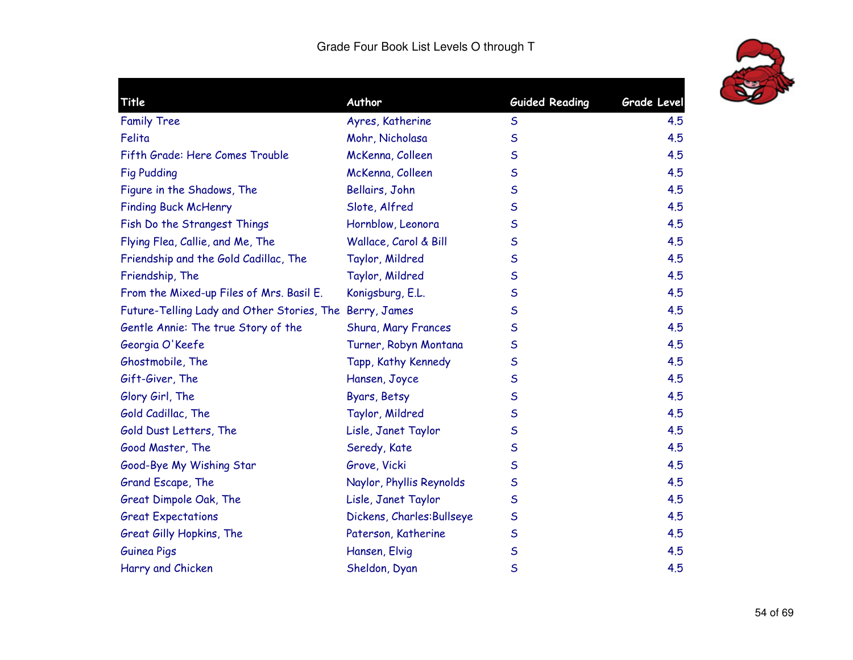

| Title                                                   | Author                     | <b>Guided Reading</b> | <b>Grade Level</b> |
|---------------------------------------------------------|----------------------------|-----------------------|--------------------|
| <b>Family Tree</b>                                      | Ayres, Katherine           | S                     | 4.5                |
| Felita                                                  | Mohr, Nicholasa            | $\mathsf S$           | 4.5                |
| Fifth Grade: Here Comes Trouble                         | McKenna, Colleen           | $\mathsf S$           | 4.5                |
| <b>Fig Pudding</b>                                      | McKenna, Colleen           | $\mathsf S$           | 4.5                |
| Figure in the Shadows, The                              | Bellairs, John             | $\mathsf S$           | 4.5                |
| <b>Finding Buck McHenry</b>                             | Slote, Alfred              | $\mathsf S$           | 4.5                |
| Fish Do the Strangest Things                            | Hornblow, Leonora          | S                     | 4.5                |
| Flying Flea, Callie, and Me, The                        | Wallace, Carol & Bill      | $\mathsf S$           | 4.5                |
| Friendship and the Gold Cadillac, The                   | Taylor, Mildred            | $\mathsf S$           | 4.5                |
| Friendship, The                                         | Taylor, Mildred            | $\mathsf S$           | 4.5                |
| From the Mixed-up Files of Mrs. Basil E.                | Konigsburg, E.L.           | $\mathsf S$           | 4.5                |
| Future-Telling Lady and Other Stories, The Berry, James |                            | $\mathsf S$           | 4.5                |
| Gentle Annie: The true Story of the                     | Shura, Mary Frances        | $\mathsf S$           | 4.5                |
| Georgia O'Keefe                                         | Turner, Robyn Montana      | $\mathsf S$           | 4.5                |
| Ghostmobile, The                                        | Tapp, Kathy Kennedy        | $\mathsf S$           | 4.5                |
| Gift-Giver, The                                         | Hansen, Joyce              | $\mathsf S$           | 4.5                |
| Glory Girl, The                                         | Byars, Betsy               | S                     | 4.5                |
| Gold Cadillac, The                                      | Taylor, Mildred            | $\mathsf S$           | 4.5                |
| Gold Dust Letters, The                                  | Lisle, Janet Taylor        | $\mathsf S$           | 4.5                |
| Good Master, The                                        | Seredy, Kate               | $\mathsf S$           | 4.5                |
| Good-Bye My Wishing Star                                | Grove, Vicki               | $\mathsf S$           | 4.5                |
| Grand Escape, The                                       | Naylor, Phyllis Reynolds   | S                     | 4.5                |
| Great Dimpole Oak, The                                  | Lisle, Janet Taylor        | S                     | 4.5                |
| <b>Great Expectations</b>                               | Dickens, Charles: Bullseye | $\sf S$               | 4.5                |
| Great Gilly Hopkins, The                                | Paterson, Katherine        | $\mathsf S$           | 4.5                |
| <b>Guinea Pigs</b>                                      | Hansen, Elvig              | $\mathsf S$           | 4.5                |
| Harry and Chicken                                       | Sheldon, Dyan              | $\mathsf S$           | 4.5                |
|                                                         |                            |                       |                    |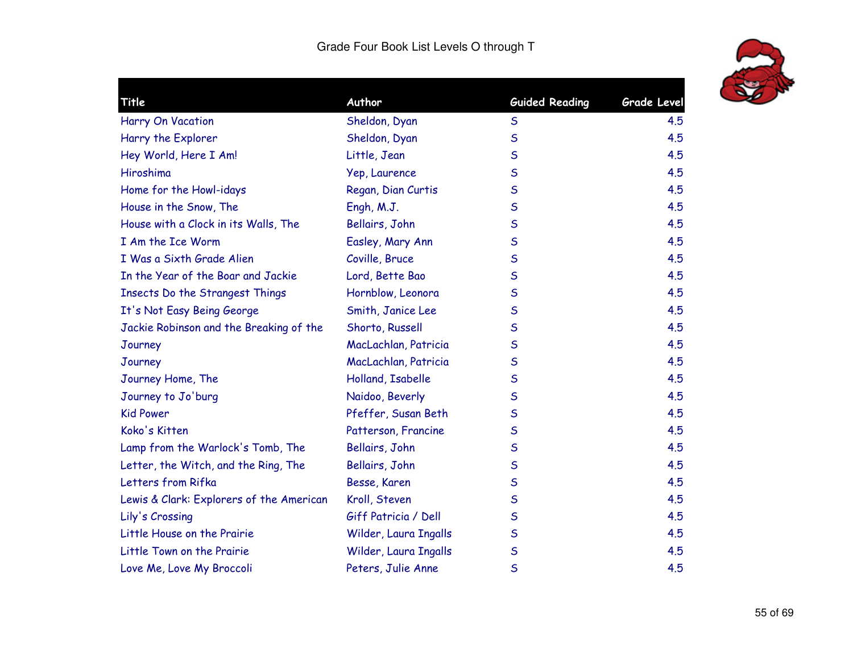

| Title                                    | Author                | <b>Guided Reading</b> | Grade Level |
|------------------------------------------|-----------------------|-----------------------|-------------|
| Harry On Vacation                        | Sheldon, Dyan         | $\mathsf{S}$          | 4.5         |
| Harry the Explorer                       | Sheldon, Dyan         | $\mathsf S$           | 4.5         |
| Hey World, Here I Am!                    | Little, Jean          | $\mathsf S$           | 4.5         |
| Hiroshima                                | Yep, Laurence         | $\mathsf S$           | 4.5         |
| Home for the Howl-idays                  | Regan, Dian Curtis    | S                     | 4.5         |
| House in the Snow, The                   | Engh, M.J.            | $\mathsf{S}$          | 4.5         |
| House with a Clock in its Walls, The     | Bellairs, John        | S                     | 4.5         |
| I Am the Ice Worm                        | Easley, Mary Ann      | S                     | 4.5         |
| I Was a Sixth Grade Alien                | Coville, Bruce        | $\mathsf{S}$          | 4.5         |
| In the Year of the Boar and Jackie       | Lord, Bette Bao       | $\mathsf S$           | 4.5         |
| Insects Do the Strangest Things          | Hornblow, Leonora     | $\mathsf S$           | 4.5         |
| It's Not Easy Being George               | Smith, Janice Lee     | S                     | 4.5         |
| Jackie Robinson and the Breaking of the  | Shorto, Russell       | S                     | 4.5         |
| Journey                                  | MacLachlan, Patricia  | S                     | 4.5         |
| Journey                                  | MacLachlan, Patricia  | $\mathsf S$           | 4.5         |
| Journey Home, The                        | Holland, Isabelle     | $\mathsf{S}$          | 4.5         |
| Journey to Jo'burg                       | Naidoo, Beverly       | S                     | 4.5         |
| <b>Kid Power</b>                         | Pfeffer, Susan Beth   | S                     | 4.5         |
| Koko's Kitten                            | Patterson, Francine   | S                     | 4.5         |
| Lamp from the Warlock's Tomb, The        | Bellairs, John        | $\mathsf S$           | 4.5         |
| Letter, the Witch, and the Ring, The     | Bellairs, John        | $\mathsf S$           | 4.5         |
| Letters from Rifka                       | Besse, Karen          | S                     | 4.5         |
| Lewis & Clark: Explorers of the American | Kroll, Steven         | $\mathsf S$           | 4.5         |
| Lily's Crossing                          | Giff Patricia / Dell  | S                     | 4.5         |
| Little House on the Prairie              | Wilder, Laura Ingalls | $\mathsf S$           | 4.5         |
| Little Town on the Prairie               | Wilder, Laura Ingalls | $\mathsf S$           | 4.5         |
| Love Me, Love My Broccoli                | Peters, Julie Anne    | S                     | 4.5         |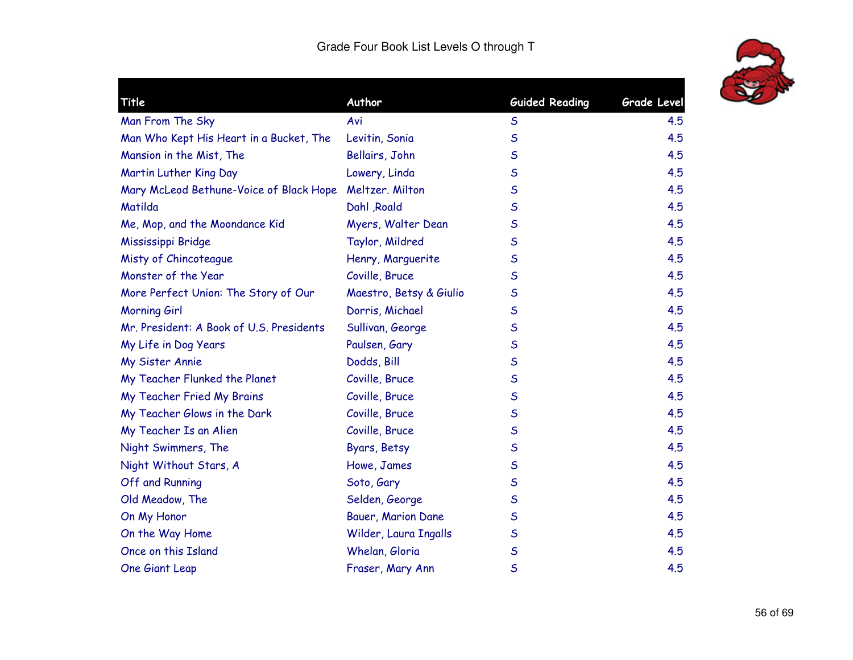

| Title                                    | Author                  | <b>Guided Reading</b> | <b>Grade Level</b> |
|------------------------------------------|-------------------------|-----------------------|--------------------|
| Man From The Sky                         | Avi                     | $\sf S$               | 4.5                |
| Man Who Kept His Heart in a Bucket, The  | Levitin, Sonia          | $\mathsf S$           | 4.5                |
| Mansion in the Mist, The                 | Bellairs, John          | $\mathsf{S}$          | 4.5                |
| Martin Luther King Day                   | Lowery, Linda           | $\mathsf S$           | 4.5                |
| Mary McLeod Bethune-Voice of Black Hope  | Meltzer. Milton         | $\mathsf S$           | 4.5                |
| Matilda                                  | Dahl Roald              | S                     | 4.5                |
| Me, Mop, and the Moondance Kid           | Myers, Walter Dean      | $\mathsf S$           | 4.5                |
| Mississippi Bridge                       | Taylor, Mildred         | $\mathsf S$           | 4.5                |
| Misty of Chincoteague                    | Henry, Marguerite       | $\mathsf S$           | 4.5                |
| Monster of the Year                      | Coville, Bruce          | $\mathsf S$           | 4.5                |
| More Perfect Union: The Story of Our     | Maestro, Betsy & Giulio | $\mathsf S$           | 4.5                |
| Morning Girl                             | Dorris, Michael         | $\mathsf S$           | 4.5                |
| Mr. President: A Book of U.S. Presidents | Sullivan, George        | $\mathsf S$           | 4.5                |
| My Life in Dog Years                     | Paulsen, Gary           | S                     | 4.5                |
| My Sister Annie                          | Dodds, Bill             | $\mathsf S$           | 4.5                |
| My Teacher Flunked the Planet            | Coville, Bruce          | $\mathsf S$           | 4.5                |
| My Teacher Fried My Brains               | Coville, Bruce          | $\mathsf S$           | 4.5                |
| My Teacher Glows in the Dark             | Coville, Bruce          | $\mathsf{S}$          | 4.5                |
| My Teacher Is an Alien                   | Coville, Bruce          | $\mathsf S$           | 4.5                |
| Night Swimmers, The                      | Byars, Betsy            | $\mathsf S$           | 4.5                |
| Night Without Stars, A                   | Howe, James             | $\sf S$               | 4.5                |
| Off and Running                          | Soto, Gary              | $\mathsf S$           | 4.5                |
| Old Meadow, The                          | Selden, George          | $\mathsf S$           | 4.5                |
| On My Honor                              | Bauer, Marion Dane      | $\mathsf S$           | 4.5                |
| On the Way Home                          | Wilder, Laura Ingalls   | $\mathsf S$           | 4.5                |
| Once on this Island                      | Whelan, Gloria          | $\mathsf S$           | 4.5                |
| One Giant Leap                           | Fraser, Mary Ann        | $\mathsf S$           | 4.5                |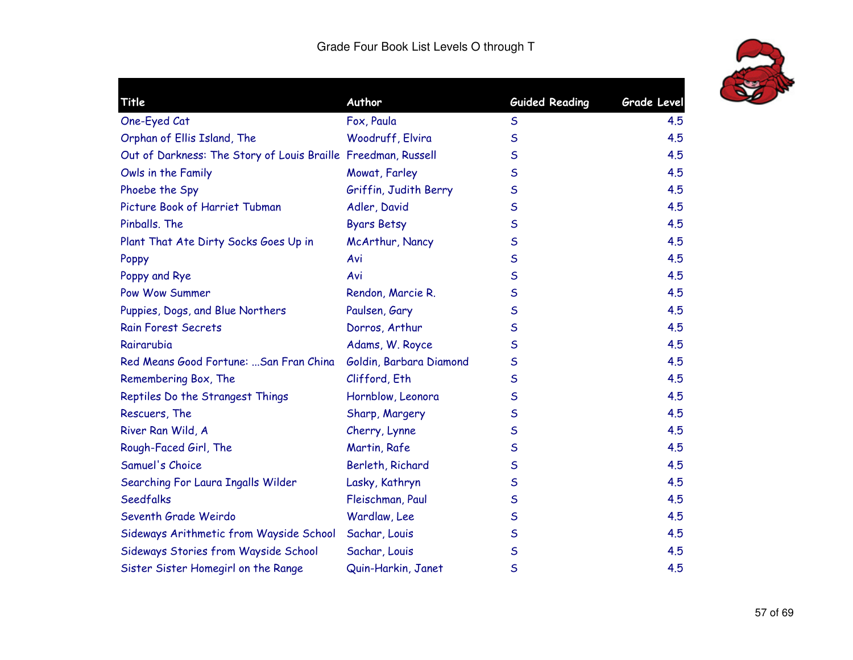

| Title                                                         | Author                  | <b>Guided Reading</b> | Grade Level |
|---------------------------------------------------------------|-------------------------|-----------------------|-------------|
| One-Eyed Cat                                                  | Fox, Paula              | $\mathsf S$           | 4.5         |
| Orphan of Ellis Island, The                                   | Woodruff, Elvira        | $\mathsf S$           | 4.5         |
| Out of Darkness: The Story of Louis Braille Freedman, Russell |                         | $\mathsf{S}$          | 4.5         |
| Owls in the Family                                            | Mowat, Farley           | $\mathsf{S}$          | 4.5         |
| Phoebe the Spy                                                | Griffin, Judith Berry   | $\mathsf S$           | 4.5         |
| Picture Book of Harriet Tubman                                | Adler, David            | $\mathsf S$           | 4.5         |
| Pinballs, The                                                 | <b>Byars Betsy</b>      | $\mathsf S$           | 4.5         |
| Plant That Ate Dirty Socks Goes Up in                         | McArthur, Nancy         | $\mathsf{S}$          | 4.5         |
| Poppy                                                         | Avi                     | $\mathsf S$           | 4.5         |
| Poppy and Rye                                                 | Avi                     | $\mathsf{S}$          | 4.5         |
| Pow Wow Summer                                                | Rendon, Marcie R.       | $\mathsf{S}$          | 4.5         |
| Puppies, Dogs, and Blue Northers                              | Paulsen, Gary           | $\mathsf S$           | 4.5         |
| <b>Rain Forest Secrets</b>                                    | Dorros, Arthur          | $\mathsf S$           | 4.5         |
| Rairarubia                                                    | Adams, W. Royce         | $\mathsf S$           | 4.5         |
| Red Means Good Fortune:  San Fran China                       | Goldin, Barbara Diamond | $\mathsf S$           | 4.5         |
| Remembering Box, The                                          | Clifford, Eth           | $\mathsf{S}$          | 4.5         |
| Reptiles Do the Strangest Things                              | Hornblow, Leonora       | $\mathsf S$           | 4.5         |
| Rescuers, The                                                 | Sharp, Margery          | $\mathsf S$           | 4.5         |
| River Ran Wild, A                                             | Cherry, Lynne           | $\mathsf S$           | 4.5         |
| Rough-Faced Girl, The                                         | Martin, Rafe            | $\mathsf S$           | 4.5         |
| Samuel's Choice                                               | Berleth, Richard        | $\mathsf S$           | 4.5         |
| Searching For Laura Ingalls Wilder                            | Lasky, Kathryn          | $\mathsf S$           | 4.5         |
| <b>Seedfalks</b>                                              | Fleischman, Paul        | $\mathsf{S}$          | 4.5         |
| Seventh Grade Weirdo                                          | Wardlaw, Lee            | $\mathsf S$           | 4.5         |
| Sideways Arithmetic from Wayside School                       | Sachar, Louis           | $\mathsf S$           | 4.5         |
| Sideways Stories from Wayside School                          | Sachar, Louis           | $\mathsf S$           | 4.5         |
| Sister Sister Homegirl on the Range                           | Quin-Harkin, Janet      | $\mathsf S$           | 4.5         |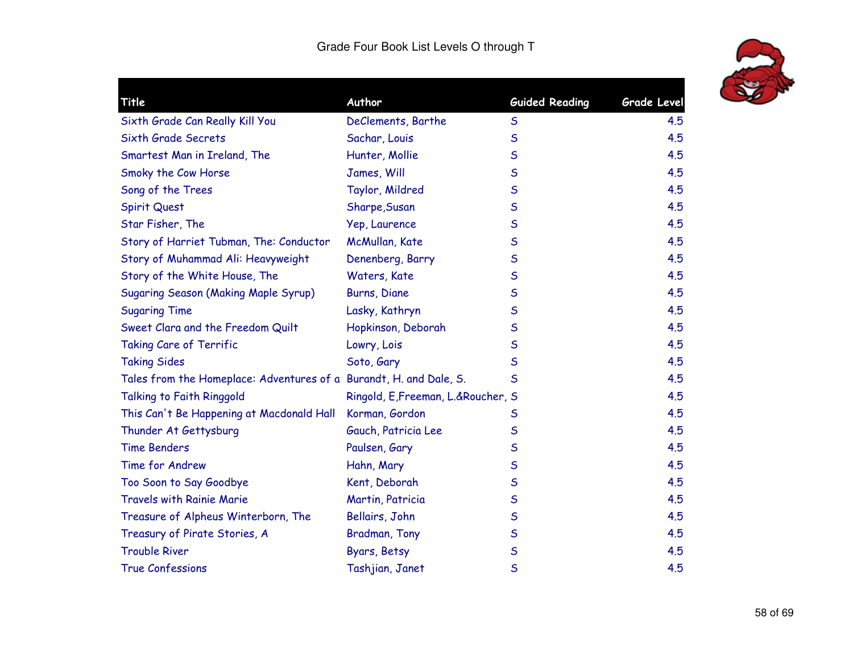

| Title                                                              | Author                              | <b>Guided Reading</b> | <b>Grade Level</b> |
|--------------------------------------------------------------------|-------------------------------------|-----------------------|--------------------|
|                                                                    |                                     |                       |                    |
| Sixth Grade Can Really Kill You                                    | DeClements, Barthe                  | $\mathsf S$           | 4.5                |
| Sixth Grade Secrets                                                | Sachar, Louis                       | $\mathsf S$           | 4.5                |
| Smartest Man in Ireland, The                                       | Hunter, Mollie                      | S                     | 4.5                |
| Smoky the Cow Horse                                                | James, Will                         | S                     | 4.5                |
| Song of the Trees                                                  | Taylor, Mildred                     | S                     | 4.5                |
| Spirit Quest                                                       | Sharpe, Susan                       | S                     | 4.5                |
| Star Fisher, The                                                   | Yep, Laurence                       | S                     | 4.5                |
| Story of Harriet Tubman, The: Conductor                            | McMullan, Kate                      | S                     | 4.5                |
| Story of Muhammad Ali: Heavyweight                                 | Denenberg, Barry                    | S                     | 4.5                |
| Story of the White House, The                                      | Waters, Kate                        | $\mathsf S$           | 4.5                |
| <b>Sugaring Season (Making Maple Syrup)</b>                        | Burns, Diane                        | S                     | 4.5                |
| <b>Sugaring Time</b>                                               | Lasky, Kathryn                      | S                     | 4.5                |
| Sweet Clara and the Freedom Quilt                                  | Hopkinson, Deborah                  | S                     | 4.5                |
| Taking Care of Terrific                                            | Lowry, Lois                         | S                     | 4.5                |
| <b>Taking Sides</b>                                                | Soto, Gary                          | S                     | 4.5                |
| Tales from the Homeplace: Adventures of a Burandt, H. and Dale, S. |                                     | S                     | 4.5                |
| Talking to Faith Ringgold                                          | Ringold, E, Freeman, L.& Roucher, S |                       | 4.5                |
| This Can't Be Happening at Macdonald Hall                          | Korman, Gordon                      | S                     | 4.5                |
| Thunder At Gettysburg                                              | Gauch, Patricia Lee                 | S                     | 4.5                |
| <b>Time Benders</b>                                                | Paulsen, Gary                       | $\mathsf S$           | 4.5                |
| Time for Andrew                                                    | Hahn, Mary                          | S                     | 4.5                |
| Too Soon to Say Goodbye                                            | Kent, Deborah                       | S                     | 4.5                |
| <b>Travels with Rainie Marie</b>                                   | Martin, Patricia                    | S                     | 4.5                |
| Treasure of Alpheus Winterborn, The                                | Bellairs, John                      | S                     | 4.5                |
| Treasury of Pirate Stories, A                                      | Bradman, Tony                       | $\mathsf S$           | 4.5                |
| <b>Trouble River</b>                                               | Byars, Betsy                        | S                     | 4.5                |
| <b>True Confessions</b>                                            | Tashjian, Janet                     | S                     | 4.5                |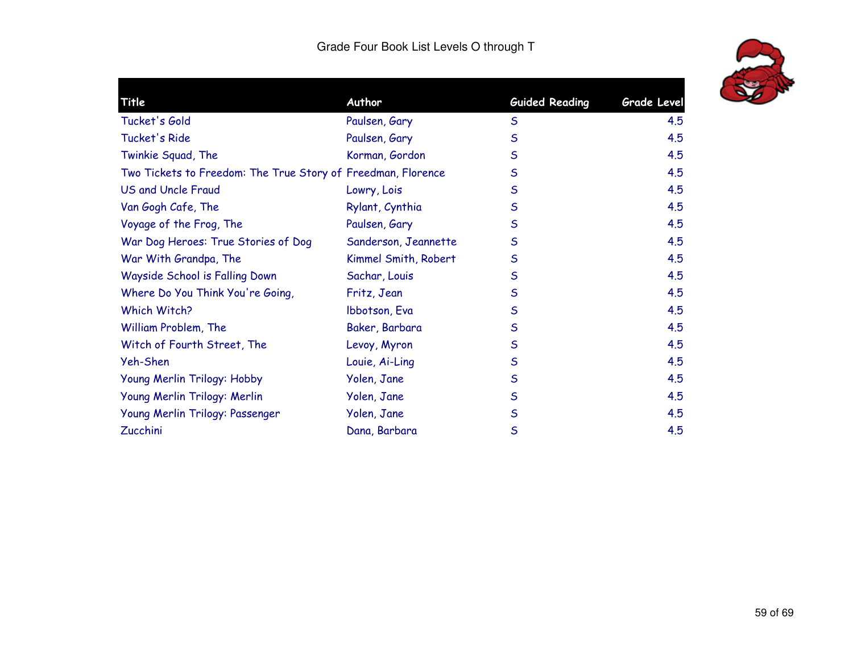| Title                                                        | Author               | <b>Guided Reading</b> | <b>Grade Level</b> |
|--------------------------------------------------------------|----------------------|-----------------------|--------------------|
| Tucket's Gold                                                | Paulsen, Gary        | $\mathsf S$           | 4.5                |
| Tucket's Ride                                                | Paulsen, Gary        | $\mathsf{S}$          | 4.5                |
| Twinkie Squad, The                                           | Korman, Gordon       | $\mathsf{S}$          | 4.5                |
| Two Tickets to Freedom: The True Story of Freedman, Florence |                      | $\mathsf{S}$          | 4.5                |
| <b>US and Uncle Fraud</b>                                    | Lowry, Lois          | $\mathsf{S}$          | 4.5                |
| Van Gogh Cafe, The                                           | Rylant, Cynthia      | $\mathsf{S}$          | 4.5                |
| Voyage of the Frog, The                                      | Paulsen, Gary        | $\mathsf{S}$          | 4.5                |
| War Dog Heroes: True Stories of Dog                          | Sanderson, Jeannette | $\mathsf{S}$          | 4.5                |
| War With Grandpa, The                                        | Kimmel Smith, Robert | $\mathsf{S}$          | 4.5                |
| Wayside School is Falling Down                               | Sachar, Louis        | $\mathsf{S}$          | 4.5                |
| Where Do You Think You're Going,                             | Fritz, Jean          | $\mathsf{S}$          | 4.5                |
| Which Witch?                                                 | Ibbotson, Eva        | $\mathsf{S}$          | 4.5                |
| William Problem, The                                         | Baker, Barbara       | $\mathsf S$           | 4.5                |
| Witch of Fourth Street, The                                  | Levoy, Myron         | $\mathsf{S}$          | 4.5                |
| Yeh-Shen                                                     | Louie, Ai-Ling       | $\mathsf{S}$          | 4.5                |
| Young Merlin Trilogy: Hobby                                  | Yolen, Jane          | $\mathsf S$           | 4.5                |
| Young Merlin Trilogy: Merlin                                 | Yolen, Jane          | $\mathsf{S}$          | 4.5                |
| Young Merlin Trilogy: Passenger                              | Yolen, Jane          | $\mathsf{S}$          | 4.5                |
| Zucchini                                                     | Dana, Barbara        | $\mathsf{S}$          | 4.5                |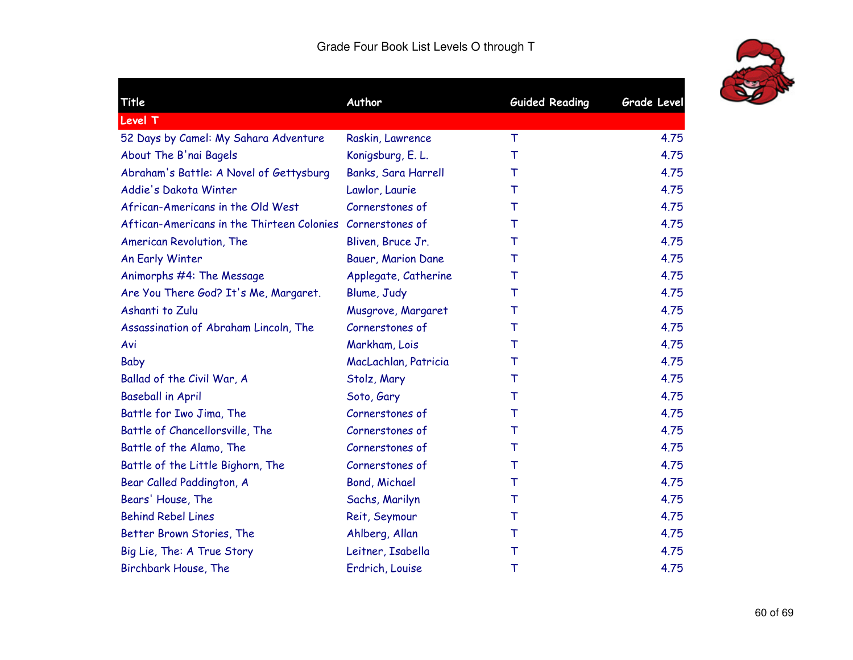| Title                                                      | Author               | <b>Guided Reading</b> | <b>Grade Level</b> |
|------------------------------------------------------------|----------------------|-----------------------|--------------------|
| <b>Level T</b>                                             |                      |                       |                    |
| 52 Days by Camel: My Sahara Adventure                      | Raskin, Lawrence     | T                     | 4.75               |
| About The B'nai Bagels                                     | Konigsburg, E. L.    | T                     | 4.75               |
| Abraham's Battle: A Novel of Gettysburg                    | Banks, Sara Harrell  | т                     | 4.75               |
| Addie's Dakota Winter                                      | Lawlor, Laurie       | т                     | 4.75               |
| African-Americans in the Old West                          | Cornerstones of      | T                     | 4.75               |
| Aftican-Americans in the Thirteen Colonies Cornerstones of |                      | т                     | 4.75               |
| American Revolution, The                                   | Bliven, Bruce Jr.    | Τ                     | 4.75               |
| An Early Winter                                            | Bauer, Marion Dane   | T                     | 4.75               |
| Animorphs #4: The Message                                  | Applegate, Catherine | т                     | 4.75               |
| Are You There God? It's Me, Margaret.                      | Blume, Judy          | T                     | 4.75               |
| Ashanti to Zulu                                            | Musgrove, Margaret   | т                     | 4.75               |
| Assassination of Abraham Lincoln, The                      | Cornerstones of      | т                     | 4.75               |
| Avi                                                        | Markham, Lois        | т                     | 4.75               |
| Baby                                                       | MacLachlan, Patricia | т                     | 4.75               |
| Ballad of the Civil War, A                                 | Stolz, Mary          | T                     | 4.75               |
| <b>Baseball in April</b>                                   | Soto, Gary           | Т                     | 4.75               |
| Battle for Iwo Jima, The                                   | Cornerstones of      | т                     | 4.75               |
| Battle of Chancellorsville, The                            | Cornerstones of      | T                     | 4.75               |
| Battle of the Alamo, The                                   | Cornerstones of      | т                     | 4.75               |
| Battle of the Little Bighorn, The                          | Cornerstones of      | T                     | 4.75               |
| Bear Called Paddington, A                                  | <b>Bond, Michael</b> | т                     | 4.75               |
| Bears' House, The                                          | Sachs, Marilyn       | Т                     | 4.75               |
| <b>Behind Rebel Lines</b>                                  | Reit, Seymour        | $\top$                | 4.75               |
| Better Brown Stories, The                                  | Ahlberg, Allan       | $\top$                | 4.75               |
| Big Lie, The: A True Story                                 | Leitner, Isabella    | Т                     | 4.75               |
| Birchbark House, The                                       | Erdrich, Louise      | T                     | 4.75               |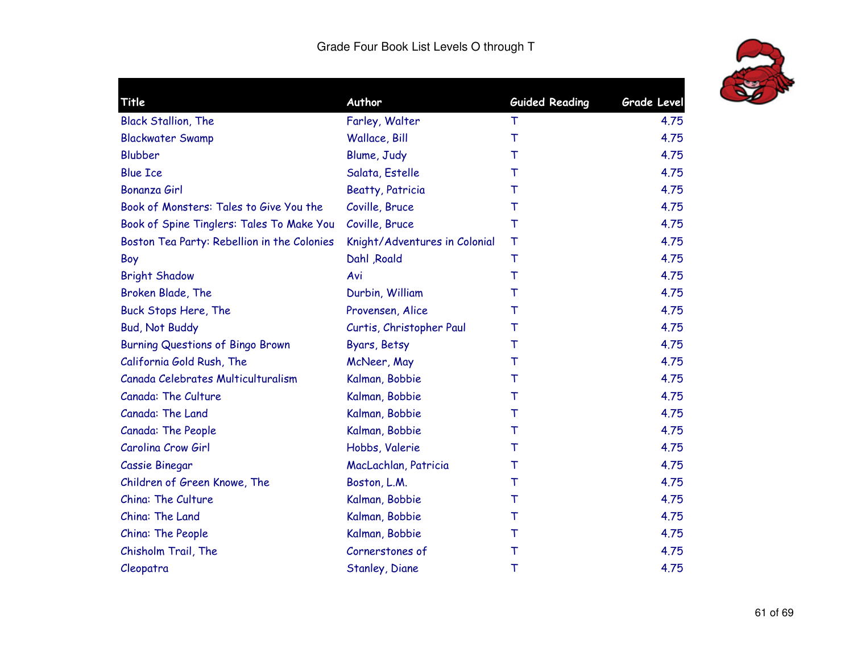

| Title                                       | Author                        | <b>Guided Reading</b> | <b>Grade Level</b> |
|---------------------------------------------|-------------------------------|-----------------------|--------------------|
| <b>Black Stallion, The</b>                  | Farley, Walter                | Τ                     | 4.75               |
| <b>Blackwater Swamp</b>                     | Wallace, Bill                 | T                     | 4.75               |
| <b>Blubber</b>                              | Blume, Judy                   | т                     | 4.75               |
| <b>Blue Ice</b>                             | Salata, Estelle               | T                     | 4.75               |
| Bonanza Girl                                | <b>Beatty, Patricia</b>       | т                     | 4.75               |
| Book of Monsters: Tales to Give You the     | Coville, Bruce                | т                     | 4.75               |
| Book of Spine Tinglers: Tales To Make You   | Coville, Bruce                | Т                     | 4.75               |
| Boston Tea Party: Rebellion in the Colonies | Knight/Adventures in Colonial | T                     | 4.75               |
| Boy                                         | Dahl , Roald                  | T                     | 4.75               |
| <b>Bright Shadow</b>                        | Avi                           | $\top$                | 4.75               |
| Broken Blade, The                           | Durbin, William               | т                     | 4.75               |
| Buck Stops Here, The                        | Provensen, Alice              | т                     | 4.75               |
| <b>Bud, Not Buddy</b>                       | Curtis, Christopher Paul      | т                     | 4.75               |
| <b>Burning Questions of Bingo Brown</b>     | Byars, Betsy                  | т                     | 4.75               |
| California Gold Rush, The                   | McNeer, May                   | т                     | 4.75               |
| Canada Celebrates Multiculturalism          | Kalman, Bobbie                | т                     | 4.75               |
| Canada: The Culture                         | Kalman, Bobbie                | т                     | 4.75               |
| Canada: The Land                            | Kalman, Bobbie                | т                     | 4.75               |
| Canada: The People                          | Kalman, Bobbie                | T                     | 4.75               |
| Carolina Crow Girl                          | Hobbs, Valerie                | т                     | 4.75               |
| Cassie Binegar                              | MacLachlan, Patricia          | т                     | 4.75               |
| Children of Green Knowe, The                | Boston, L.M.                  | т                     | 4.75               |
| China: The Culture                          | Kalman, Bobbie                | т                     | 4.75               |
| China: The Land                             | Kalman, Bobbie                | т                     | 4.75               |
| China: The People                           | Kalman, Bobbie                | $\top$                | 4.75               |
| Chisholm Trail, The                         | Cornerstones of               | $\top$                | 4.75               |
| Cleopatra                                   | Stanley, Diane                | Τ                     | 4.75               |
|                                             |                               |                       |                    |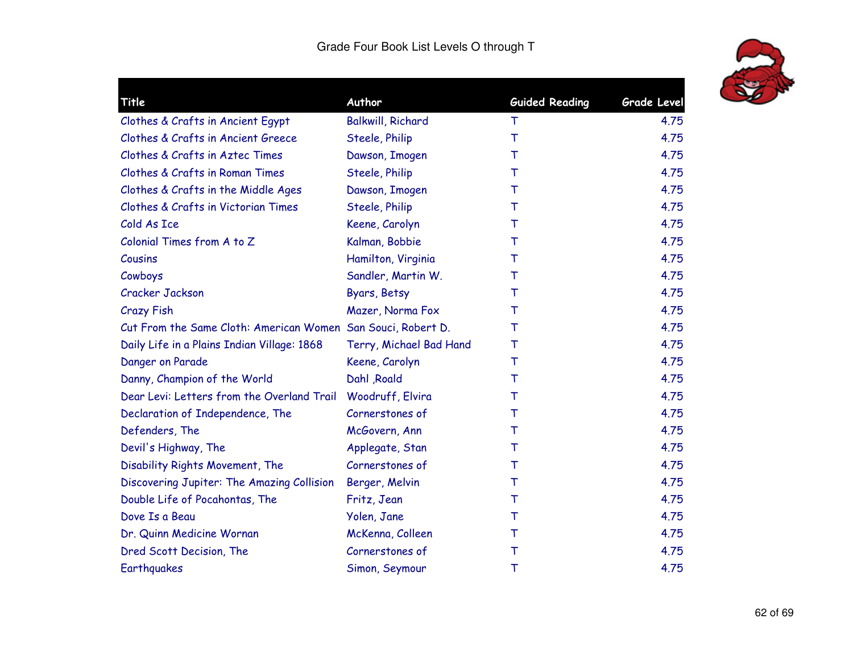

| Title                                                        | Author                   | <b>Guided Reading</b> | Grade Level |
|--------------------------------------------------------------|--------------------------|-----------------------|-------------|
| Clothes & Crafts in Ancient Egypt                            | <b>Balkwill, Richard</b> | $\top$                | 4.75        |
| Clothes & Crafts in Ancient Greece                           | Steele, Philip           | T                     | 4.75        |
| Clothes & Crafts in Aztec Times                              | Dawson, Imogen           | т                     | 4.75        |
| Clothes & Crafts in Roman Times                              | Steele, Philip           | т                     | 4.75        |
| Clothes & Crafts in the Middle Ages                          | Dawson, Imogen           | T                     | 4.75        |
| Clothes & Crafts in Victorian Times                          | Steele, Philip           | т                     | 4.75        |
| Cold As Ice                                                  | Keene, Carolyn           | т                     | 4.75        |
| Colonial Times from A to Z                                   | Kalman, Bobbie           | т                     | 4.75        |
| Cousins                                                      | Hamilton, Virginia       | т                     | 4.75        |
| Cowboys                                                      | Sandler, Martin W.       | т                     | 4.75        |
| Cracker Jackson                                              | Byars, Betsy             | т                     | 4.75        |
| <b>Crazy Fish</b>                                            | Mazer, Norma Fox         | т                     | 4.75        |
| Cut From the Same Cloth: American Women San Souci, Robert D. |                          | т                     | 4.75        |
| Daily Life in a Plains Indian Village: 1868                  | Terry, Michael Bad Hand  | T                     | 4.75        |
| Danger on Parade                                             | Keene, Carolyn           | T                     | 4.75        |
| Danny, Champion of the World                                 | Dahl , Roald             | T                     | 4.75        |
| Dear Levi: Letters from the Overland Trail                   | Woodruff, Elvira         | т                     | 4.75        |
| Declaration of Independence, The                             | Cornerstones of          | T                     | 4.75        |
| Defenders, The                                               | McGovern, Ann            | Т                     | 4.75        |
| Devil's Highway, The                                         | Applegate, Stan          | т                     | 4.75        |
| Disability Rights Movement, The                              | Cornerstones of          | Т                     | 4.75        |
| Discovering Jupiter: The Amazing Collision                   | Berger, Melvin           | $\top$                | 4.75        |
| Double Life of Pocahontas, The                               | Fritz, Jean              | т                     | 4.75        |
| Dove Is a Beau                                               | Yolen, Jane              | т                     | 4.75        |
| Dr. Quinn Medicine Wornan                                    | McKenna, Colleen         | т                     | 4.75        |
| Dred Scott Decision, The                                     | Cornerstones of          | т                     | 4.75        |
| Earthquakes                                                  | Simon, Seymour           | Τ                     | 4.75        |
|                                                              |                          |                       |             |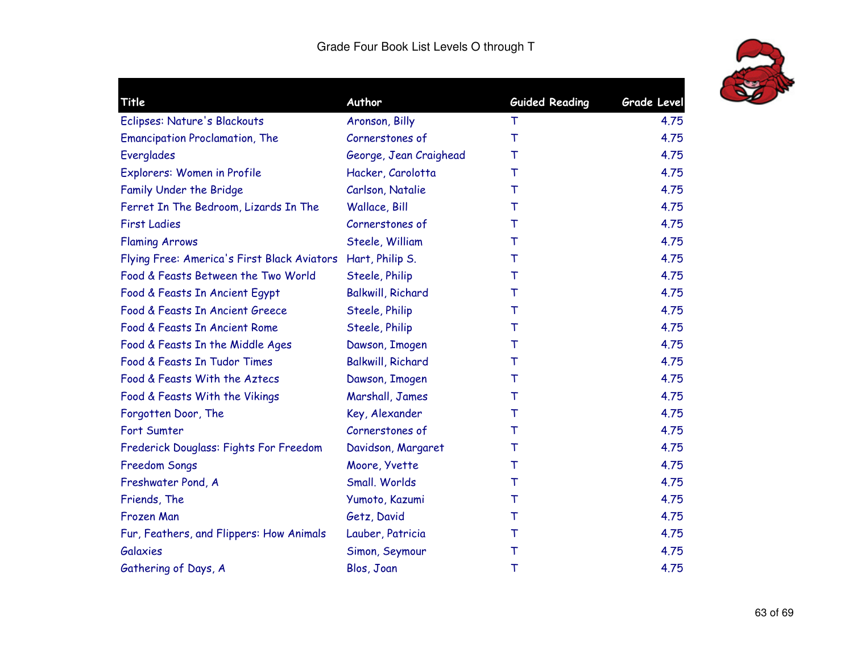

| Title                                                       | Author                   | <b>Guided Reading</b> | Grade Level |
|-------------------------------------------------------------|--------------------------|-----------------------|-------------|
| Eclipses: Nature's Blackouts                                | Aronson, Billy           | Τ                     | 4.75        |
| <b>Emancipation Proclamation, The</b>                       | Cornerstones of          | $\top$                | 4.75        |
| Everglades                                                  | George, Jean Craighead   | т                     | 4.75        |
| Explorers: Women in Profile                                 | Hacker, Carolotta        | т                     | 4.75        |
| Family Under the Bridge                                     | Carlson, Natalie         | т                     | 4.75        |
| Ferret In The Bedroom, Lizards In The                       | Wallace, Bill            | Т                     | 4.75        |
| <b>First Ladies</b>                                         | Cornerstones of          | т                     | 4.75        |
| <b>Flaming Arrows</b>                                       | Steele, William          | т                     | 4.75        |
| Flying Free: America's First Black Aviators Hart, Philip S. |                          | т                     | 4.75        |
| Food & Feasts Between the Two World                         | Steele, Philip           | т                     | 4.75        |
| Food & Feasts In Ancient Egypt                              | <b>Balkwill, Richard</b> | т                     | 4.75        |
| Food & Feasts In Ancient Greece                             | Steele, Philip           | т                     | 4.75        |
| Food & Feasts In Ancient Rome                               | Steele, Philip           | т                     | 4.75        |
| Food & Feasts In the Middle Ages                            | Dawson, Imogen           | т                     | 4.75        |
| Food & Feasts In Tudor Times                                | <b>Balkwill, Richard</b> | т                     | 4.75        |
| Food & Feasts With the Aztecs                               | Dawson, Imogen           | т                     | 4.75        |
| Food & Feasts With the Vikings                              | Marshall, James          | т                     | 4.75        |
| Forgotten Door, The                                         | Key, Alexander           | т                     | 4.75        |
| Fort Sumter                                                 | Cornerstones of          | т                     | 4.75        |
| Frederick Douglass: Fights For Freedom                      | Davidson, Margaret       | т                     | 4.75        |
| <b>Freedom Songs</b>                                        | Moore, Yvette            | т                     | 4.75        |
| Freshwater Pond, A                                          | Small. Worlds            | т                     | 4.75        |
| Friends, The                                                | Yumoto, Kazumi           | т                     | 4.75        |
| Frozen Man                                                  | Getz, David              | т                     | 4.75        |
| Fur, Feathers, and Flippers: How Animals                    | Lauber, Patricia         | Т                     | 4.75        |
| <b>Galaxies</b>                                             | Simon, Seymour           | Τ                     | 4.75        |
| Gathering of Days, A                                        | Blos, Joan               | Τ                     | 4.75        |
|                                                             |                          |                       |             |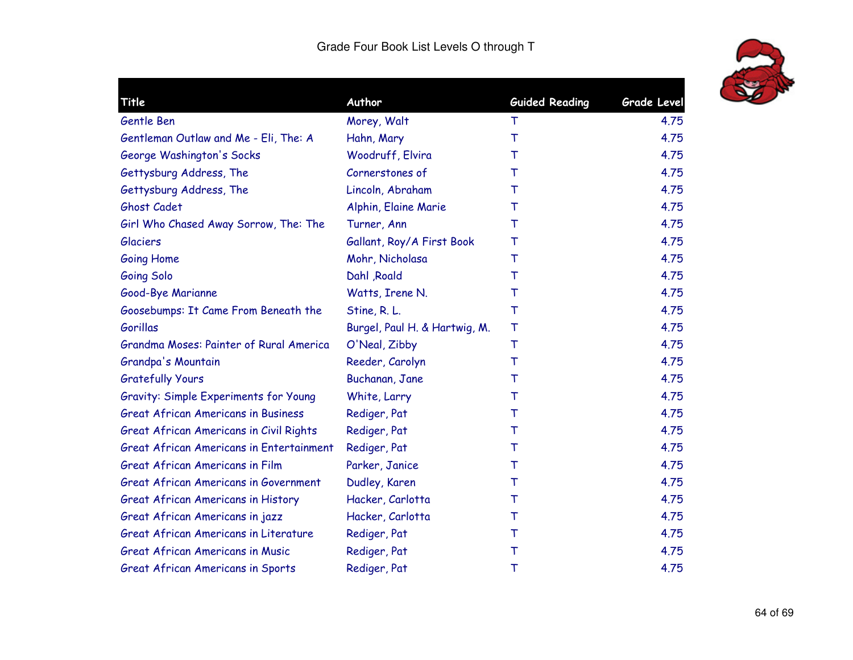

| Title                                           | Author                        | <b>Guided Reading</b> | <b>Grade Level</b> |
|-------------------------------------------------|-------------------------------|-----------------------|--------------------|
| Gentle Ben                                      | Morey, Walt                   | т                     | 4.75               |
| Gentleman Outlaw and Me - Eli, The: A           | Hahn, Mary                    | $\top$                | 4.75               |
| George Washington's Socks                       | Woodruff, Elvira              | т                     | 4.75               |
| Gettysburg Address, The                         | Cornerstones of               | т                     | 4.75               |
| Gettysburg Address, The                         | Lincoln, Abraham              | т                     | 4.75               |
| Ghost Cadet                                     | Alphin, Elaine Marie          | T                     | 4.75               |
| Girl Who Chased Away Sorrow, The: The           | Turner, Ann                   | т                     | 4.75               |
| <b>Glaciers</b>                                 | Gallant, Roy/A First Book     | Т                     | 4.75               |
| <b>Going Home</b>                               | Mohr, Nicholasa               | T                     | 4.75               |
| Going Solo                                      | Dahl , Roald                  | т                     | 4.75               |
| Good-Bye Marianne                               | Watts, Irene N.               | Τ                     | 4.75               |
| Goosebumps: It Came From Beneath the            | Stine, R. L.                  | Τ                     | 4.75               |
| Gorillas                                        | Burgel, Paul H. & Hartwig, M. | Τ                     | 4.75               |
| Grandma Moses: Painter of Rural America         | O'Neal, Zibby                 | Τ                     | 4.75               |
| Grandpa's Mountain                              | Reeder, Carolyn               | Τ                     | 4.75               |
| <b>Gratefully Yours</b>                         | Buchanan, Jane                | т                     | 4.75               |
| Gravity: Simple Experiments for Young           | White, Larry                  | т                     | 4.75               |
| <b>Great African Americans in Business</b>      | Rediger, Pat                  | т                     | 4.75               |
| Great African Americans in Civil Rights         | Rediger, Pat                  | т                     | 4.75               |
| <b>Great African Americans in Entertainment</b> | Rediger, Pat                  | т                     | 4.75               |
| Great African Americans in Film                 | Parker, Janice                | т                     | 4.75               |
| <b>Great African Americans in Government</b>    | Dudley, Karen                 | т                     | 4.75               |
| <b>Great African Americans in History</b>       | Hacker, Carlotta              | т                     | 4.75               |
| Great African Americans in jazz                 | Hacker, Carlotta              | т                     | 4.75               |
| Great African Americans in Literature           | Rediger, Pat                  | т                     | 4.75               |
| <b>Great African Americans in Music</b>         | Rediger, Pat                  | Т                     | 4.75               |
| Great African Americans in Sports               | Rediger, Pat                  | Τ                     | 4.75               |
|                                                 |                               |                       |                    |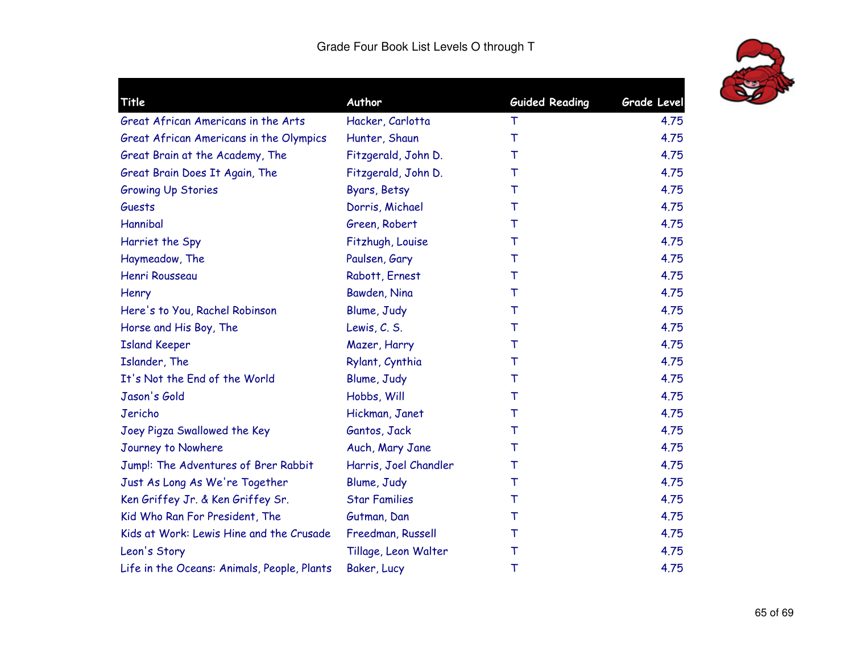

|                       | <b>Guided Reading</b> | <b>Grade Level</b> |
|-----------------------|-----------------------|--------------------|
| Hacker, Carlotta      | т                     | 4.75               |
| Hunter, Shaun         | $\top$                | 4.75               |
| Fitzgerald, John D.   | т                     | 4.75               |
| Fitzgerald, John D.   | т                     | 4.75               |
| Byars, Betsy          | т                     | 4.75               |
| Dorris, Michael       | т                     | 4.75               |
| Green, Robert         | т                     | 4.75               |
| Fitzhugh, Louise      | Т                     | 4.75               |
| Paulsen, Gary         | T                     | 4.75               |
| Rabott, Ernest        | т                     | 4.75               |
| Bawden, Nina          | Τ                     | 4.75               |
| Blume, Judy           | Т                     | 4.75               |
| Lewis, C. S.          | Т                     | 4.75               |
| Mazer, Harry          | T                     | 4.75               |
| Rylant, Cynthia       | $\top$                | 4.75               |
| Blume, Judy           | Τ                     | 4.75               |
| Hobbs, Will           | Τ                     | 4.75               |
| Hickman, Janet        | т                     | 4.75               |
| Gantos, Jack          | T                     | 4.75               |
| Auch, Mary Jane       | т                     | 4.75               |
| Harris, Joel Chandler | T                     | 4.75               |
| Blume, Judy           | $\top$                | 4.75               |
| <b>Star Families</b>  | т                     | 4.75               |
| Gutman, Dan           | т                     | 4.75               |
| Freedman, Russell     | Т                     | 4.75               |
| Tillage, Leon Walter  | Τ                     | 4.75               |
| Baker, Lucy           | Τ                     | 4.75               |
|                       | Author                |                    |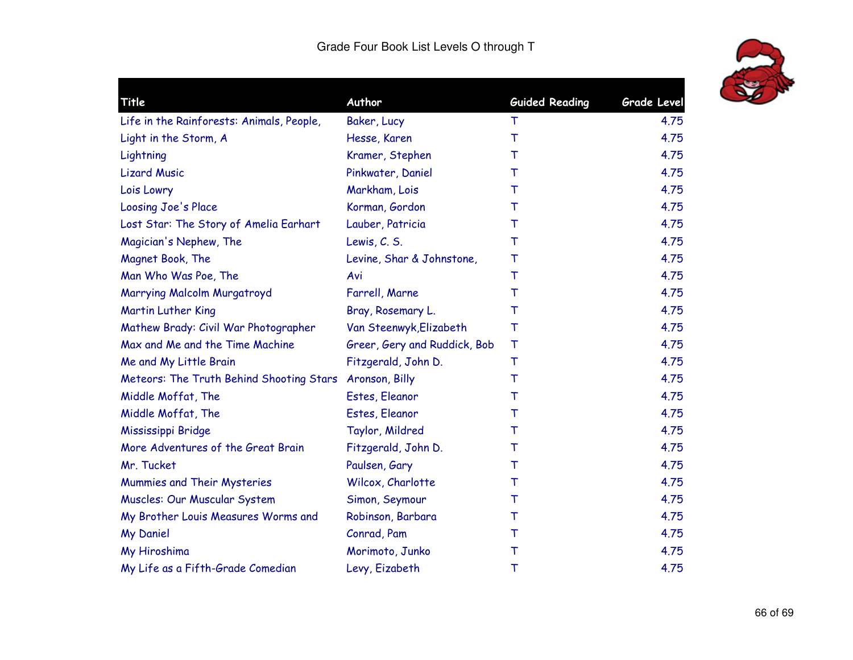

| Author                       | <b>Guided Reading</b>                    | <b>Grade Level</b> |
|------------------------------|------------------------------------------|--------------------|
| Baker, Lucy                  | Τ                                        | 4.75               |
| Hesse, Karen                 | T                                        | 4.75               |
| Kramer, Stephen              | т                                        | 4.75               |
| Pinkwater, Daniel            | т                                        | 4.75               |
| Markham, Lois                | т                                        | 4.75               |
| Korman, Gordon               | т                                        | 4.75               |
| Lauber, Patricia             | т                                        | 4.75               |
| Lewis, C. S.                 | т                                        | 4.75               |
| Levine, Shar & Johnstone,    | т                                        | 4.75               |
| Avi                          | Т                                        | 4.75               |
| Farrell, Marne               | т                                        | 4.75               |
| Bray, Rosemary L.            | т                                        | 4.75               |
| Van Steenwyk, Elizabeth      | т                                        | 4.75               |
| Greer, Gery and Ruddick, Bob | Τ                                        | 4.75               |
| Fitzgerald, John D.          | т                                        | 4.75               |
| Aronson, Billy               | т                                        | 4.75               |
| Estes, Eleanor               | т                                        | 4.75               |
| Estes, Eleanor               | т                                        | 4.75               |
| Taylor, Mildred              | т                                        | 4.75               |
| Fitzgerald, John D.          | т                                        | 4.75               |
| Paulsen, Gary                | т                                        | 4.75               |
| Wilcox, Charlotte            | т                                        | 4.75               |
| Simon, Seymour               | т                                        | 4.75               |
| Robinson, Barbara            | т                                        | 4.75               |
| Conrad, Pam                  | Т                                        | 4.75               |
| Morimoto, Junko              | т                                        | 4.75               |
| Levy, Eizabeth               | Τ                                        | 4.75               |
|                              | Meteors: The Truth Behind Shooting Stars |                    |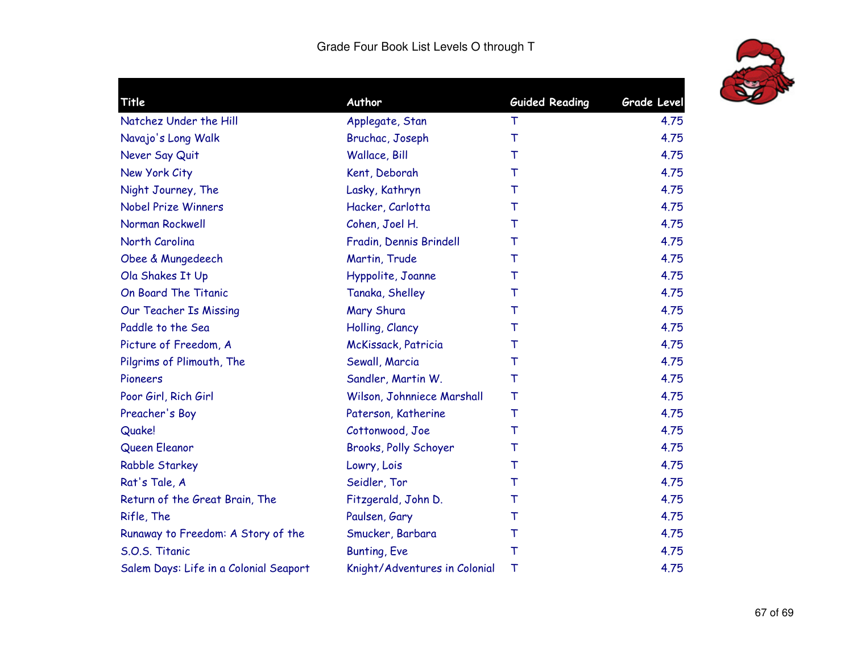

| Title                                  | Author                        | <b>Guided Reading</b> | Grade Level |
|----------------------------------------|-------------------------------|-----------------------|-------------|
| Natchez Under the Hill                 | Applegate, Stan               | Τ                     | 4.75        |
| Navajo's Long Walk                     | Bruchac, Joseph               | T                     | 4.75        |
| Never Say Quit                         | Wallace, Bill                 | т                     | 4.75        |
| New York City                          | Kent, Deborah                 | T                     | 4.75        |
| Night Journey, The                     | Lasky, Kathryn                | т                     | 4.75        |
| <b>Nobel Prize Winners</b>             | Hacker, Carlotta              | т                     | 4.75        |
| Norman Rockwell                        | Cohen, Joel H.                | т                     | 4.75        |
| North Carolina                         | Fradin, Dennis Brindell       | Τ                     | 4.75        |
| Obee & Mungedeech                      | Martin, Trude                 | Т                     | 4.75        |
| Ola Shakes It Up                       | Hyppolite, Joanne             | т                     | 4.75        |
| On Board The Titanic                   | Tanaka, Shelley               | т                     | 4.75        |
| Our Teacher Is Missing                 | Mary Shura                    | T                     | 4.75        |
| Paddle to the Sea                      | Holling, Clancy               | т                     | 4.75        |
| Picture of Freedom, A                  | McKissack, Patricia           | т                     | 4.75        |
| Pilgrims of Plimouth, The              | Sewall, Marcia                | т                     | 4.75        |
| Pioneers                               | Sandler, Martin W.            | Т                     | 4.75        |
| Poor Girl, Rich Girl                   | Wilson, Johnniece Marshall    | T                     | 4.75        |
| Preacher's Boy                         | Paterson, Katherine           | T                     | 4.75        |
| Quake!                                 | Cottonwood, Joe               | T                     | 4.75        |
| Queen Eleanor                          | Brooks, Polly Schoyer         | т                     | 4.75        |
| <b>Rabble Starkey</b>                  | Lowry, Lois                   | T                     | 4.75        |
| Rat's Tale, A                          | Seidler, Tor                  | т                     | 4.75        |
| Return of the Great Brain, The         | Fitzgerald, John D.           | Т                     | 4.75        |
| Rifle, The                             | Paulsen, Gary                 | т                     | 4.75        |
| Runaway to Freedom: A Story of the     | Smucker, Barbara              | Τ                     | 4.75        |
| S.O.S. Titanic                         | <b>Bunting, Eve</b>           | $\top$                | 4.75        |
| Salem Days: Life in a Colonial Seaport | Knight/Adventures in Colonial | Τ                     | 4.75        |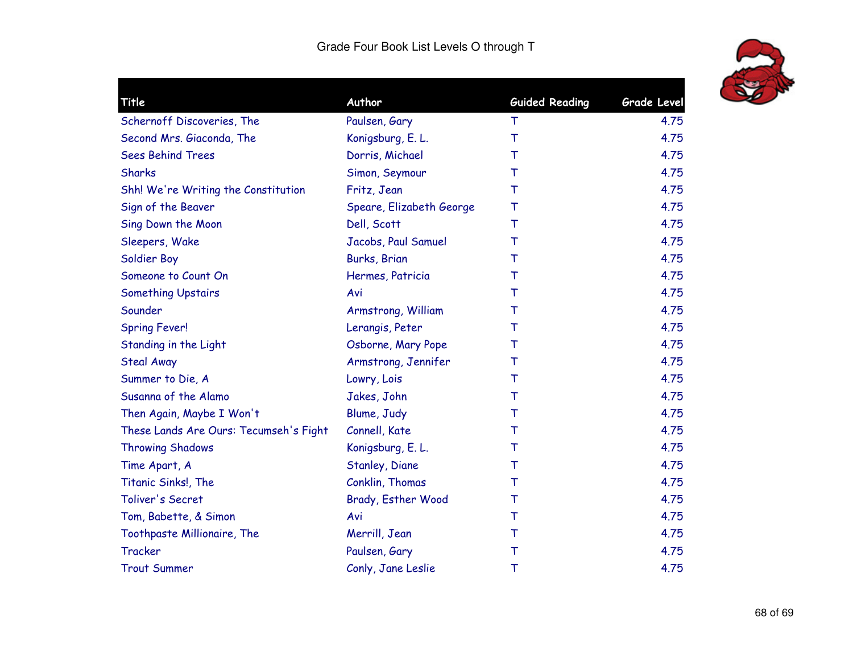

|                                        | Author                   |                       | <b>Grade Level</b> |
|----------------------------------------|--------------------------|-----------------------|--------------------|
| Title                                  |                          | <b>Guided Reading</b> |                    |
| Schernoff Discoveries, The             | Paulsen, Gary            | т                     | 4.75               |
| Second Mrs. Giaconda, The              | Konigsburg, E. L.        | $\top$                | 4.75               |
| <b>Sees Behind Trees</b>               | Dorris, Michael          | т                     | 4.75               |
| Sharks                                 | Simon, Seymour           | т                     | 4.75               |
| Shh! We're Writing the Constitution    | Fritz, Jean              | $\top$                | 4.75               |
| Sign of the Beaver                     | Speare, Elizabeth George | Τ                     | 4.75               |
| Sing Down the Moon                     | Dell, Scott              | т                     | 4.75               |
| Sleepers, Wake                         | Jacobs, Paul Samuel      | Т                     | 4.75               |
| Soldier Boy                            | Burks, Brian             | Τ                     | 4.75               |
| Someone to Count On                    | Hermes, Patricia         | т                     | 4.75               |
| <b>Something Upstairs</b>              | Avi                      | $\top$                | 4.75               |
| Sounder                                | Armstrong, William       | Τ                     | 4.75               |
| <b>Spring Fever!</b>                   | Lerangis, Peter          | т                     | 4.75               |
| Standing in the Light                  | Osborne, Mary Pope       | т                     | 4.75               |
| <b>Steal Away</b>                      | Armstrong, Jennifer      | Τ                     | 4.75               |
| Summer to Die, A                       | Lowry, Lois              | Т                     | 4.75               |
| Susanna of the Alamo                   | Jakes, John              | Τ                     | 4.75               |
| Then Again, Maybe I Won't              | Blume, Judy              | Τ                     | 4.75               |
| These Lands Are Ours: Tecumseh's Fight | Connell, Kate            | $\top$                | 4.75               |
| <b>Throwing Shadows</b>                | Konigsburg, E. L.        | т                     | 4.75               |
| Time Apart, A                          | Stanley, Diane           | T                     | 4.75               |
| Titanic Sinks!, The                    | Conklin, Thomas          | $\top$                | 4.75               |
| Toliver's Secret                       | Brady, Esther Wood       | Т                     | 4.75               |
| Tom, Babette, & Simon                  | Avi                      | $\top$                | 4.75               |
| Toothpaste Millionaire, The            | Merrill, Jean            | Τ                     | 4.75               |
| Tracker                                | Paulsen, Gary            | Τ                     | 4.75               |
| <b>Trout Summer</b>                    | Conly, Jane Leslie       | Τ                     | 4.75               |
|                                        |                          |                       |                    |